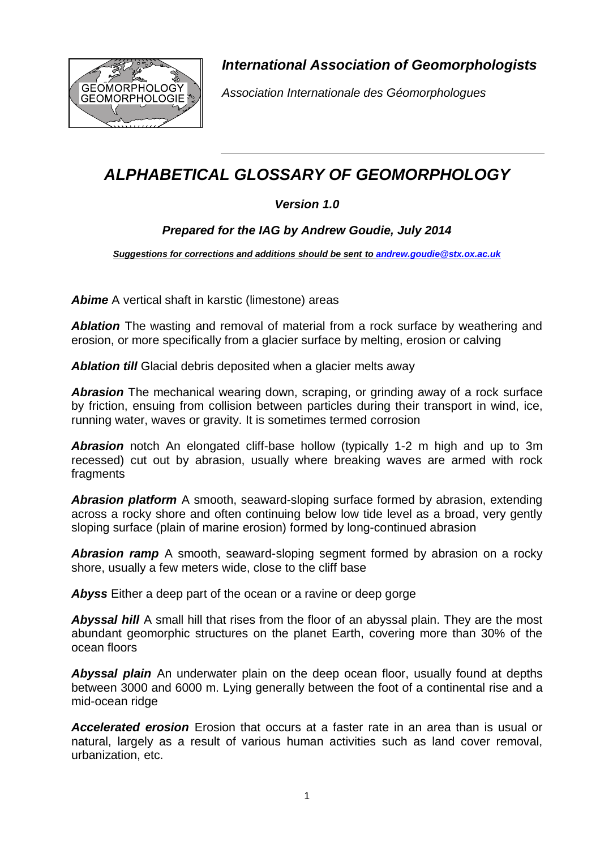

*International Association of Geomorphologists*

*Association Internationale des Géomorphologues* 

# *ALPHABETICAL GLOSSARY OF GEOMORPHOLOGY*

# *Version 1.0*

# *Prepared for the IAG by Andrew Goudie, July 2014*

*Suggestions for corrections and additions should be sent to [andrew.goudie@stx.ox.ac.uk](mailto:andrew.goudie@stx.ox.ac.uk)*

**Abime** A vertical shaft in karstic (limestone) areas

**Ablation** The wasting and removal of material from a rock surface by weathering and erosion, or more specifically from a glacier surface by melting, erosion or calving

Ablation till Glacial debris deposited when a glacier melts away

*Abrasion* The mechanical wearing down, scraping, or grinding away of a rock surface by friction, ensuing from collision between particles during their transport in wind, ice, running water, waves or gravity. It is sometimes termed corrosion

**Abrasion** notch An elongated cliff-base hollow (typically 1-2 m high and up to 3m recessed) cut out by abrasion, usually where breaking waves are armed with rock fragments

*Abrasion platform* A smooth, seaward-sloping surface formed by abrasion, extending across a rocky shore and often continuing below low tide level as a broad, very gently sloping surface (plain of marine erosion) formed by long-continued abrasion

*Abrasion ramp* A smooth, seaward-sloping segment formed by abrasion on a rocky shore, usually a few meters wide, close to the cliff base

*Abyss* Either a deep part of the ocean or a ravine or deep gorge

**Abyssal hill** A small hill that rises from the floor of an [abyssal plain.](http://en.wikipedia.org/wiki/Abyssal_plain) They are the most abundant geomorphic structures on the planet Earth, covering more than 30% of the ocean floors

*Abyssal plain* An underwater [plain](http://en.wikipedia.org/wiki/Plain) on the deep [ocean floor,](http://en.wikipedia.org/wiki/Ocean_floor) usually found at depths between 3000 and 6000 m. Lying generally between the foot of a [continental rise](http://en.wikipedia.org/wiki/Continental_shelf#Topography) and a [mid-ocean ridge](http://en.wikipedia.org/wiki/Mid-ocean_ridge)

*Accelerated erosion* Erosion that occurs at a faster rate in an area than is usual or natural, largely as a result of various human activities such as land cover removal, urbanization, etc.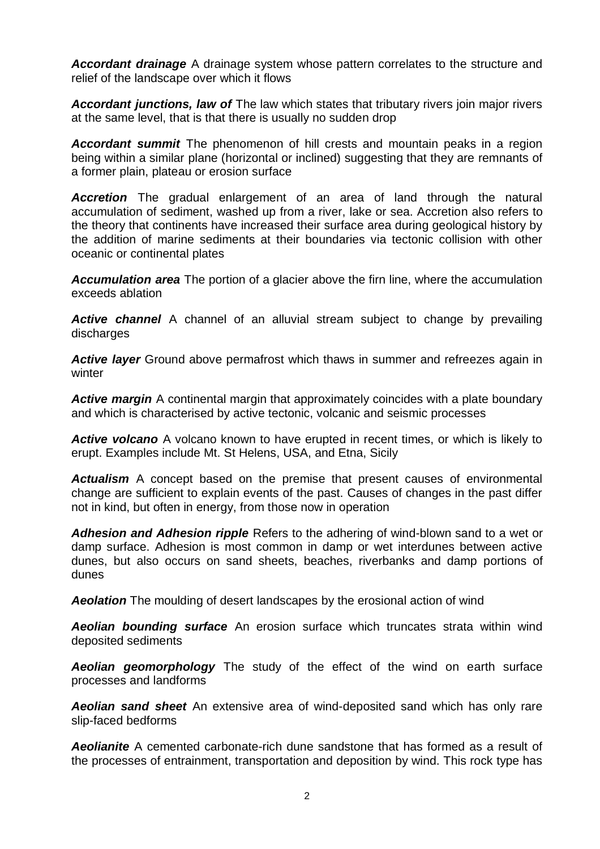*Accordant drainage* A drainage system whose pattern correlates to the structure and relief of the landscape over which it flows

*Accordant junctions, law of* The law which states that tributary rivers join major rivers at the same level, that is that there is usually no sudden drop

*Accordant summit* The phenomenon of hill crests and mountain peaks in a region being within a similar plane (horizontal or inclined) suggesting that they are remnants of a former plain, plateau or erosion surface

**Accretion** The gradual enlargement of an area of land through the natural accumulation of sediment, washed up from a river, lake or sea. Accretion also refers to the theory that continents have increased their surface area during geological history by the addition of marine sediments at their boundaries via tectonic collision with other oceanic or continental plates

*Accumulation area* The portion of a glacier above the firn line, where the accumulation exceeds ablation

*Active channel* A channel of an alluvial stream subject to change by prevailing discharges

*Active layer* Ground above permafrost which thaws in summer and refreezes again in winter

*Active margin* A continental margin that approximately coincides with a plate boundary and which is characterised by active tectonic, volcanic and seismic processes

*Active volcano* A volcano known to have erupted in recent times, or which is likely to erupt. Examples include Mt. St Helens, USA, and Etna, Sicily

*Actualism* A concept based on the premise that present causes of environmental change are sufficient to explain events of the past. Causes of changes in the past differ not in kind, but often in energy, from those now in operation

*Adhesion and Adhesion ripple* Refers to the adhering of wind-blown sand to a wet or damp surface. Adhesion is most common in damp or wet interdunes between active dunes, but also occurs on sand sheets, beaches, riverbanks and damp portions of dunes

*Aeolation* The moulding of desert landscapes by the erosional action of wind

*Aeolian bounding surface* An erosion surface which truncates strata within wind deposited sediments

*Aeolian geomorphology* The study of the effect of the wind on earth surface processes and landforms

*Aeolian sand sheet* An extensive area of wind-deposited sand which has only rare slip-faced bedforms

*Aeolianite* A cemented carbonate-rich dune sandstone that has formed as a result of the processes of entrainment, transportation and deposition by wind. This rock type has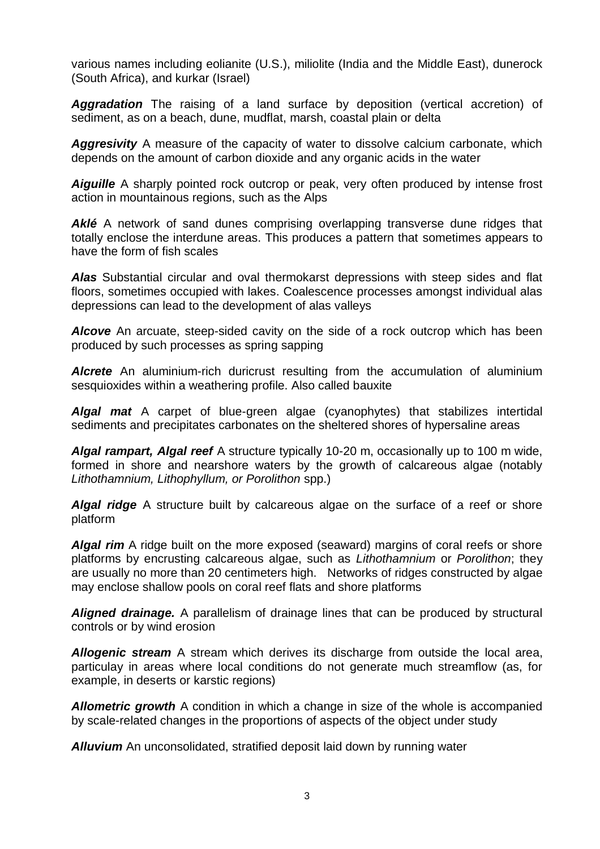various names including eolianite (U.S.), miliolite (India and the Middle East), dunerock (South Africa), and kurkar (Israel)

*Aggradation* The raising of a land surface by deposition (vertical accretion) of sediment, as on a beach, dune, mudflat, marsh, coastal plain or delta

*Aggresivity* A measure of the capacity of water to dissolve calcium carbonate, which depends on the amount of carbon dioxide and any organic acids in the water

**Aiguille** A sharply pointed rock outcrop or peak, very often produced by intense frost action in mountainous regions, such as the Alps

**Aklé** A network of sand dunes comprising overlapping transverse dune ridges that totally enclose the interdune areas. This produces a pattern that sometimes appears to have the form of fish scales

*Alas* Substantial circular and oval thermokarst depressions with steep sides and flat floors, sometimes occupied with lakes. Coalescence processes amongst individual alas depressions can lead to the development of alas valleys

*Alcove* An arcuate, steep-sided cavity on the side of a rock outcrop which has been produced by such processes as spring sapping

*Alcrete* An aluminium-rich duricrust resulting from the accumulation of aluminium sesquioxides within a weathering profile. Also called bauxite

*Algal mat* A carpet of blue-green algae (cyanophytes) that stabilizes intertidal sediments and precipitates carbonates on the sheltered shores of hypersaline areas

*Algal rampart, Algal reef* A structure typically 10-20 m, occasionally up to 100 m wide, formed in shore and nearshore waters by the growth of calcareous algae (notably *Lithothamnium, Lithophyllum, or Porolithon* spp.)

*Algal ridge* A structure built by calcareous algae on the surface of a reef or shore platform

**Algal rim** A ridge built on the more exposed (seaward) margins of coral reefs or shore platforms by encrusting calcareous algae, such as *Lithothamnium* or *Porolithon*; they are usually no more than 20 centimeters high. Networks of ridges constructed by algae may enclose shallow pools on coral reef flats and shore platforms

*Aligned drainage.* A parallelism of drainage lines that can be produced by structural controls or by wind erosion

*Allogenic stream* A stream which derives its discharge from outside the local area, particulay in areas where local conditions do not generate much streamflow (as, for example, in deserts or karstic regions)

*Allometric growth* A condition in which a change in size of the whole is accompanied by scale-related changes in the proportions of aspects of the object under study

*Alluvium* An unconsolidated, stratified deposit laid down by running water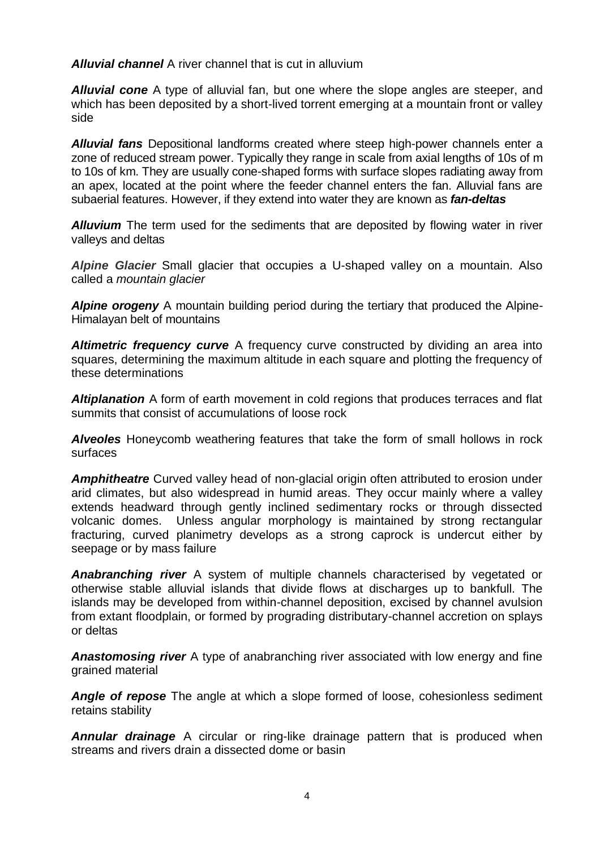*Alluvial channel* A river channel that is cut in alluvium

*Alluvial cone* A type of alluvial fan, but one where the slope angles are steeper, and which has been deposited by a short-lived torrent emerging at a mountain front or valley side

*Alluvial fans* Depositional landforms created where steep high-power channels enter a zone of reduced stream power. Typically they range in scale from axial lengths of 10s of m to 10s of km. They are usually cone-shaped forms with surface slopes radiating away from an apex, located at the point where the feeder channel enters the fan. Alluvial fans are subaerial features. However, if they extend into water they are known as *fan-deltas*

**Alluvium** The term used for the sediments that are deposited by flowing water in river valleys and deltas

*Alpine Glacier* Small [glacier](http://www.physicalgeography.net/physgeoglos/g.html#glacier) that occupies a U-shaped valley on a mountain. Also called a *mountain glacier*

*Alpine orogeny* A mountain building period during the tertiary that produced the Alpine-Himalayan belt of mountains

*Altimetric frequency curve* A frequency curve constructed by dividing an area into squares, determining the maximum altitude in each square and plotting the frequency of these determinations

*Altiplanation* A form of earth movement in cold regions that produces terraces and flat summits that consist of accumulations of loose rock

*Alveoles* Honeycomb weathering features that take the form of small hollows in rock surfaces

*Amphitheatre* Curved valley head of non-glacial origin often attributed to erosion under arid climates, but also widespread in humid areas. They occur mainly where a valley extends headward through gently inclined sedimentary rocks or through dissected volcanic domes. Unless angular morphology is maintained by strong rectangular fracturing, curved planimetry develops as a strong caprock is undercut either by seepage or by mass failure

*Anabranching river* A system of multiple channels characterised by vegetated or otherwise stable alluvial islands that divide flows at discharges up to bankfull. The islands may be developed from within-channel deposition, excised by channel avulsion from extant floodplain, or formed by prograding distributary-channel accretion on splays or deltas

*Anastomosing river* A type of anabranching river associated with low energy and fine grained material

*Angle of repose* The angle at which a slope formed of loose, cohesionless sediment retains stability

*Annular drainage* A circular or ring-like drainage pattern that is produced when streams and rivers drain a dissected dome or basin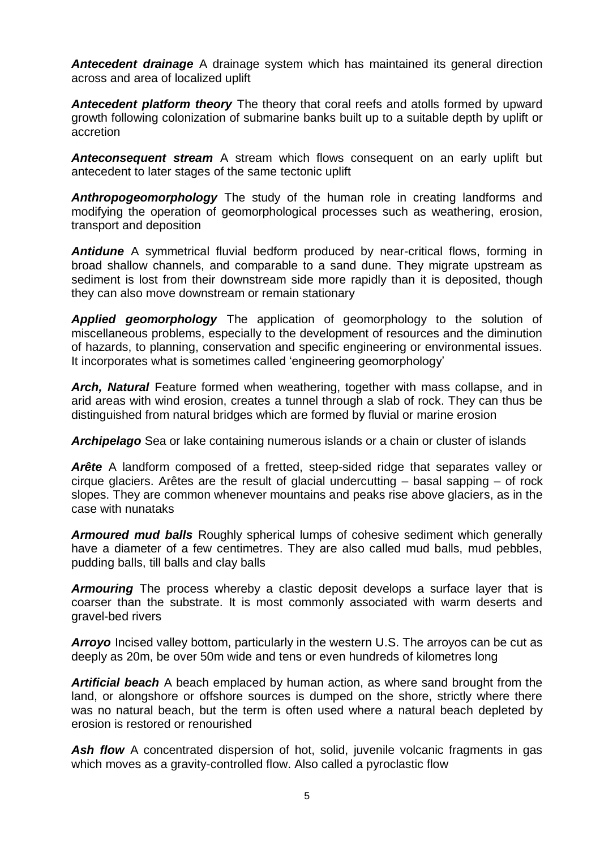*Antecedent drainage* A drainage system which has maintained its general direction across and area of localized uplift

*Antecedent platform theory* The theory that coral reefs and atolls formed by upward growth following colonization of submarine banks built up to a suitable depth by uplift or accretion

*Anteconsequent stream* A stream which flows consequent on an early uplift but antecedent to later stages of the same tectonic uplift

*Anthropogeomorphology* The study of the human role in creating landforms and modifying the operation of geomorphological processes such as weathering, erosion, transport and deposition

*Antidune* A symmetrical fluvial bedform produced by near-critical flows, forming in broad shallow channels, and comparable to a sand dune. They migrate upstream as sediment is lost from their downstream side more rapidly than it is deposited, though they can also move downstream or remain stationary

*Applied geomorphology* The application of geomorphology to the solution of miscellaneous problems, especially to the development of resources and the diminution of hazards, to planning, conservation and specific engineering or environmental issues. It incorporates what is sometimes called 'engineering geomorphology'

**Arch, Natural** Feature formed when weathering, together with mass collapse, and in arid areas with wind erosion, creates a tunnel through a slab of rock. They can thus be distinguished from natural bridges which are formed by fluvial or marine erosion

*Archipelago* Sea or lake containing numerous islands or a chain or cluster of islands

*Arête* A landform composed of a fretted, steep-sided ridge that separates valley or cirque glaciers. Arêtes are the result of glacial undercutting – basal sapping – of rock slopes. They are common whenever mountains and peaks rise above glaciers, as in the case with nunataks

*Armoured mud balls* Roughly spherical lumps of cohesive sediment which generally have a diameter of a few centimetres. They are also called mud balls, mud pebbles, pudding balls, till balls and clay balls

*Armouring* The process whereby a clastic deposit develops a surface layer that is coarser than the substrate. It is most commonly associated with warm deserts and gravel-bed rivers

**Arroyo** Incised valley bottom, particularly in the western U.S. The arroyos can be cut as deeply as 20m, be over 50m wide and tens or even hundreds of kilometres long

*Artificial beach* A beach emplaced by human action, as where sand brought from the land, or alongshore or offshore sources is dumped on the shore, strictly where there was no natural beach, but the term is often used where a natural beach depleted by erosion is restored or renourished

Ash flow A concentrated dispersion of hot, solid, juvenile volcanic fragments in gas which moves as a gravity-controlled flow. Also called a pyroclastic flow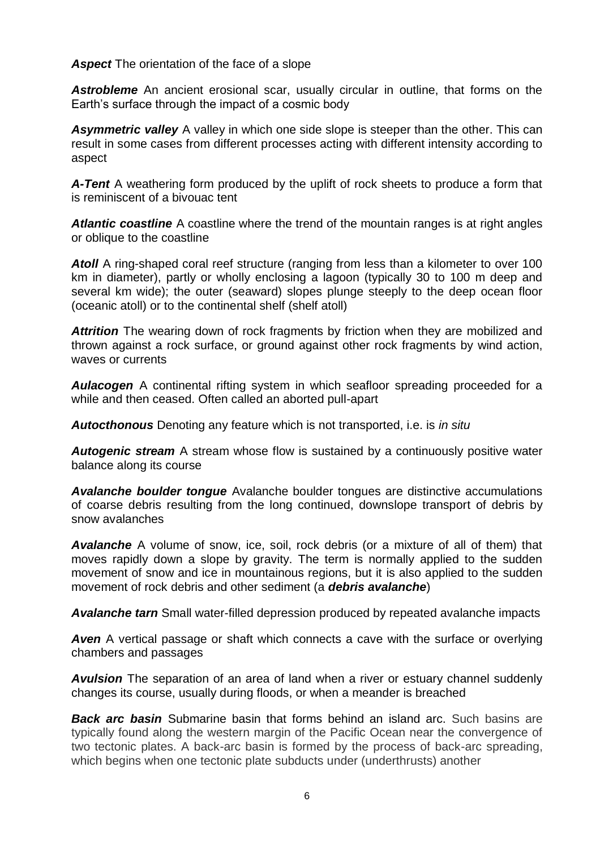*Aspect* The orientation of the face of a slope

*Astrobleme* An ancient erosional scar, usually circular in outline, that forms on the Earth's surface through the impact of a cosmic body

*Asymmetric valley* A valley in which one side slope is steeper than the other. This can result in some cases from different processes acting with different intensity according to aspect

*A-Tent* A weathering form produced by the uplift of rock sheets to produce a form that is reminiscent of a bivouac tent

*Atlantic coastline* A coastline where the trend of the mountain ranges is at right angles or oblique to the coastline

Atoll A ring-shaped coral reef structure (ranging from less than a kilometer to over 100 km in diameter), partly or wholly enclosing a lagoon (typically 30 to 100 m deep and several km wide); the outer (seaward) slopes plunge steeply to the deep ocean floor (oceanic atoll) or to the continental shelf (shelf atoll)

**Attrition** The wearing down of rock fragments by friction when they are mobilized and thrown against a rock surface, or ground against other rock fragments by wind action, waves or currents

*Aulacogen* A continental rifting system in which seafloor spreading proceeded for a while and then ceased. Often called an aborted pull-apart

*Autocthonous* Denoting any feature which is not transported, i.e. is *in situ*

**Autogenic stream** A stream whose flow is sustained by a continuously positive water balance along its course

*Avalanche boulder tongue* Avalanche boulder tongues are distinctive accumulations of coarse debris resulting from the long continued, downslope transport of debris by snow avalanches

*Avalanche* A volume of snow, ice, soil, rock debris (or a mixture of all of them) that moves rapidly down a slope by gravity. The term is normally applied to the sudden movement of snow and ice in mountainous regions, but it is also applied to the sudden movement of rock debris and other sediment (a *debris avalanche*)

*Avalanche tarn* Small water-filled depression produced by repeated avalanche impacts

**Aven** A vertical passage or shaft which connects a cave with the surface or overlying chambers and passages

*Avulsion* The separation of an area of land when a river or estuary channel suddenly changes its course, usually during floods, or when a meander is breached

**Back arc basin** Submarine basin that forms behind an [island arc.](http://www.britannica.com/EBchecked/topic/295969/island-arc) Such basins are typically found along the western margin of the Pacific Ocean near the convergence of two tectonic plates. A back-arc basin is formed by the process of back-arc spreading, which begins when one tectonic plate subducts under (underthrusts) another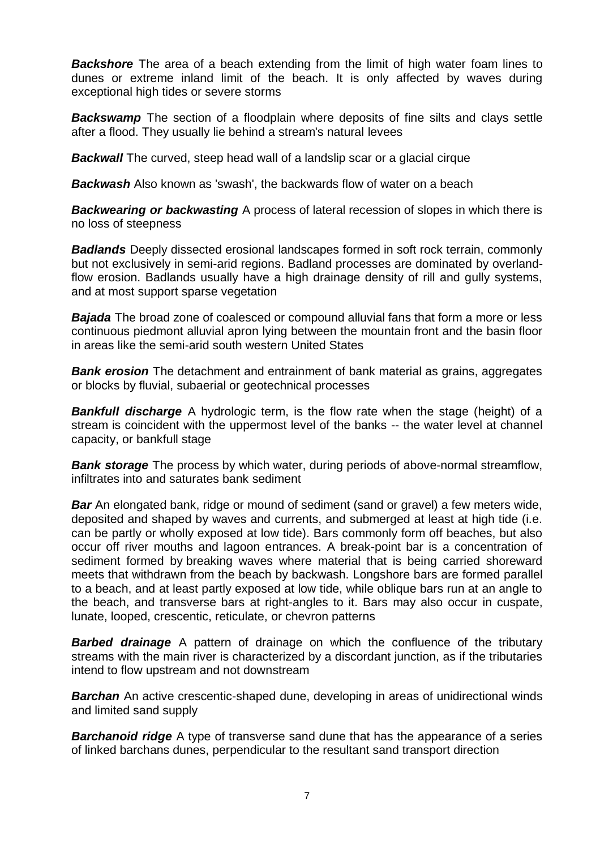**Backshore** The area of a beach extending from the limit of high water [foam lines](http://en.wikipedia.org/wiki/Foam_line) to dunes or extreme inland limit of the beach. It is only affected by waves during exceptional high tides or severe storms

**Backswamp** The section of a [floodplain](http://en.wikipedia.org/wiki/Floodplain) where deposits of fine [silts](http://en.wikipedia.org/wiki/Silt) and [clays](http://en.wikipedia.org/wiki/Clay) settle after a [flood.](http://en.wikipedia.org/wiki/Flood) They usually lie behind a stream's natural [levees](http://en.wikipedia.org/wiki/Levee)

*Backwall* The curved, steep head wall of a landslip scar or a glacial [cirque](http://www.answers.com/topic/cirque)

*Backwash* Also known as 'swash', the backwards flow of water on a beach

**Backwearing or backwasting** A process of lateral recession of slopes in which there is no loss of steepness

*Badlands* Deeply dissected erosional landscapes formed in soft rock terrain, commonly but not exclusively in semi-arid regions. Badland processes are dominated by overlandflow erosion. Badlands usually have a high drainage density of rill and gully systems, and at most support sparse vegetation

*Bajada* The broad zone of coalesced or compound alluvial fans that form a more or less continuous piedmont alluvial apron lying between the mountain front and the basin floor in areas like the semi-arid south western United States

**Bank erosion** The detachment and entrainment of bank material as grains, aggregates or blocks by fluvial, subaerial or geotechnical processes

**Bankfull discharge** A hydrologic term, is the flow rate when the stage (height) of a stream is coincident with the uppermost level of the banks -- the water level at channel capacity, or bankfull stage

**Bank storage** The process by which water, during periods of above-normal streamflow, infiltrates into and saturates bank sediment

*Bar* An elongated bank, ridge or mound of sediment (sand or gravel) a few meters wide, deposited and shaped by waves and currents, and submerged at least at high tide (i.e. can be partly or wholly exposed at low tide). Bars commonly form off beaches, but also occur off river mouths and lagoon entrances. A break-point bar is a concentration of sediment formed by breaking waves where material that is being carried shoreward meets that withdrawn from the beach by backwash. Longshore bars are formed parallel to a beach, and at least partly exposed at low tide, while oblique bars run at an angle to the beach, and transverse bars at right-angles to it. Bars may also occur in cuspate, lunate, looped, crescentic, reticulate, or chevron patterns

**Barbed drainage** A pattern of drainage on which the confluence of the tributary streams with the main river is characterized by a discordant junction, as if the tributaries intend to flow upstream and not downstream

**Barchan** An active crescentic-shaped dune, developing in areas of unidirectional winds and limited sand supply

*Barchanoid ridge* A type of transverse sand dune that has the appearance of a series of linked barchans dunes, perpendicular to the resultant sand transport direction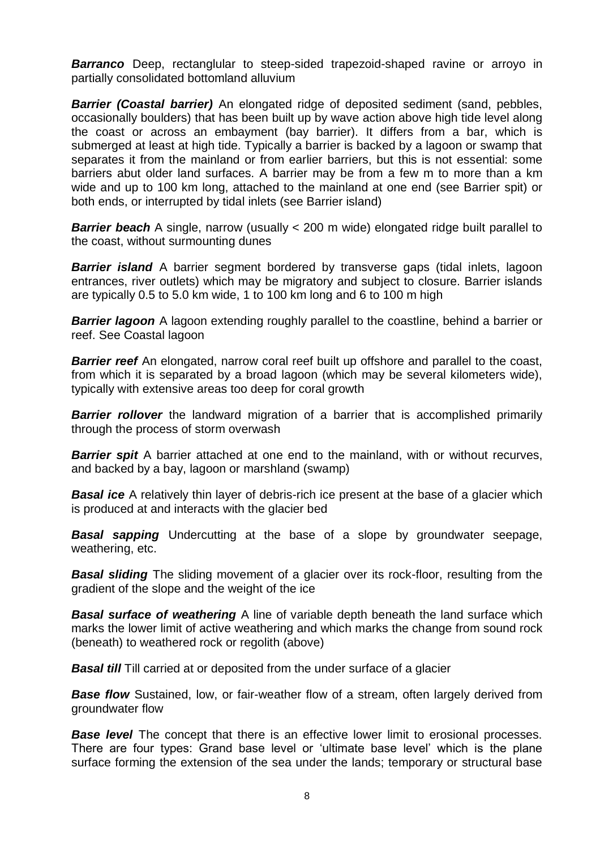**Barranco** Deep, rectanglular to steep-sided trapezoid-shaped ravine or arroyo in partially consolidated bottomland alluvium

*Barrier (Coastal barrier)* An elongated ridge of deposited sediment (sand, pebbles, occasionally boulders) that has been built up by wave action above high tide level along the coast or across an embayment (bay barrier). It differs from a bar, which is submerged at least at high tide. Typically a barrier is backed by a lagoon or swamp that separates it from the mainland or from earlier barriers, but this is not essential: some barriers abut older land surfaces. A barrier may be from a few m to more than a km wide and up to 100 km long, attached to the mainland at one end (see Barrier spit) or both ends, or interrupted by tidal inlets (see Barrier island)

**Barrier beach** A single, narrow (usually < 200 m wide) elongated ridge built parallel to the coast, without surmounting dunes

**Barrier island** A barrier segment bordered by transverse gaps (tidal inlets, lagoon entrances, river outlets) which may be migratory and subject to closure. Barrier islands are typically 0.5 to 5.0 km wide, 1 to 100 km long and 6 to 100 m high

**Barrier lagoon** A lagoon extending roughly parallel to the coastline, behind a barrier or reef. See Coastal lagoon

**Barrier reef** An elongated, narrow coral reef built up offshore and parallel to the coast, from which it is separated by a broad lagoon (which may be several kilometers wide), typically with extensive areas too deep for coral growth

**Barrier rollover** the landward migration of a barrier that is accomplished primarily through the process of storm overwash

**Barrier spit** A barrier attached at one end to the mainland, with or without recurves, and backed by a bay, lagoon or marshland (swamp)

**Basal ice** A relatively thin layer of debris-rich ice present at the base of a glacier which is produced at and interacts with the glacier bed

*Basal sapping* Undercutting at the base of a slope by groundwater seepage, weathering, etc.

**Basal sliding** The sliding movement of a glacier over its rock-floor, resulting from the gradient of the slope and the weight of the ice

**Basal surface of weathering** A line of variable depth beneath the land surface which marks the lower limit of active weathering and which marks the change from sound rock (beneath) to weathered rock or regolith (above)

**Basal till** Till carried at or deposited from the under surface of a glacier

**Base flow** Sustained, low, or fair-weather flow of a stream, often largely derived from groundwater flow

**Base level** The concept that there is an effective lower limit to erosional processes. There are four types: Grand base level or 'ultimate base level' which is the plane surface forming the extension of the sea under the lands; temporary or structural base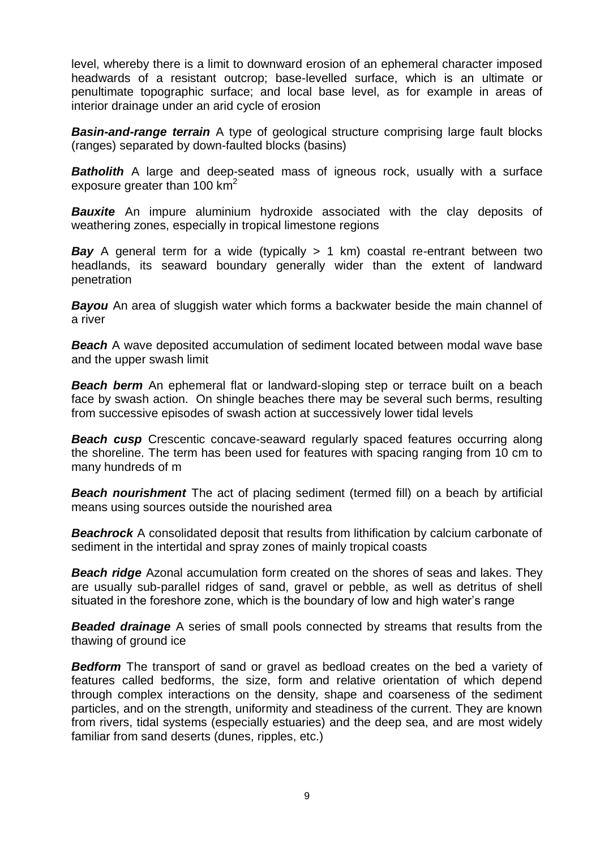level, whereby there is a limit to downward erosion of an ephemeral character imposed headwards of a resistant outcrop; base-levelled surface, which is an ultimate or penultimate topographic surface; and local base level, as for example in areas of interior drainage under an arid cycle of erosion

*Basin-and-range terrain* A type of geological structure comprising large fault blocks (ranges) separated by down-faulted blocks (basins)

**Batholith** A large and deep-seated mass of igneous rock, usually with a surface exposure greater than 100  $km^2$ 

**Bauxite** An impure aluminium hydroxide associated with the clay deposits of weathering zones, especially in tropical limestone regions

**Bay** A general term for a wide (typically > 1 km) coastal re-entrant between two headlands, its seaward boundary generally wider than the extent of landward penetration

**Bayou** An area of sluggish water which forms a backwater beside the main channel of a river

**Beach** A wave deposited accumulation of sediment located between modal wave base and the upper swash limit

**Beach berm** An ephemeral flat or landward-sloping step or terrace built on a beach face by swash action. On shingle beaches there may be several such berms, resulting from successive episodes of swash action at successively lower tidal levels

**Beach cusp** Crescentic concave-seaward regularly spaced features occurring along the shoreline. The term has been used for features with spacing ranging from 10 cm to many hundreds of m

**Beach nourishment** The act of placing sediment (termed fill) on a beach by artificial means using sources outside the nourished area

**Beachrock** A consolidated deposit that results from lithification by calcium carbonate of sediment in the intertidal and spray zones of mainly tropical coasts

*Beach ridge* Azonal accumulation form created on the shores of seas and lakes. They are usually sub-parallel ridges of sand, gravel or pebble, as well as detritus of shell situated in the foreshore zone, which is the boundary of low and high water's range

*Beaded drainage* A series of small pools connected by streams that results from the thawing of ground ice

**Bedform** The transport of sand or gravel as bedload creates on the bed a variety of features called bedforms, the size, form and relative orientation of which depend through complex interactions on the density, shape and coarseness of the sediment particles, and on the strength, uniformity and steadiness of the current. They are known from rivers, tidal systems (especially estuaries) and the deep sea, and are most widely familiar from sand deserts (dunes, ripples, etc.)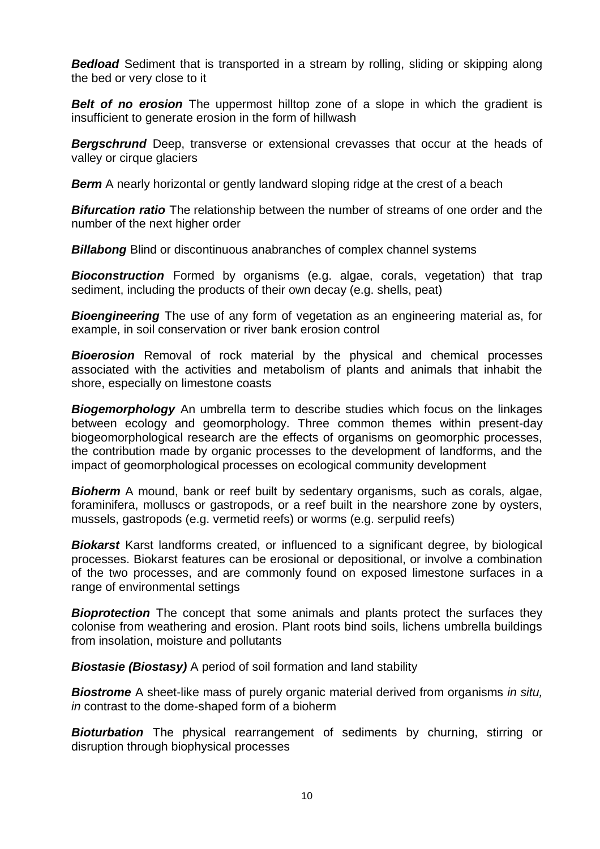**Bedload** Sediment that is transported in a stream by rolling, sliding or skipping along the bed or very close to it

**Belt of no erosion** The uppermost hilltop zone of a slope in which the gradient is insufficient to generate erosion in the form of hillwash

**Bergschrund** Deep, transverse or extensional crevasses that occur at the heads of valley or cirque glaciers

**Berm** A nearly horizontal or gently landward sloping ridge at the crest of a beach

*Bifurcation ratio* The relationship between the number of streams of one order and the number of the next higher order

**Billabong** Blind or discontinuous anabranches of complex channel systems

*Bioconstruction* Formed by organisms (e.g. algae, corals, vegetation) that trap sediment, including the products of their own decay (e.g. shells, peat)

*Bioengineering* The use of any form of vegetation as an engineering material as, for example, in soil conservation or river bank erosion control

**Bioerosion** Removal of rock material by the physical and chemical processes associated with the activities and metabolism of plants and animals that inhabit the shore, especially on limestone coasts

**Biogemorphology** An umbrella term to describe studies which focus on the linkages between ecology and geomorphology. Three common themes within present-day biogeomorphological research are the effects of organisms on geomorphic processes, the contribution made by organic processes to the development of landforms, and the impact of geomorphological processes on ecological community development

**Bioherm** A mound, bank or reef built by sedentary organisms, such as corals, algae, foraminifera, molluscs or gastropods, or a reef built in the nearshore zone by oysters, mussels, gastropods (e.g. vermetid reefs) or worms (e.g. serpulid reefs)

**Biokarst** Karst landforms created, or influenced to a significant degree, by biological processes. Biokarst features can be erosional or depositional, or involve a combination of the two processes, and are commonly found on exposed limestone surfaces in a range of environmental settings

**Bioprotection** The concept that some animals and plants protect the surfaces they colonise from weathering and erosion. Plant roots bind soils, lichens umbrella buildings from insolation, moisture and pollutants

**Biostasie (Biostasy)** A period of soil formation and land stability

*Biostrome* A sheet-like mass of purely organic material derived from organisms *in situ, in* contrast to the dome-shaped form of a bioherm

*Bioturbation* The physical rearrangement of sediments by churning, stirring or disruption through biophysical processes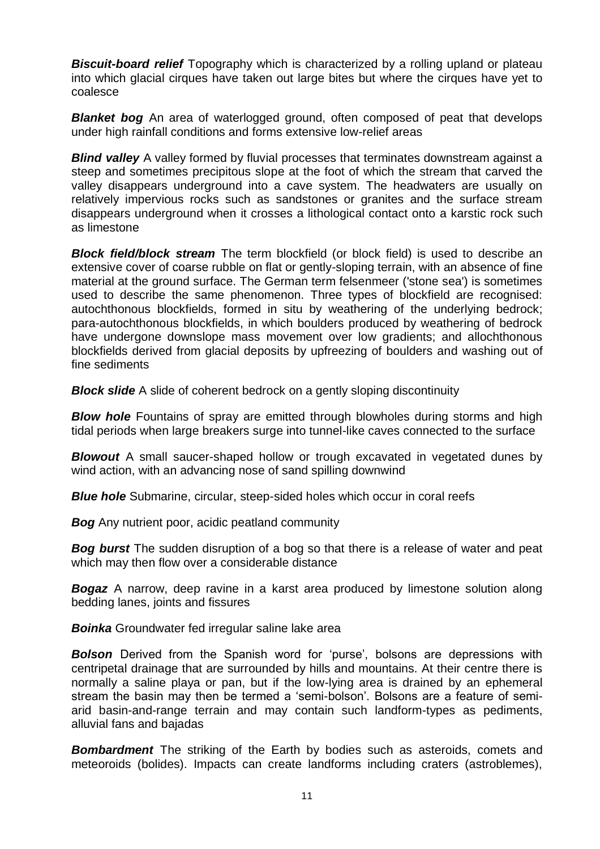**Biscuit-board relief** Topography which is characterized by a rolling upland or plateau into which glacial cirques have taken out large bites but where the cirques have yet to coalesce

*Blanket bog* An area of waterlogged ground, often composed of peat that develops under high rainfall conditions and forms extensive low-relief areas

*Blind valley* A valley formed by fluvial processes that terminates downstream against a steep and sometimes precipitous slope at the foot of which the stream that carved the valley disappears underground into a cave system. The headwaters are usually on relatively impervious rocks such as sandstones or granites and the surface stream disappears underground when it crosses a lithological contact onto a karstic rock such as limestone

**Block field/block stream** The term blockfield (or block field) is used to describe an extensive cover of coarse rubble on flat or gently-sloping terrain, with an absence of fine material at the ground surface. The German term felsenmeer ('stone sea') is sometimes used to describe the same phenomenon. Three types of blockfield are recognised: autochthonous blockfields, formed in situ by weathering of the underlying bedrock; para-autochthonous blockfields, in which boulders produced by weathering of bedrock have undergone downslope mass movement over low gradients; and allochthonous blockfields derived from glacial deposits by upfreezing of boulders and washing out of fine sediments

**Block slide** A slide of coherent bedrock on a gently sloping discontinuity

**Blow hole** Fountains of spray are emitted through blowholes during storms and high tidal periods when large breakers surge into tunnel-like caves connected to the surface

**Blowout** A small saucer-shaped hollow or trough excavated in vegetated dunes by wind action, with an advancing nose of sand spilling downwind

**Blue hole** Submarine, circular, steep-sided holes which occur in coral reefs

**Bog** Any nutrient poor, acidic peatland community

**Bog burst** The sudden disruption of a bog so that there is a release of water and peat which may then flow over a considerable distance

**Bogaz** A narrow, deep ravine in a karst area produced by limestone solution along bedding lanes, joints and fissures

*Boinka* Groundwater fed irregular saline lake area

**Bolson** Derived from the Spanish word for 'purse', bolsons are depressions with centripetal drainage that are surrounded by hills and mountains. At their centre there is normally a saline playa or pan, but if the low-lying area is drained by an ephemeral stream the basin may then be termed a 'semi-bolson'. Bolsons are a feature of semiarid basin-and-range terrain and may contain such landform-types as pediments, alluvial fans and bajadas

**Bombardment** The striking of the Earth by bodies such as asteroids, comets and meteoroids (bolides). Impacts can create landforms including craters (astroblemes),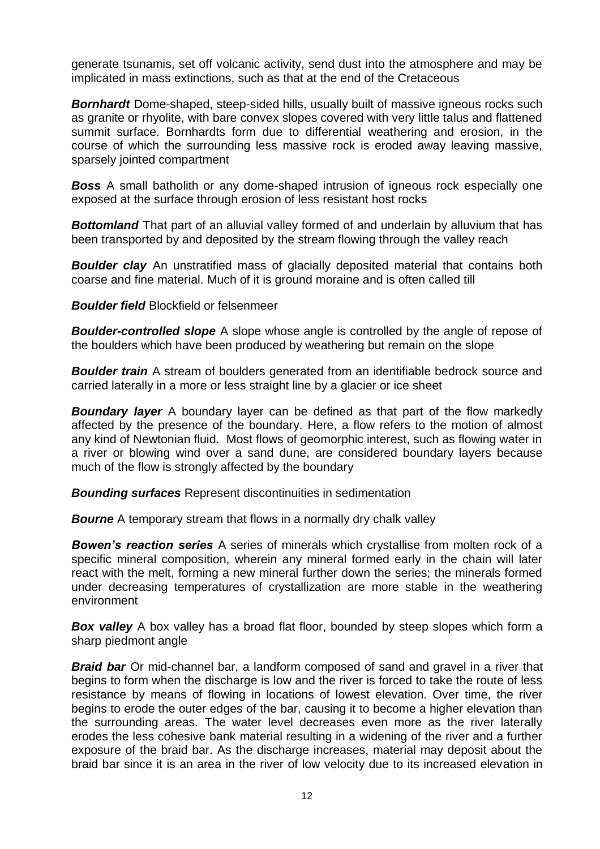generate tsunamis, set off volcanic activity, send dust into the atmosphere and may be implicated in mass extinctions, such as that at the end of the Cretaceous

**Bornhardt** Dome-shaped, steep-sided hills, usually built of massive igneous rocks such as granite or rhyolite, with bare convex slopes covered with very little talus and flattened summit surface. Bornhardts form due to differential weathering and erosion, in the course of which the surrounding less massive rock is eroded away leaving massive, sparsely jointed compartment

**Boss** A small batholith or any dome-shaped intrusion of igneous rock especially one exposed at the surface through erosion of less resistant host rocks

**Bottomland** That part of an alluvial valley formed of and underlain by alluvium that has been transported by and deposited by the stream flowing through the valley reach

**Boulder clay** An unstratified mass of glacially deposited material that contains both coarse and fine material. Much of it is ground moraine and is often called till

*Boulder field* Blockfield or felsenmeer

*Boulder-controlled slope* A slope whose angle is controlled by the angle of repose of the boulders which have been produced by weathering but remain on the slope

**Boulder train** A stream of boulders generated from an identifiable bedrock source and carried laterally in a more or less straight line by a glacier or ice sheet

*Boundary layer* A boundary layer can be defined as that part of the flow markedly affected by the presence of the boundary. Here, a flow refers to the motion of almost any kind of Newtonian fluid. Most flows of geomorphic interest, such as flowing water in a river or blowing wind over a sand dune, are considered boundary layers because much of the flow is strongly affected by the boundary

*Bounding surfaces* Represent discontinuities in sedimentation

**Bourne** A temporary stream that flows in a normally dry chalk valley

**Bowen's reaction series** A series of minerals which crystallise from molten rock of a specific mineral composition, wherein any mineral formed early in the chain will later react with the melt, forming a new mineral further down the series; the minerals formed under decreasing temperatures of crystallization are more stable in the weathering environment

**Box valley** A box valley has a broad flat floor, bounded by steep slopes which form a sharp piedmont angle

**Braid bar** Or mid-channel bar, a landform composed of sand and gravel in a [river](http://en.wikipedia.org/wiki/River) that begins to form when the [discharge](http://en.wikipedia.org/wiki/Discharge_(hydrology)) is low and the river is forced to take the route of less resistance by means of flowing in locations of lowest elevation. Over time, the river begins to erode the outer edges of the bar, causing it to become a higher elevation than the surrounding areas. The water level decreases even more as the river laterally erodes the less cohesive bank material resulting in a widening of the river and a further exposure of the braid bar. As the discharge increases, material may deposit about the braid bar since it is an area in the river of low velocity due to its increased elevation in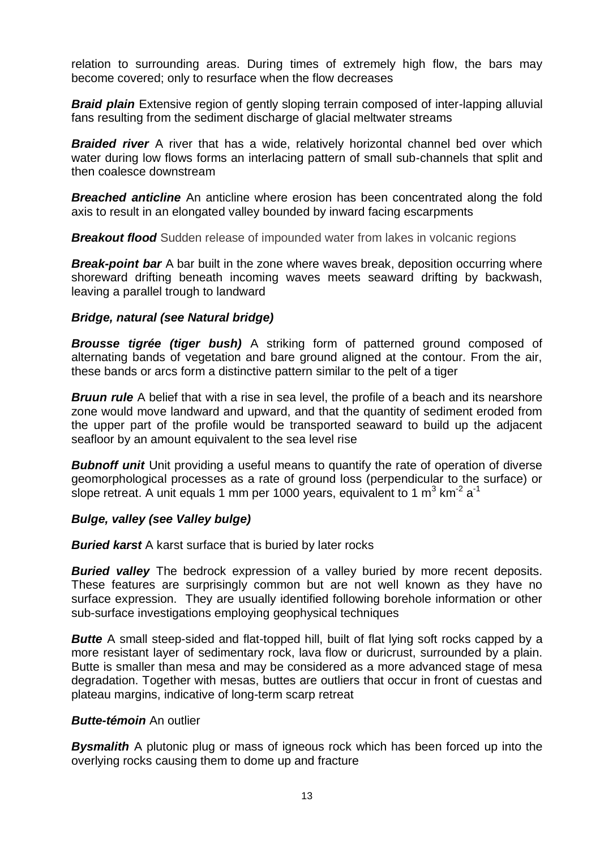relation to surrounding areas. During times of extremely high flow, the bars may become covered; only to resurface when the flow decreases

**Braid plain** Extensive region of gently sloping terrain composed of inter-lapping alluvial fans resulting from the sediment discharge of glacial meltwater streams

**Braided river** A river that has a wide, relatively horizontal channel bed over which water during low flows forms an interlacing pattern of small sub-channels that split and then coalesce downstream

*Breached anticline* An anticline where erosion has been concentrated along the fold axis to result in an elongated valley bounded by inward facing escarpments

**Breakout flood** Sudden release of impounded water from lakes in volcanic regions

**Break-point bar** A bar built in the zone where waves break, deposition occurring where shoreward drifting beneath incoming waves meets seaward drifting by backwash, leaving a parallel trough to landward

#### *Bridge, natural (see Natural bridge)*

*Brousse tigrée (tiger bush)* A striking form of patterned ground composed of alternating bands of vegetation and bare ground aligned at the contour. From the air, these bands or arcs form a distinctive pattern similar to the pelt of a tiger

**Bruun rule** A belief that with a rise in sea level, the profile of a beach and its nearshore zone would move landward and upward, and that the quantity of sediment eroded from the upper part of the profile would be transported seaward to build up the adjacent seafloor by an amount equivalent to the sea level rise

**Bubnoff unit** Unit providing a useful means to quantify the rate of operation of diverse geomorphological processes as a rate of ground loss (perpendicular to the surface) or slope retreat. A unit equals 1 mm per 1000 years, equivalent to 1 m<sup>3</sup> km<sup>-2</sup> a<sup>-1</sup>

## *Bulge, valley (see Valley bulge)*

*Buried karst* A karst surface that is buried by later rocks

*Buried valley* The bedrock expression of a valley buried by more recent deposits. These features are surprisingly common but are not well known as they have no surface expression. They are usually identified following borehole information or other sub-surface investigations employing geophysical techniques

**Butte** A small steep-sided and flat-topped hill, built of flat lying soft rocks capped by a more resistant layer of sedimentary rock, lava flow or duricrust, surrounded by a plain. Butte is smaller than mesa and may be considered as a more advanced stage of mesa degradation. Together with mesas, buttes are outliers that occur in front of cuestas and plateau margins, indicative of long-term scarp retreat

#### *Butte-témoin* An outlier

*Bysmalith* A plutonic plug or mass of igneous rock which has been forced up into the overlying rocks causing them to dome up and fracture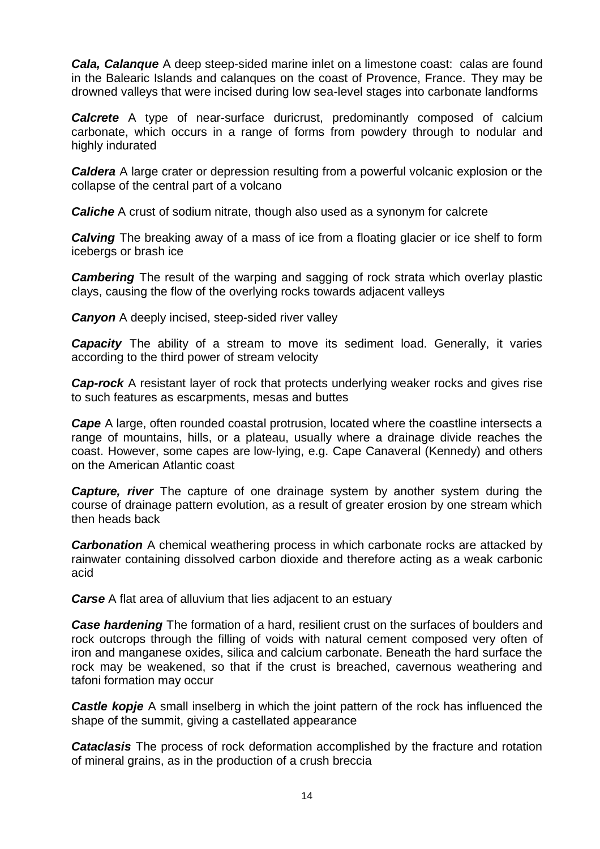*Cala, Calanque* A deep steep-sided marine inlet on a limestone coast: calas are found in the Balearic Islands and calanques on the coast of Provence, France. They may be drowned valleys that were incised during low sea-level stages into carbonate landforms

**Calcrete** A type of near-surface duricrust, predominantly composed of calcium carbonate, which occurs in a range of forms from powdery through to nodular and highly indurated

*Caldera* A large crater or depression resulting from a powerful volcanic explosion or the collapse of the central part of a volcano

*Caliche* A crust of sodium nitrate, though also used as a synonym for calcrete

*Calving* The breaking away of a mass of ice from a floating glacier or ice shelf to form icebergs or brash ice

**Cambering** The result of the warping and sagging of rock strata which overlay plastic clays, causing the flow of the overlying rocks towards adjacent valleys

*Canyon* A deeply incised, steep-sided river valley

**Capacity** The ability of a stream to move its sediment load. Generally, it varies according to the third power of stream velocity

*Cap-rock* A resistant layer of rock that protects underlying weaker rocks and gives rise to such features as escarpments, mesas and buttes

*Cape* A large, often rounded coastal protrusion, located where the coastline intersects a range of mountains, hills, or a plateau, usually where a drainage divide reaches the coast. However, some capes are low-lying, e.g. Cape Canaveral (Kennedy) and others on the American Atlantic coast

*Capture, river* The capture of one drainage system by another system during the course of drainage pattern evolution, as a result of greater erosion by one stream which then heads back

**Carbonation** A chemical weathering process in which carbonate rocks are attacked by rainwater containing dissolved carbon dioxide and therefore acting as a weak carbonic acid

*Carse* A flat area of alluvium that lies adjacent to an estuary

*Case hardening* The formation of a hard, resilient crust on the surfaces of boulders and rock outcrops through the filling of voids with natural cement composed very often of iron and manganese oxides, silica and calcium carbonate. Beneath the hard surface the rock may be weakened, so that if the crust is breached, cavernous weathering and tafoni formation may occur

**Castle kopje** A small inselberg in which the joint pattern of the rock has influenced the shape of the summit, giving a castellated appearance

*Cataclasis* The process of rock deformation accomplished by the fracture and rotation of mineral grains, as in the production of a crush breccia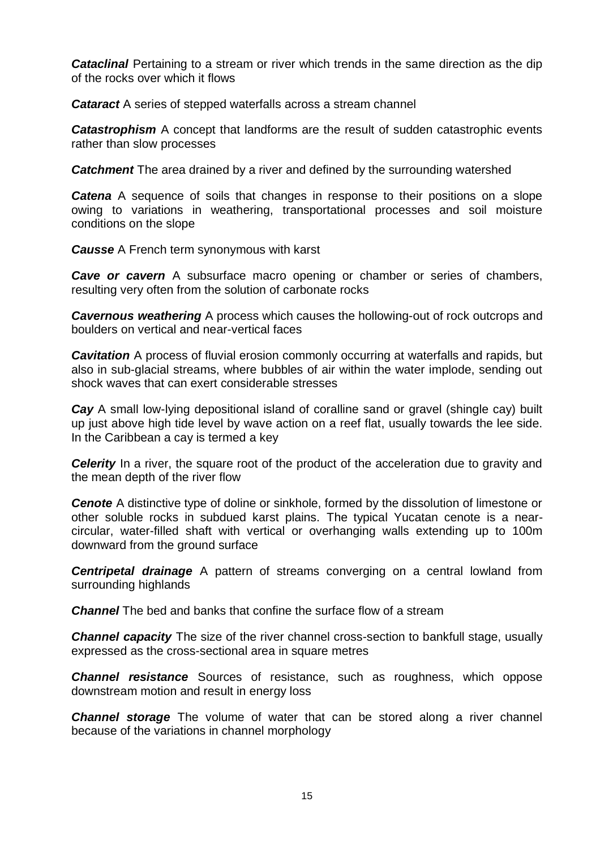**Cataclinal** Pertaining to a stream or river which trends in the same direction as the dip of the rocks over which it flows

*Cataract* A series of stepped waterfalls across a stream channel

*Catastrophism* A concept that landforms are the result of sudden catastrophic events rather than slow processes

**Catchment** The area drained by a river and defined by the surrounding watershed

**Catena** A sequence of soils that changes in response to their positions on a slope owing to variations in weathering, transportational processes and soil moisture conditions on the slope

*Causse* A French term synonymous with karst

*Cave or cavern* A subsurface macro opening or chamber or series of chambers, resulting very often from the solution of carbonate rocks

*Cavernous weathering* A process which causes the hollowing-out of rock outcrops and boulders on vertical and near-vertical faces

**Cavitation** A process of fluvial erosion commonly occurring at waterfalls and rapids, but also in sub-glacial streams, where bubbles of air within the water implode, sending out shock waves that can exert considerable stresses

*Cay* A small low-lying depositional island of coralline sand or gravel (shingle cay) built up just above high tide level by wave action on a reef flat, usually towards the lee side. In the Caribbean a cay is termed a key

**Celerity** In a river, the square root of the product of the acceleration due to gravity and the mean depth of the river flow

*Cenote* A distinctive type of doline or sinkhole, formed by the dissolution of limestone or other soluble rocks in subdued karst plains. The typical Yucatan cenote is a nearcircular, water-filled shaft with vertical or overhanging walls extending up to 100m downward from the ground surface

*Centripetal drainage* A pattern of streams converging on a central lowland from surrounding highlands

*Channel* The bed and banks that confine the surface flow of a stream

**Channel capacity** The size of the river channel cross-section to bankfull stage, usually expressed as the cross-sectional area in square metres

**Channel resistance** Sources of resistance, such as roughness, which oppose downstream motion and result in energy loss

**Channel storage** The volume of water that can be stored along a river channel because of the variations in channel morphology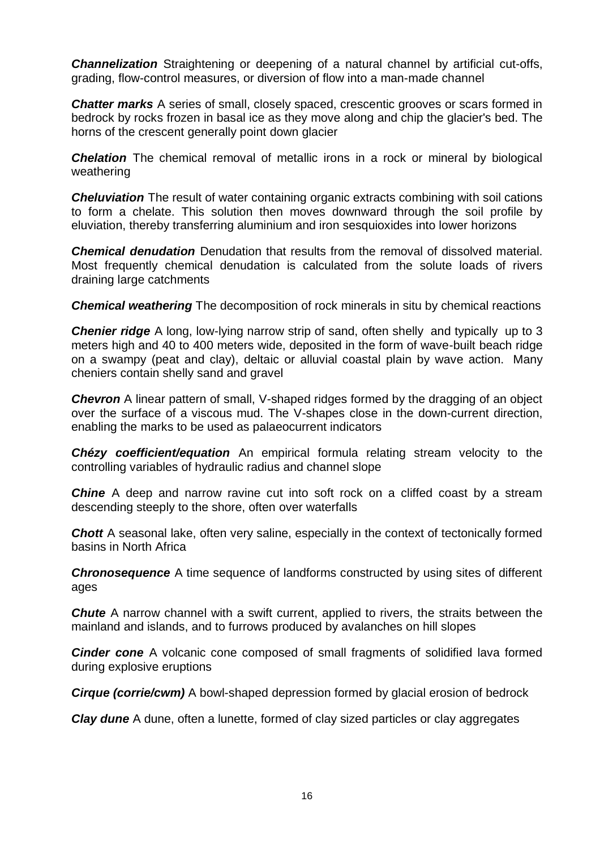**Channelization** Straightening or deepening of a natural channel by artificial cut-offs, grading, flow-control measures, or diversion of flow into a man-made channel

**Chatter marks** A series of small, closely spaced, crescentic grooves or scars formed in bedrock by rocks frozen in basal ice as they move along and chip the glacier's bed. The horns of the crescent generally point down glacier

**Chelation** The chemical removal of metallic irons in a rock or mineral by biological weathering

**Cheluviation** The result of water containing organic extracts combining with soil cations to form a chelate. This solution then moves downward through the soil profile by eluviation, thereby transferring aluminium and iron sesquioxides into lower horizons

*Chemical denudation* Denudation that results from the removal of dissolved material. Most frequently chemical denudation is calculated from the solute loads of rivers draining large catchments

*Chemical weathering* The decomposition of rock minerals in situ by chemical reactions

**Chenier ridge** A long, low-lying narrow strip of sand, often shelly and typically up to 3 meters high and 40 to 400 meters wide, deposited in the form of wave-built beach ridge on a swampy (peat and clay), deltaic or alluvial coastal plain by wave action. Many cheniers contain shelly sand and gravel

**Chevron** A linear pattern of small, V-shaped ridges formed by the dragging of an object over the surface of a viscous mud. The V-shapes close in the down-current direction, enabling the marks to be used as palaeocurrent indicators

*Chézy coefficient/equation* An empirical formula relating stream velocity to the controlling variables of hydraulic radius and channel slope

**Chine** A deep and narrow ravine cut into soft rock on a cliffed coast by a stream descending steeply to the shore, often over waterfalls

**Chott** A seasonal lake, often very saline, especially in the context of tectonically formed basins in North Africa

**Chronosequence** A time sequence of landforms constructed by using sites of different ages

*Chute* A narrow channel with a swift current, applied to rivers, the straits between the mainland and islands, and to furrows produced by avalanches on hill slopes

**Cinder cone** A volcanic cone composed of small fragments of solidified lava formed during explosive eruptions

*Cirque (corrie/cwm)* A bowl-shaped depression formed by glacial erosion of bedrock

*Clay dune* A dune, often a lunette, formed of clay sized particles or clay aggregates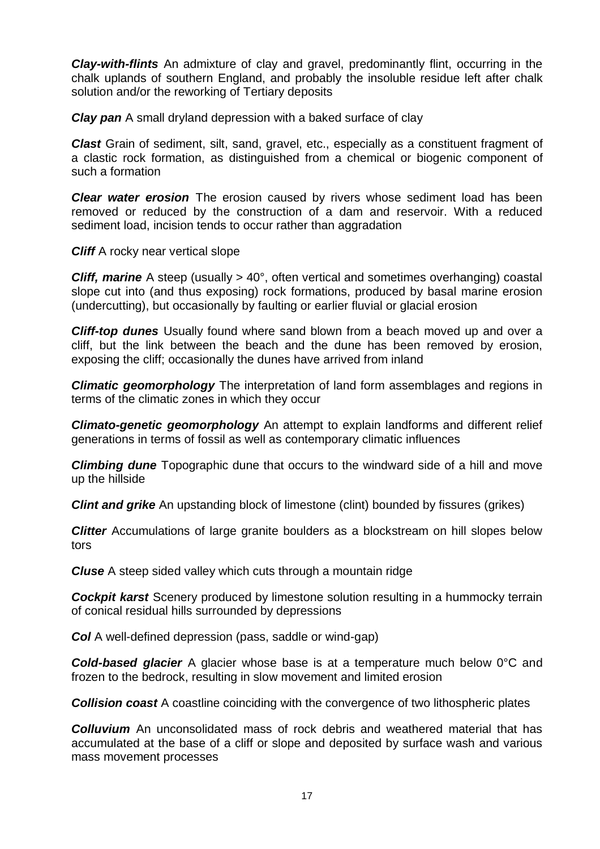*Clay-with-flints* An admixture of clay and gravel, predominantly flint, occurring in the chalk uplands of southern England, and probably the insoluble residue left after chalk solution and/or the reworking of Tertiary deposits

*Clay pan* A small dryland depression with a baked surface of clay

*Clast* Grain of sediment, silt, sand, gravel, etc., especially as a constituent fragment of a [clastic](http://dictionary.reference.com/browse/clastic) rock formation, as distinguished from a chemical or biogenic component of such a formation

*Clear water erosion* The erosion caused by rivers whose sediment load has been removed or reduced by the construction of a dam and reservoir. With a reduced sediment load, incision tends to occur rather than aggradation

*Cliff* A rocky near vertical slope

*Cliff, marine* A steep (usually > 40°, often vertical and sometimes overhanging) coastal slope cut into (and thus exposing) rock formations, produced by basal marine erosion (undercutting), but occasionally by faulting or earlier fluvial or glacial erosion

*Cliff-top dunes* Usually found where sand blown from a beach moved up and over a cliff, but the link between the beach and the dune has been removed by erosion, exposing the cliff; occasionally the dunes have arrived from inland

*Climatic geomorphology* The interpretation of land form assemblages and regions in terms of the climatic zones in which they occur

*Climato-genetic geomorphology* An attempt to explain landforms and different relief generations in terms of fossil as well as contemporary climatic influences

*Climbing dune* Topographic dune that occurs to the windward side of a hill and move up the hillside

*Clint and grike* An upstanding block of limestone (clint) bounded by fissures (grikes)

**Clitter** Accumulations of large granite boulders as a blockstream on hill slopes below tors

*Cluse* A steep sided valley which cuts through a mountain ridge

**Cockpit karst** Scenery produced by limestone solution resulting in a hummocky terrain of conical residual hills surrounded by depressions

*Col* A well-defined depression (pass, saddle or wind-gap)

*Cold-based glacier* A glacier whose base is at a temperature much below 0°C and frozen to the bedrock, resulting in slow movement and limited erosion

**Collision coast** A coastline coinciding with the convergence of two lithospheric plates

**Colluvium** An unconsolidated mass of rock debris and weathered material that has accumulated at the base of a cliff or slope and deposited by surface wash and various mass movement processes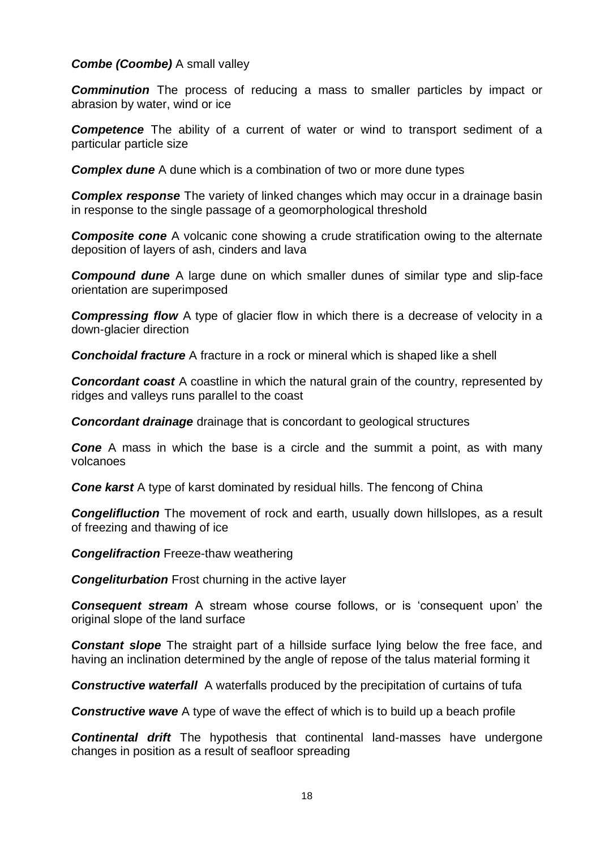## *Combe (Coombe)* A small valley

**Comminution** The process of reducing a mass to smaller particles by impact or abrasion by water, wind or ice

**Competence** The ability of a current of water or wind to transport sediment of a particular particle size

*Complex dune* A dune which is a combination of two or more dune types

**Complex response** The variety of linked changes which may occur in a drainage basin in response to the single passage of a geomorphological threshold

**Composite cone** A volcanic cone showing a crude stratification owing to the alternate deposition of layers of ash, cinders and lava

*Compound dune* A large dune on which smaller dunes of similar type and slip-face orientation are superimposed

*Compressing flow* A type of glacier flow in which there is a decrease of velocity in a down-glacier direction

*Conchoidal fracture* A fracture in a rock or mineral which is shaped like a shell

**Concordant coast** A coastline in which the natural grain of the country, represented by ridges and valleys runs parallel to the coast

*Concordant drainage* drainage that is concordant to geological structures

**Cone** A mass in which the base is a circle and the summit a point, as with many volcanoes

**Cone karst** A type of karst dominated by residual hills. The fencong of China

**Congelifluction** The movement of rock and earth, usually down hillslopes, as a result of freezing and thawing of ice

*Congelifraction* Freeze-thaw weathering

**Congeliturbation** Frost churning in the active layer

*Consequent stream* A stream whose course follows, or is 'consequent upon' the original slope of the land surface

**Constant slope** The straight part of a hillside surface Iving below the free face, and having an inclination determined by the angle of repose of the talus material forming it

**Constructive waterfall** A waterfalls produced by the precipitation of curtains of tufa

*Constructive wave* A type of wave the effect of which is to build up a beach profile

*Continental drift* The hypothesis that continental land-masses have undergone changes in position as a result of seafloor spreading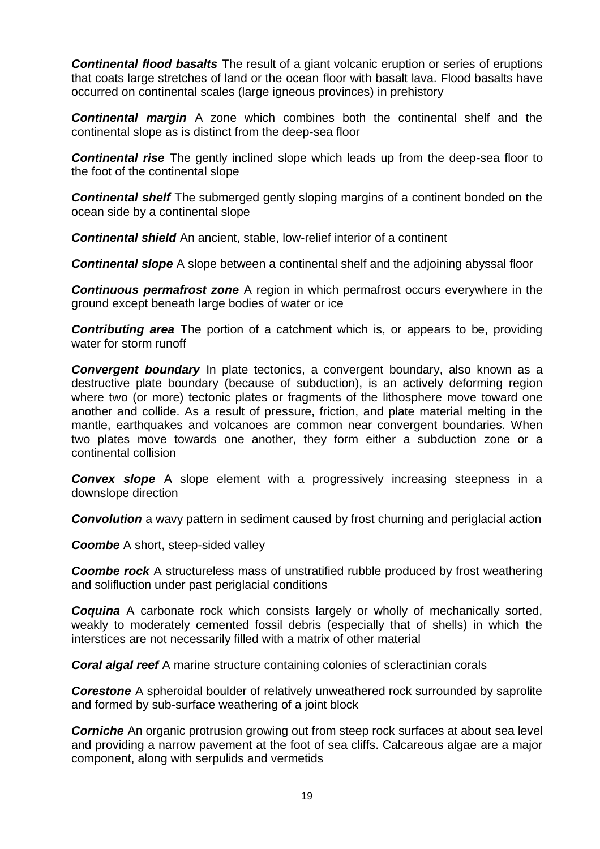*Continental flood basalts* The result of a giant [volcanic eruption](http://en.wikipedia.org/wiki/Volcanic_eruption) or series of [eruptions](http://en.wikipedia.org/wiki/Eruption) that coats large stretches of land or the [ocean](http://en.wikipedia.org/wiki/Ocean) floor with [basalt](http://en.wikipedia.org/wiki/Basalt) [lava.](http://en.wikipedia.org/wiki/Lava) Flood basalts have occurred on [continental](http://en.wikipedia.org/wiki/Continent) scales [\(large igneous provinces\)](http://en.wikipedia.org/wiki/Large_igneous_province) in [prehistory](http://en.wikipedia.org/wiki/Prehistory)

*Continental margin* A zone which combines both the continental shelf and the continental slope as is distinct from the deep-sea floor

**Continental rise** The gently inclined slope which leads up from the deep-sea floor to the foot of the continental slope

*Continental shelf* The submerged gently sloping margins of a continent bonded on the ocean side by a continental slope

*Continental shield* An ancient, stable, low-relief interior of a continent

*Continental slope* A slope between a continental shelf and the adjoining abyssal floor

*Continuous permafrost zone* A region in which permafrost occurs everywhere in the ground except beneath large bodies of water or ice

*Contributing area* The portion of a catchment which is, or appears to be, providing water for storm runoff

**Convergent boundary** In [plate tectonics,](http://en.wikipedia.org/wiki/Plate_tectonics) a convergent boundary, also known as a destructive plate boundary (because of [subduction\)](http://en.wikipedia.org/wiki/Subduction), is an actively deforming region where two (or more) tectonic plates or fragments of the [lithosphere](http://en.wikipedia.org/wiki/Lithosphere) move toward one another and collide. As a result of pressure, friction, and plate material melting in the [mantle,](http://en.wikipedia.org/wiki/Mantle_(geology)) earthquakes and [volcanoes](http://en.wikipedia.org/wiki/Volcano) are common near convergent boundaries. When two plates move towards one another, they form either a subduction zone or a [continental collision](http://en.wikipedia.org/wiki/Continental_collision)

*Convex slope* A slope element with a progressively increasing steepness in a downslope direction

**Convolution** a wavy pattern in sediment caused by frost churning and periglacial action

**Coombe** A short, steep-sided valley

**Coombe rock** A structureless mass of unstratified rubble produced by frost weathering and solifluction under past periglacial conditions

*Coquina* A carbonate rock which consists largely or wholly of mechanically sorted, weakly to moderately cemented fossil debris (especially that of shells) in which the interstices are not necessarily filled with a matrix of other material

*Coral algal reef* A marine structure containing colonies of scleractinian corals

**Corestone** A spheroidal boulder of relatively unweathered rock surrounded by saprolite and formed by sub-surface weathering of a joint block

**Corniche** An organic protrusion growing out from steep rock surfaces at about sea level and providing a narrow pavement at the foot of sea cliffs. Calcareous algae are a major component, along with serpulids and vermetids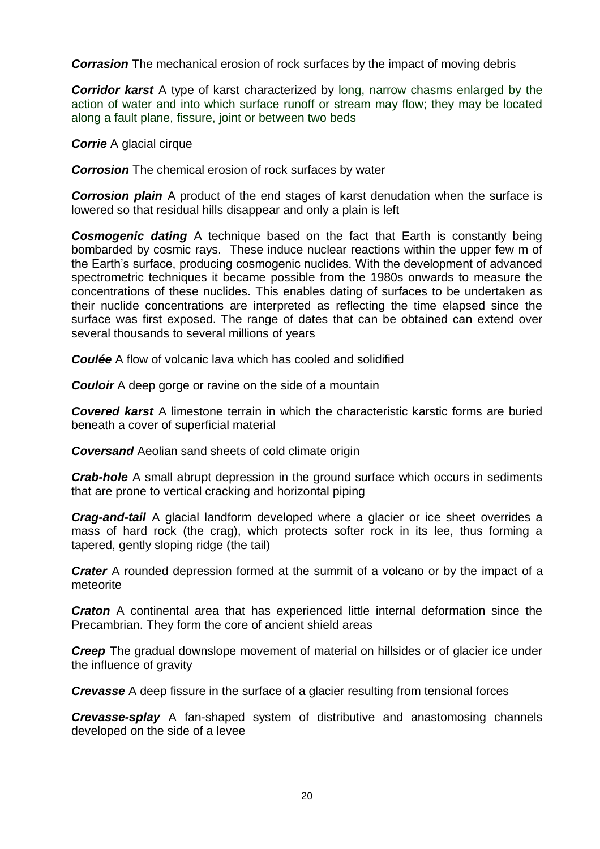**Corrasion** The mechanical erosion of rock surfaces by the impact of moving debris

*Corridor karst* A type of karst characterized by long, narrow chasms enlarged by the action of water and into which surface runoff or stream may flow; they may be located along a fault plane, fissure, joint or between two beds

*Corrie* A glacial cirque

**Corrosion** The chemical erosion of rock surfaces by water

**Corrosion plain** A product of the end stages of karst denudation when the surface is lowered so that residual hills disappear and only a plain is left

**Cosmogenic dating** A technique based on the fact that Earth is constantly being bombarded by cosmic rays. These induce nuclear reactions within the upper few m of the Earth's surface, producing cosmogenic nuclides. With the development of advanced spectrometric techniques it became possible from the 1980s onwards to measure the concentrations of these nuclides. This enables dating of surfaces to be undertaken as their nuclide concentrations are interpreted as reflecting the time elapsed since the surface was first exposed. The range of dates that can be obtained can extend over several thousands to several millions of years

*Coulée* A flow of volcanic lava which has cooled and solidified

**Couloir** A deep gorge or ravine on the side of a mountain

*Covered karst* A limestone terrain in which the characteristic karstic forms are buried beneath a cover of superficial material

*Coversand* Aeolian sand sheets of cold climate origin

*Crab-hole* A small abrupt depression in the ground surface which occurs in sediments that are prone to vertical cracking and horizontal piping

*Crag-and-tail* A glacial landform developed where a glacier or ice sheet overrides a mass of hard rock (the crag), which protects softer rock in its lee, thus forming a tapered, gently sloping ridge (the tail)

*Crater* A rounded depression formed at the summit of a volcano or by the impact of a meteorite

*Craton* A continental area that has experienced little internal deformation since the Precambrian. They form the core of ancient shield areas

**Creep** The gradual downslope movement of material on hillsides or of glacier ice under the influence of gravity

*Crevasse* A deep fissure in the surface of a glacier resulting from tensional forces

*Crevasse-splay* A fan-shaped system of distributive and anastomosing channels developed on the side of a levee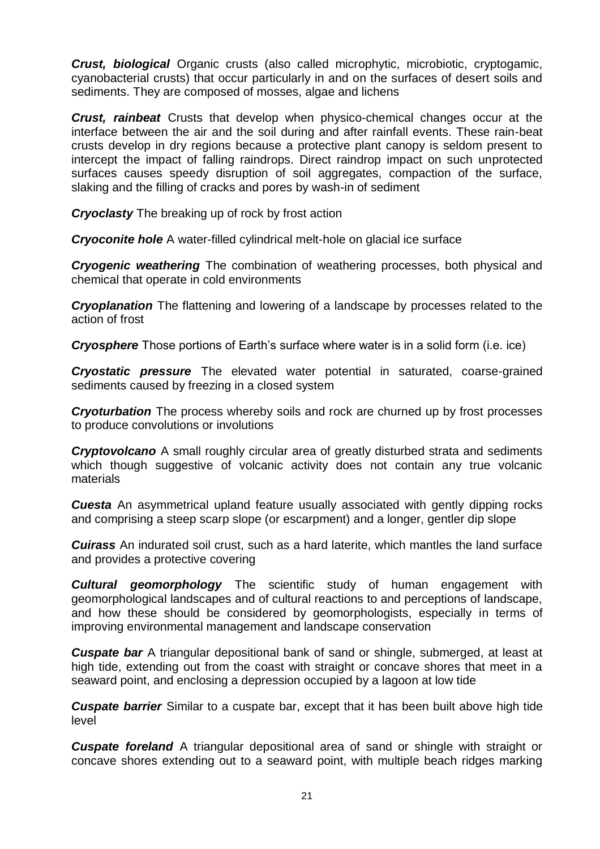*Crust, biological* Organic crusts (also called microphytic, microbiotic, cryptogamic, cyanobacterial crusts) that occur particularly in and on the surfaces of desert soils and sediments. They are composed of mosses, algae and lichens

*Crust, rainbeat* Crusts that develop when physico-chemical changes occur at the interface between the air and the soil during and after rainfall events. These rain-beat crusts develop in dry regions because a protective plant canopy is seldom present to intercept the impact of falling raindrops. Direct raindrop impact on such unprotected surfaces causes speedy disruption of soil aggregates, compaction of the surface, slaking and the filling of cracks and pores by wash-in of sediment

*Cryoclasty* The breaking up of rock by frost action

*Cryoconite hole* A water-filled cylindrical melt-hole on glacial ice surface

*Cryogenic weathering* The combination of weathering processes, both physical and chemical that operate in cold environments

*Cryoplanation* The flattening and lowering of a landscape by processes related to the action of frost

**Cryosphere** Those portions of Earth's surface where water is in a solid form (i.e. ice)

*Cryostatic pressure* The elevated water potential in saturated, coarse-grained sediments caused by freezing in a closed system

*Cryoturbation* The process whereby soils and rock are churned up by frost processes to produce convolutions or involutions

*Cryptovolcano* A small roughly circular area of greatly disturbed strata and sediments which though suggestive of volcanic activity does not contain any true volcanic materials

*Cuesta* An asymmetrical upland feature usually associated with gently dipping rocks and comprising a steep scarp slope (or escarpment) and a longer, gentler dip slope

*Cuirass* An indurated soil crust, such as a hard laterite, which mantles the land surface and provides a protective covering

*Cultural geomorphology* The scientific study of human engagement with geomorphological landscapes and of cultural reactions to and perceptions of landscape, and how these should be considered by geomorphologists, especially in terms of improving environmental management and landscape conservation

*Cuspate bar* A triangular depositional bank of sand or shingle, submerged, at least at high tide, extending out from the coast with straight or concave shores that meet in a seaward point, and enclosing a depression occupied by a lagoon at low tide

*Cuspate barrier* Similar to a cuspate bar, except that it has been built above high tide level

*Cuspate foreland* A triangular depositional area of sand or shingle with straight or concave shores extending out to a seaward point, with multiple beach ridges marking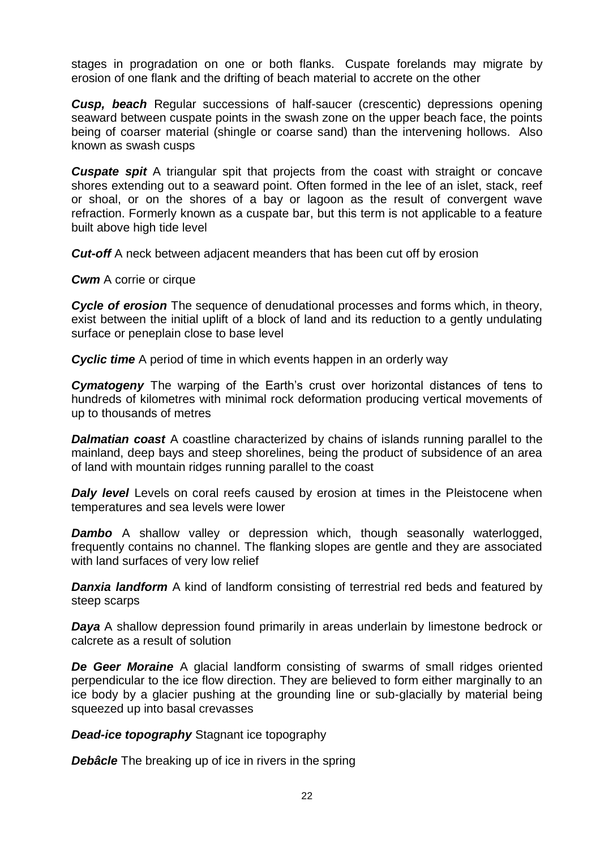stages in progradation on one or both flanks. Cuspate forelands may migrate by erosion of one flank and the drifting of beach material to accrete on the other

**Cusp, beach** Regular successions of half-saucer (crescentic) depressions opening seaward between cuspate points in the swash zone on the upper beach face, the points being of coarser material (shingle or coarse sand) than the intervening hollows. Also known as swash cusps

*Cuspate spit* A triangular spit that projects from the coast with straight or concave shores extending out to a seaward point. Often formed in the lee of an islet, stack, reef or shoal, or on the shores of a bay or lagoon as the result of convergent wave refraction. Formerly known as a cuspate bar, but this term is not applicable to a feature built above high tide level

*Cut-off* A neck between adjacent meanders that has been cut off by erosion

*Cwm* A corrie or cirque

*Cycle of erosion* The sequence of denudational processes and forms which, in theory, exist between the initial uplift of a block of land and its reduction to a gently undulating surface or peneplain close to base level

*Cyclic time* A period of time in which events happen in an orderly way

**Cymatogeny** The warping of the Earth's crust over horizontal distances of tens to hundreds of kilometres with minimal rock deformation producing vertical movements of up to thousands of metres

**Dalmatian coast** A coastline characterized by chains of islands running parallel to the mainland, deep bays and steep shorelines, being the product of subsidence of an area of land with mountain ridges running parallel to the coast

**Daly level** Levels on coral reefs caused by erosion at times in the Pleistocene when temperatures and sea levels were lower

**Dambo** A shallow valley or depression which, though seasonally waterlogged, frequently contains no channel. The flanking slopes are gentle and they are associated with land surfaces of very low relief

**Danxia landform** A kind of landform consisting of terrestrial red beds and featured by steep scarps

**Daya** A shallow depression found primarily in areas underlain by limestone bedrock or calcrete as a result of solution

**De Geer Moraine** A glacial landform consisting of swarms of small ridges oriented perpendicular to the ice flow direction. They are believed to form either marginally to an ice body by a glacier pushing at the grounding line or sub-glacially by material being squeezed up into basal crevasses

*Dead-ice topography* Stagnant ice topography

**Debâcle** The breaking up of ice in rivers in the spring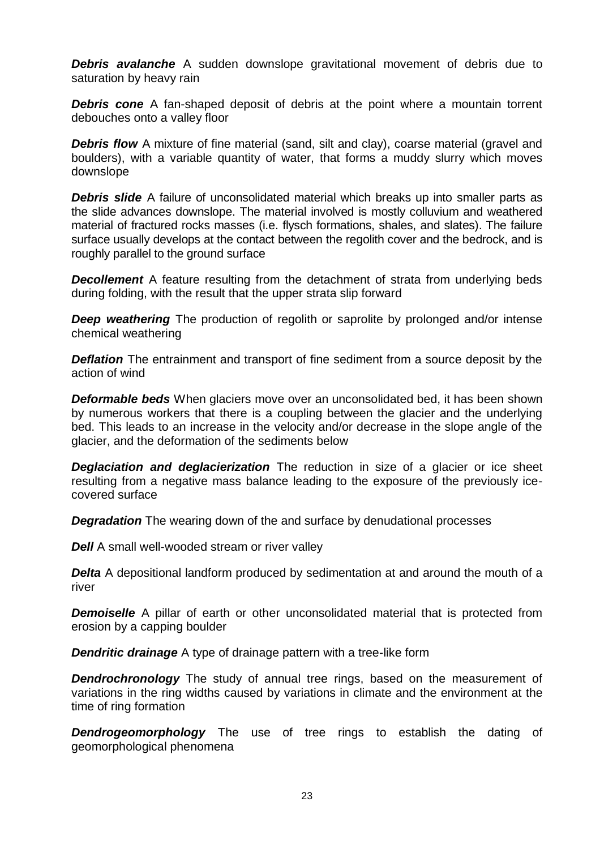*Debris avalanche* A sudden downslope gravitational movement of debris due to saturation by heavy rain

**Debris cone** A fan-shaped deposit of debris at the point where a mountain torrent debouches onto a valley floor

**Debris flow** A mixture of fine material (sand, silt and clay), coarse material (gravel and boulders), with a variable quantity of water, that forms a muddy slurry which moves downslope

*Debris slide* A failure of unconsolidated material which breaks up into smaller parts as the slide advances downslope. The material involved is mostly colluvium and weathered material of fractured rocks masses (i.e. flysch formations, shales, and slates). The failure surface usually develops at the contact between the regolith cover and the bedrock, and is roughly parallel to the ground surface

**Decollement** A feature resulting from the detachment of strata from underlying beds during folding, with the result that the upper strata slip forward

**Deep weathering** The production of regolith or saprolite by prolonged and/or intense chemical weathering

**Deflation** The entrainment and transport of fine sediment from a source deposit by the action of wind

*Deformable beds* When glaciers move over an unconsolidated bed, it has been shown by numerous workers that there is a coupling between the glacier and the underlying bed. This leads to an increase in the velocity and/or decrease in the slope angle of the glacier, and the deformation of the sediments below

**Deglaciation and deglacierization** The reduction in size of a glacier or ice sheet resulting from a negative mass balance leading to the exposure of the previously icecovered surface

*Degradation* The wearing down of the and surface by denudational processes

*Dell* A small well-wooded stream or river valley

**Delta** A depositional landform produced by sedimentation at and around the mouth of a river

**Demoiselle** A pillar of earth or other unconsolidated material that is protected from erosion by a capping boulder

**Dendritic drainage** A type of drainage pattern with a tree-like form

**Dendrochronology** The study of annual tree rings, based on the measurement of variations in the ring widths caused by variations in climate and the environment at the time of ring formation

**Dendrogeomorphology** The use of tree rings to establish the dating of geomorphological phenomena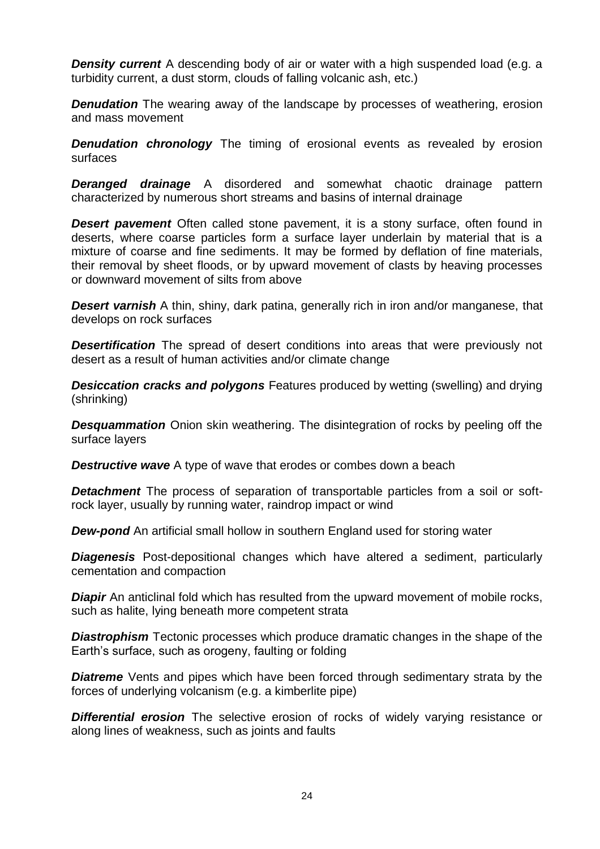**Density current** A descending body of air or water with a high suspended load (e.g. a turbidity current, a dust storm, clouds of falling volcanic ash, etc.)

**Denudation** The wearing away of the landscape by processes of weathering, erosion and mass movement

**Denudation chronology** The timing of erosional events as revealed by erosion surfaces

*Deranged drainage* A disordered and somewhat chaotic drainage pattern characterized by numerous short streams and basins of internal drainage

*Desert pavement* Often called stone pavement, it is a stony surface, often found in deserts, where coarse particles form a surface layer underlain by material that is a mixture of coarse and fine sediments. It may be formed by deflation of fine materials, their removal by sheet floods, or by upward movement of clasts by heaving processes or downward movement of silts from above

**Desert varnish** A thin, shiny, dark patina, generally rich in iron and/or manganese, that develops on rock surfaces

**Desertification** The spread of desert conditions into areas that were previously not desert as a result of human activities and/or climate change

**Desiccation cracks and polygons** Features produced by wetting (swelling) and drying (shrinking)

*Desquammation* Onion skin weathering. The disintegration of rocks by peeling off the surface layers

**Destructive wave** A type of wave that erodes or combes down a beach

**Detachment** The process of separation of transportable particles from a soil or softrock layer, usually by running water, raindrop impact or wind

*Dew-pond* An artificial small hollow in southern England used for storing water

*Diagenesis* Post-depositional changes which have altered a sediment, particularly cementation and compaction

*Diapir* An anticlinal fold which has resulted from the upward movement of mobile rocks, such as halite, lying beneath more competent strata

*Diastrophism* Tectonic processes which produce dramatic changes in the shape of the Earth's surface, such as orogeny, faulting or folding

**Diatreme** Vents and pipes which have been forced through sedimentary strata by the forces of underlying volcanism (e.g. a kimberlite pipe)

**Differential erosion** The selective erosion of rocks of widely varying resistance or along lines of weakness, such as joints and faults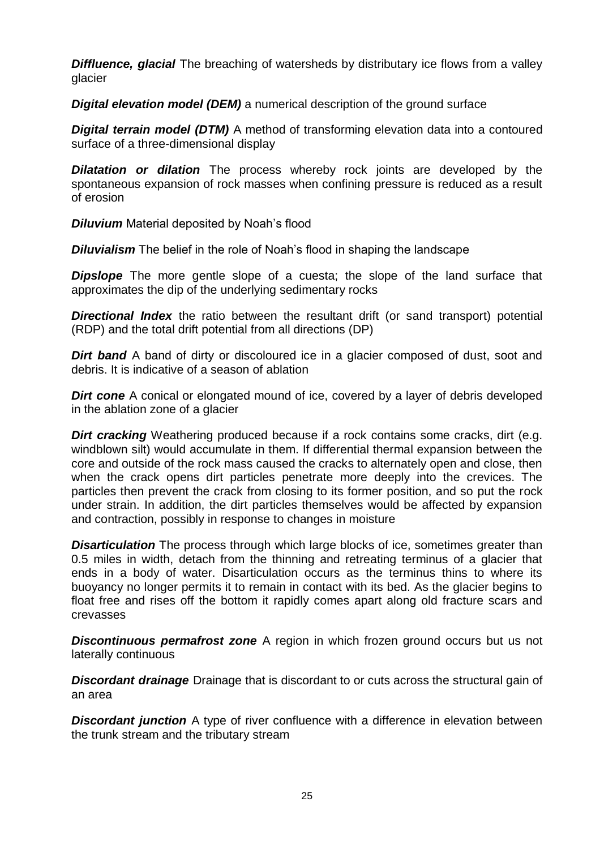**Diffluence, glacial** The breaching of watersheds by distributary ice flows from a valley glacier

*Digital elevation model (DEM)* a numerical description of the ground surface

*Digital terrain model (DTM)* A method of [transformi](http://en.mimi.hu/gis/transform.html)ng [elevation](http://en.mimi.hu/gis/elevation.html) data into a [contoure](http://en.mimi.hu/gis/contour.html)d [surface](http://en.mimi.hu/gis/surface.html) of a three-dimensional display

*Dilatation or dilation* The process whereby rock joints are developed by the spontaneous expansion of rock masses when confining pressure is reduced as a result of erosion

*Diluvium* Material deposited by Noah's flood

*Diluvialism* The belief in the role of Noah's flood in shaping the landscape

**Dipslope** The more gentle slope of a cuesta; the slope of the land surface that approximates the dip of the underlying sedimentary rocks

**Directional Index** the ratio between the resultant drift (or sand transport) potential (RDP) and the total drift potential from all directions (DP)

*Dirt band* A band of dirty or discoloured ice in a glacier composed of dust, soot and debris. It is indicative of a season of ablation

**Dirt cone** A conical or elongated mound of ice, covered by a layer of debris developed in the ablation zone of a glacier

**Dirt cracking** Weathering produced because if a rock contains some cracks, dirt (e.g. windblown silt) would accumulate in them. If differential thermal expansion between the core and outside of the rock mass caused the cracks to alternately open and close, then when the crack opens dirt particles penetrate more deeply into the crevices. The particles then prevent the crack from closing to its former position, and so put the rock under strain. In addition, the dirt particles themselves would be affected by expansion and contraction, possibly in response to changes in moisture

**Disarticulation** The process through which large blocks of ice, sometimes greater than 0.5 miles in width, detach from the thinning and retreating terminus of a glacier that ends in a body of water. Disarticulation occurs as the terminus thins to where its buoyancy no longer permits it to remain in contact with its bed. As the glacier begins to float free and rises off the bottom it rapidly comes apart along old fracture scars and crevasses

**Discontinuous permafrost zone** A region in which frozen ground occurs but us not laterally continuous

*Discordant drainage* Drainage that is discordant to or cuts across the structural gain of an area

**Discordant junction** A type of river confluence with a difference in elevation between the trunk stream and the tributary stream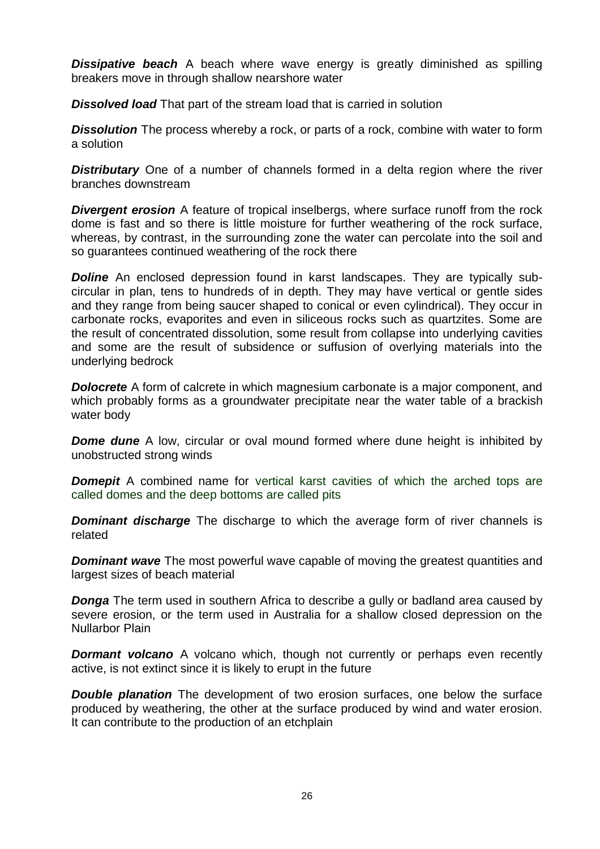**Dissipative beach** A beach where wave energy is greatly diminished as spilling breakers move in through shallow nearshore water

*Dissolved load* That part of the stream load that is carried in solution

**Dissolution** The process whereby a rock, or parts of a rock, combine with water to form a solution

**Distributary** One of a number of channels formed in a delta region where the river branches downstream

**Divergent erosion** A feature of tropical inselbergs, where surface runoff from the rock dome is fast and so there is little moisture for further weathering of the rock surface, whereas, by contrast, in the surrounding zone the water can percolate into the soil and so guarantees continued weathering of the rock there

**Doline** An enclosed depression found in karst landscapes. They are typically subcircular in plan, tens to hundreds of in depth. They may have vertical or gentle sides and they range from being saucer shaped to conical or even cylindrical). They occur in carbonate rocks, evaporites and even in siliceous rocks such as quartzites. Some are the result of concentrated dissolution, some result from collapse into underlying cavities and some are the result of subsidence or suffusion of overlying materials into the underlying bedrock

**Dolocrete** A form of calcrete in which magnesium carbonate is a major component, and which probably forms as a groundwater precipitate near the water table of a brackish water body

**Dome dune** A low, circular or oval mound formed where dune height is inhibited by unobstructed strong winds

**Domepit** A combined name for vertical karst cavities of which the arched tops are called domes and the deep bottoms are called pits

**Dominant discharge** The discharge to which the average form of river channels is related

**Dominant wave** The most powerful wave capable of moving the greatest quantities and largest sizes of beach material

**Donga** The term used in southern Africa to describe a gully or badland area caused by severe erosion, or the term used in Australia for a shallow closed depression on the Nullarbor Plain

*Dormant volcano* A volcano which, though not currently or perhaps even recently active, is not extinct since it is likely to erupt in the future

*Double planation* The development of two erosion surfaces, one below the surface produced by weathering, the other at the surface produced by wind and water erosion. It can contribute to the production of an etchplain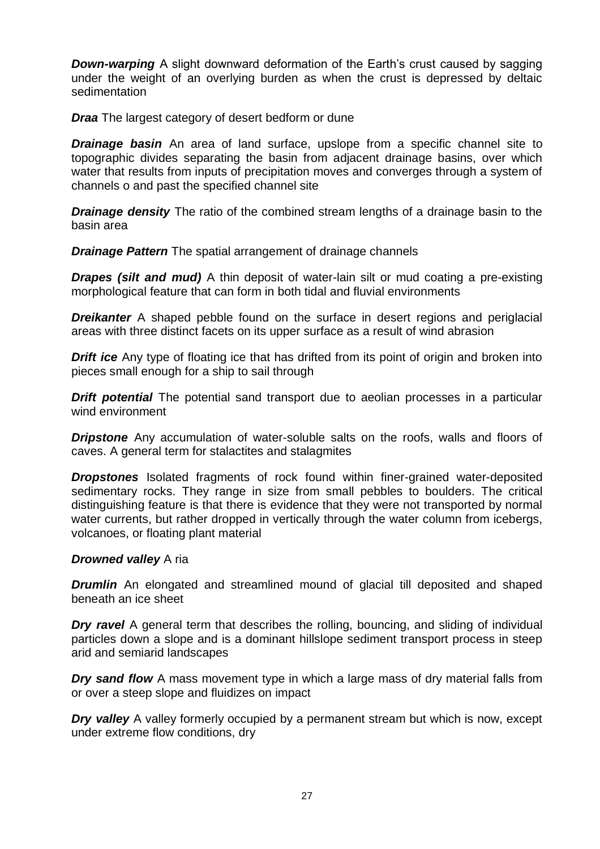*Down-warping* A slight downward deformation of the Earth's crust caused by sagging under the weight of an overlying burden as when the crust is depressed by deltaic sedimentation

*Draa* The largest category of desert bedform or dune

**Drainage basin** An area of land surface, upslope from a specific channel site to topographic divides separating the basin from adjacent drainage basins, over which water that results from inputs of precipitation moves and converges through a system of channels o and past the specified channel site

*Drainage density* The ratio of the combined stream lengths of a drainage basin to the basin area

*Drainage Pattern* The spatial arrangement of drainage channels

**Drapes (silt and mud)** A thin deposit of water-lain silt or mud coating a pre-existing morphological feature that can form in both tidal and fluvial environments

**Dreikanter** A shaped pebble found on the surface in desert regions and periglacial areas with three distinct facets on its upper surface as a result of wind abrasion

**Drift ice** Any type of floating ice that has drifted from its point of origin and broken into pieces small enough for a ship to sail through

**Drift potential** The potential sand transport due to aeolian processes in a particular wind environment

**Dripstone** Any accumulation of water-soluble salts on the roofs, walls and floors of caves. A general term for stalactites and stalagmites

*Dropstones* Isolated fragments of rock found within finer-grained water-deposited [sedimentary rocks.](http://en.wikipedia.org/wiki/Sedimentary_rock) They range in size from small pebbles to boulders. The critical distinguishing feature is that there is evidence that they were not transported by normal water currents, but rather dropped in vertically through the water column from icebergs, volcanoes, or floating plant material

## *Drowned valley* A ria

*Drumlin* An elongated and streamlined mound of glacial till deposited and shaped beneath an ice sheet

*Dry ravel* A general term that describes the rolling, bouncing, and sliding of individual particles down a slope and is a dominant hillslope sediment transport process in steep arid and semiarid landscapes

*Dry sand flow* A mass movement type in which a large mass of dry material falls from or over a steep slope and fluidizes on impact

*Dry valley* A valley formerly occupied by a permanent stream but which is now, except under extreme flow conditions, dry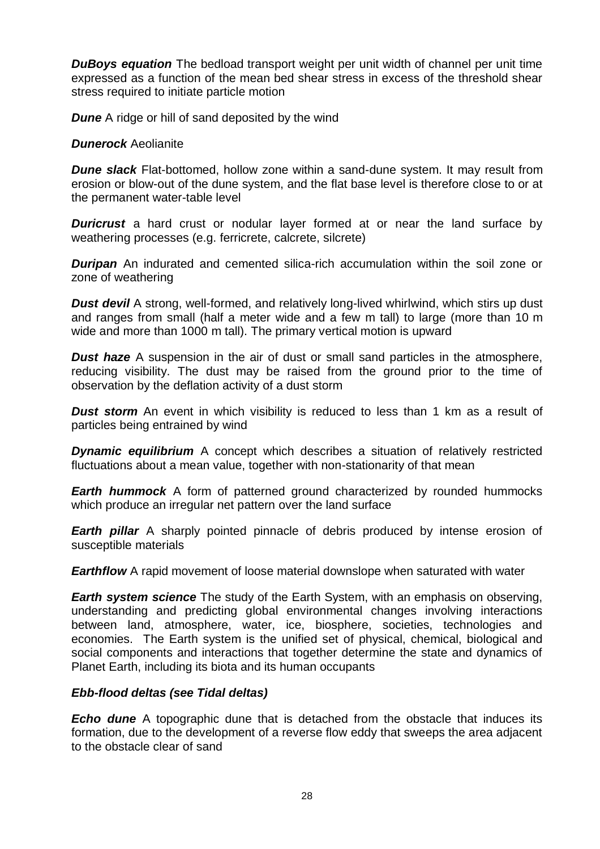*DuBoys equation* The bedload transport weight per unit width of channel per unit time expressed as a function of the mean bed shear stress in excess of the threshold shear stress required to initiate particle motion

*Dune* A ridge or hill of sand deposited by the wind

#### *Dunerock* Aeolianite

*Dune slack* Flat-bottomed, hollow zone within a sand-dune system. It may result from erosion or blow-out of the dune system, and the flat base level is therefore close to or at the permanent water-table level

**Duricrust** a hard crust or nodular layer formed at or near the land surface by weathering processes (e.g. ferricrete, calcrete, silcrete)

*Duripan* An indurated and cemented silica-rich accumulation within the soil zone or zone of weathering

**Dust devil** A strong, well-formed, and relatively long-lived [whirlwind,](http://en.wikipedia.org/wiki/Whirlwind) which stirs up dust and ranges from small (half a meter wide and a few m tall) to large (more than 10 m wide and more than 1000 m tall). The primary vertical motion is upward

**Dust haze** A suspension in the air of dust or small sand particles in the atmosphere, reducing visibility. The dust may be raised from the ground prior to the time of observation by the deflation activity of a dust storm

**Dust storm** An event in which visibility is reduced to less than 1 km as a result of particles being entrained by wind

**Dynamic equilibrium** A concept which describes a situation of relatively restricted fluctuations about a mean value, together with non-stationarity of that mean

*Earth hummock* A form of patterned ground characterized by rounded hummocks which produce an irregular net pattern over the land surface

**Earth pillar** A sharply pointed pinnacle of debris produced by intense erosion of susceptible materials

*Earthflow* A rapid movement of loose material downslope when saturated with water

*Earth system science* The study of the Earth System, with an emphasis on observing, understanding and predicting global environmental changes involving interactions between land, atmosphere, water, ice, biosphere, societies, technologies and economies. The Earth system is the unified set of physical, chemical, biological and social components and interactions that together determine the state and dynamics of Planet Earth, including its biota and its human occupants

## *Ebb-flood deltas (see Tidal deltas)*

*Echo dune* A topographic dune that is detached from the obstacle that induces its formation, due to the development of a reverse flow eddy that sweeps the area adjacent to the obstacle clear of sand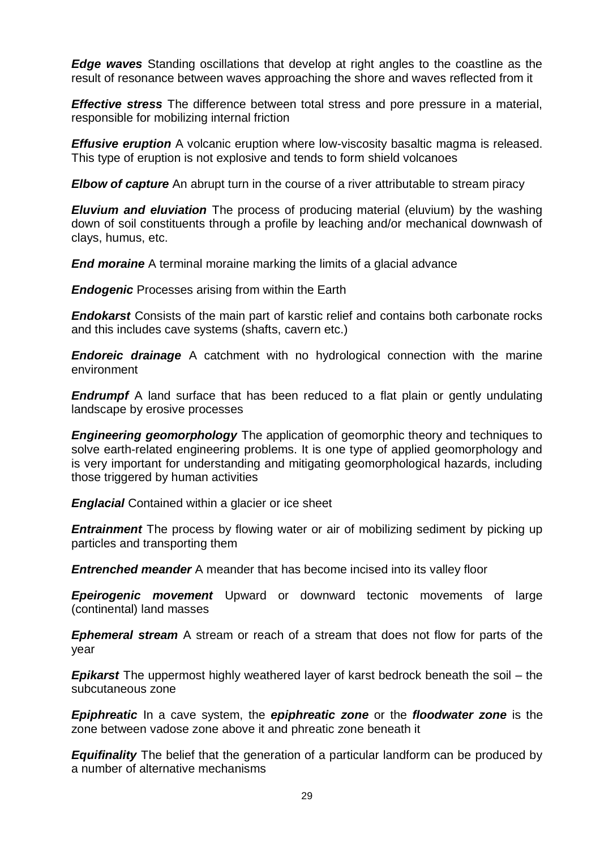*Edge waves* Standing oscillations that develop at right angles to the coastline as the result of resonance between waves approaching the shore and waves reflected from it

*Effective stress* The difference between total stress and pore pressure in a material, responsible for mobilizing internal friction

*Effusive eruption* A [volcanic](http://www.physicalgeography.net/physgeoglos/v.html#volcano) eruption where low[-viscosity](http://www.physicalgeography.net/physgeoglos/v.html#viscosity) [basaltic magma](http://www.physicalgeography.net/physgeoglos/b.html#basaltic_magma) is released. This type of eruption is not explosive and tends to form [shield volcanoes](http://www.physicalgeography.net/physgeoglos/s.html#shield_volcano)

*Elbow of capture* An abrupt turn in the course of a river attributable to stream piracy

*Eluvium and eluviation* The process of producing material (eluvium) by the washing down of soil constituents through a profile by leaching and/or mechanical downwash of clays, humus, etc.

*End moraine* A terminal moraine marking the limits of a glacial advance

*Endogenic* Processes arising from within the Earth

*Endokarst* Consists of the main part of karstic relief and contains both carbonate rocks and this includes cave systems (shafts, cavern etc.)

*Endoreic drainage* A catchment with no hydrological connection with the marine environment

**Endrumpf** A land surface that has been reduced to a flat plain or gently undulating landscape by erosive processes

*Engineering geomorphology* The application of geomorphic theory and techniques to solve earth-related engineering problems. It is one type of applied geomorphology and is very important for understanding and mitigating geomorphological hazards, including those triggered by human activities

*Englacial* Contained within a glacier or ice sheet

**Entrainment** The process by flowing water or air of mobilizing sediment by picking up particles and transporting them

*Entrenched meander* A meander that has become incised into its valley floor

*Epeirogenic movement* Upward or downward tectonic movements of large (continental) land masses

*Ephemeral stream* A stream or reach of a stream that does not flow for parts of the year

*Epikarst* The uppermost highly weathered layer of karst bedrock beneath the soil – the subcutaneous zone

*Epiphreatic* In a [cave system,](http://en.wikipedia.org/wiki/Cave_system) the *epiphreatic zone* or the *floodwater zone* is the zone between [vadose zone](http://en.wikipedia.org/wiki/Vadose_zone) above it and [phreatic zone](http://en.wikipedia.org/wiki/Phreatic_zone) beneath it

*Equifinality* The belief that the generation of a particular landform can be produced by a number of alternative mechanisms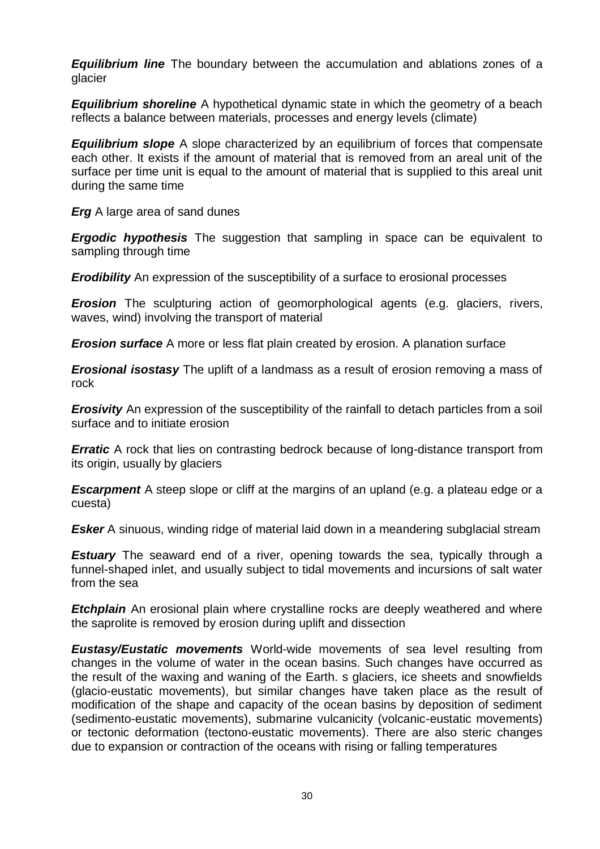*Equilibrium line* The boundary between the accumulation and ablations zones of a glacier

*Equilibrium shoreline* A hypothetical dynamic state in which the geometry of a beach reflects a balance between materials, processes and energy levels (climate)

*Equilibrium slope* A slope characterized by an equilibrium of forces that compensate each other. It exists if the amount of material that is removed from an areal unit of the surface per time unit is equal to the amount of material that is supplied to this areal unit during the same time

*Erg* A large area of sand dunes

*Ergodic hypothesis* The suggestion that sampling in space can be equivalent to sampling through time

*Erodibility* An expression of the susceptibility of a surface to erosional processes

*Erosion* The sculpturing action of geomorphological agents (e.g. glaciers, rivers, waves, wind) involving the transport of material

*Erosion surface* A more or less flat plain created by erosion. A planation surface

*Erosional isostasy* The uplift of a landmass as a result of erosion removing a mass of rock

*Erosivity* An expression of the susceptibility of the rainfall to detach particles from a soil surface and to initiate erosion

*Erratic* A rock that lies on contrasting bedrock because of long-distance transport from its origin, usually by glaciers

**Escarpment** A steep slope or cliff at the margins of an upland (e.g. a plateau edge or a cuesta)

**Esker** A sinuous, winding ridge of material laid down in a meandering subglacial stream

**Estuary** The seaward end of a river, opening towards the sea, typically through a funnel-shaped inlet, and usually subject to tidal movements and incursions of salt water from the sea

*Etchplain* An erosional plain where crystalline rocks are deeply weathered and where the saprolite is removed by erosion during uplift and dissection

*Eustasy/Eustatic movements* World-wide movements of sea level resulting from changes in the volume of water in the ocean basins. Such changes have occurred as the result of the waxing and waning of the Earth. s glaciers, ice sheets and snowfields (glacio-eustatic movements), but similar changes have taken place as the result of modification of the shape and capacity of the ocean basins by deposition of sediment (sedimento-eustatic movements), submarine vulcanicity (volcanic-eustatic movements) or tectonic deformation (tectono-eustatic movements). There are also steric changes due to expansion or contraction of the oceans with rising or falling temperatures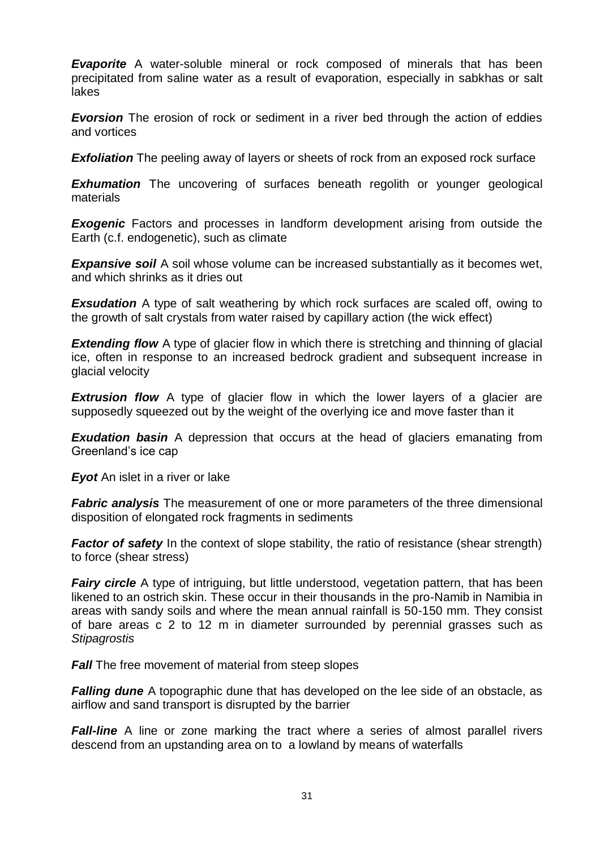**Evaporite** A water-soluble mineral or rock composed of minerals that has been precipitated from saline water as a result of evaporation, especially in sabkhas or salt lakes

**Evorsion** The erosion of rock or sediment in a river bed through the action of eddies and vortices

*Exfoliation* The peeling away of layers or sheets of rock from an exposed rock surface

**Exhumation** The uncovering of surfaces beneath regolith or younger geological materials

**Exogenic** Factors and processes in landform development arising from outside the Earth (c.f. endogenetic), such as climate

**Expansive soil** A soil whose volume can be increased substantially as it becomes wet. and which shrinks as it dries out

**Exsudation** A type of salt weathering by which rock surfaces are scaled off, owing to the growth of salt crystals from water raised by capillary action (the wick effect)

**Extending flow** A type of glacier flow in which there is stretching and thinning of glacial ice, often in response to an increased bedrock gradient and subsequent increase in glacial velocity

**Extrusion flow** A type of glacier flow in which the lower layers of a glacier are supposedly squeezed out by the weight of the overlying ice and move faster than it

**Exudation basin** A depression that occurs at the head of glaciers emanating from Greenland's ice cap

*Eyot* An islet in a river or lake

*Fabric analysis* The measurement of one or more parameters of the three dimensional disposition of elongated rock fragments in sediments

**Factor of safety** In the context of slope stability, the ratio of resistance (shear strength) to force (shear stress)

*Fairy circle* A type of intriguing, but little understood, vegetation pattern, that has been likened to an ostrich skin. These occur in their thousands in the pro-Namib in Namibia in areas with sandy soils and where the mean annual rainfall is 50-150 mm. They consist of bare areas c 2 to 12 m in diameter surrounded by perennial grasses such as *Stipagrostis*

**Fall** The free movement of material from steep slopes

*Falling dune* A topographic dune that has developed on the lee side of an obstacle, as airflow and sand transport is disrupted by the barrier

**Fall-line** A line or zone marking the tract where a series of almost parallel rivers descend from an upstanding area on to a lowland by means of waterfalls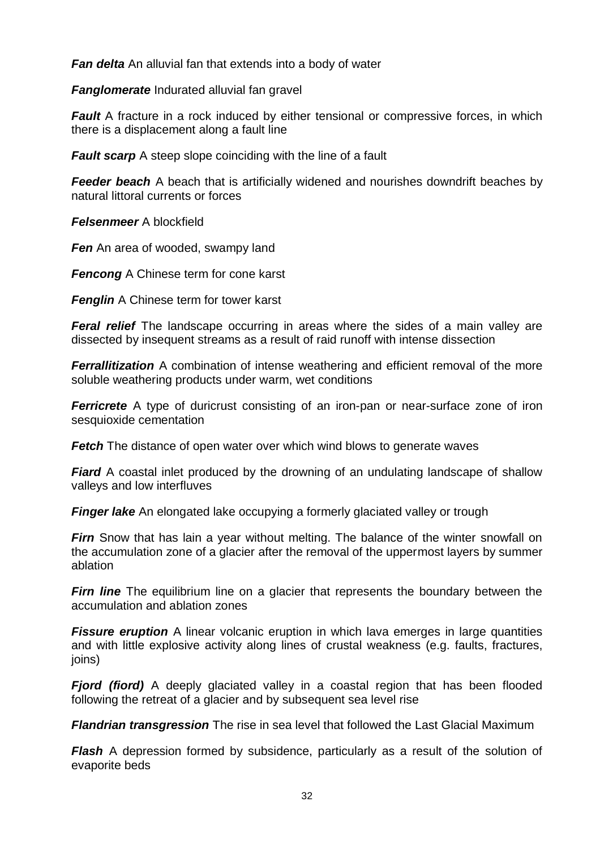*Fan delta* An alluvial fan that extends into a body of water

*Fanglomerate* Indurated alluvial fan gravel

*Fault* A fracture in a rock induced by either tensional or compressive forces, in which there is a displacement along a fault line

*Fault scarp* A steep slope coinciding with the line of a fault

**Feeder beach** A beach that is artificially widened and nourishes downdrift beaches by natural littoral currents or forces

*Felsenmeer* A blockfield

**Fen** An area of wooded, swampy land

*Fencong* A Chinese term for cone karst

*Fenglin* A Chinese term for tower karst

*Feral relief* The landscape occurring in areas where the sides of a main valley are dissected by insequent streams as a result of raid runoff with intense dissection

*Ferrallitization* A combination of intense weathering and efficient removal of the more soluble weathering products under warm, wet conditions

*Ferricrete* A type of duricrust consisting of an iron-pan or near-surface zone of iron sesquioxide cementation

**Fetch** The distance of open water over which wind blows to generate waves

*Fiard* A coastal inlet produced by the drowning of an undulating landscape of shallow valleys and low interfluves

**Finger lake** An elongated lake occupying a formerly glaciated valley or trough

*Firn* Snow that has lain a year without melting. The balance of the winter snowfall on the accumulation zone of a glacier after the removal of the uppermost layers by summer ablation

*Firn line* The equilibrium line on a glacier that represents the boundary between the accumulation and ablation zones

*Fissure eruption* A linear volcanic eruption in which lava emerges in large quantities and with little explosive activity along lines of crustal weakness (e.g. faults, fractures, joins)

**Fjord (fiord)** A deeply glaciated valley in a coastal region that has been flooded following the retreat of a glacier and by subsequent sea level rise

*Flandrian transgression* The rise in sea level that followed the Last Glacial Maximum

*Flash* A depression formed by subsidence, particularly as a result of the solution of evaporite beds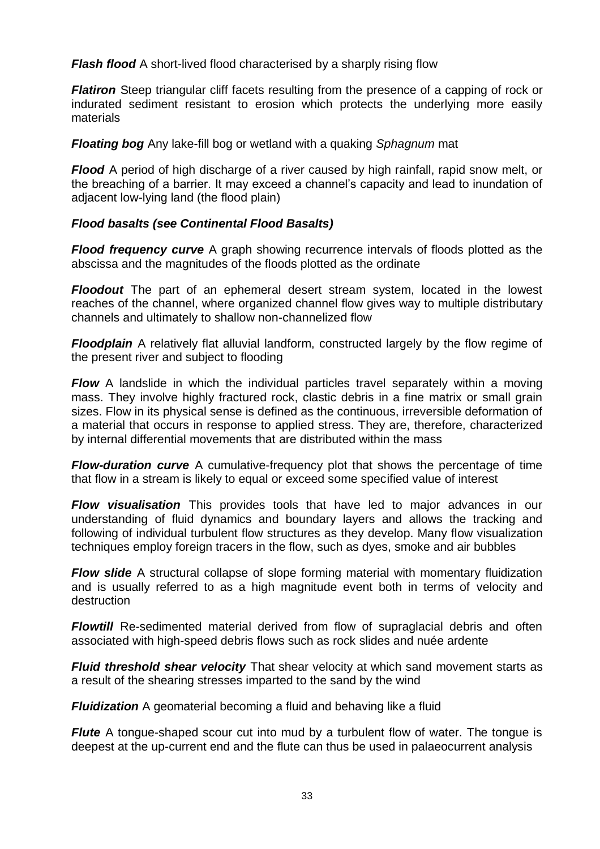*Flash flood* A short-lived flood characterised by a sharply rising flow

*Flatiron* Steep triangular cliff facets resulting from the presence of a capping of rock or indurated sediment resistant to erosion which protects the underlying more easily materials

*Floating bog* Any lake-fill bog or wetland with a quaking *Sphagnum* mat

*Flood* A period of high discharge of a river caused by high rainfall, rapid snow melt, or the breaching of a barrier. It may exceed a channel's capacity and lead to inundation of adjacent low-lying land (the flood plain)

## *Flood basalts (see Continental Flood Basalts)*

*Flood frequency curve* A graph showing recurrence intervals of floods plotted as the abscissa and the magnitudes of the floods plotted as the ordinate

*Floodout* The part of an ephemeral desert stream system, located in the lowest reaches of the channel, where organized channel flow gives way to multiple distributary channels and ultimately to shallow non-channelized flow

*Floodplain* A relatively flat alluvial landform, constructed largely by the flow regime of the present river and subject to flooding

*Flow* A landslide in which the individual particles travel separately within a moving mass. They involve highly fractured rock, clastic debris in a fine matrix or small grain sizes. Flow in its physical sense is defined as the continuous, irreversible deformation of a material that occurs in response to applied stress. They are, therefore, characterized by internal differential movements that are distributed within the mass

*Flow-duration curve* A cumulative-frequency plot that shows the percentage of time that flow in a stream is likely to equal or exceed some specified value of interest

*Flow visualisation* This provides tools that have led to major advances in our understanding of fluid dynamics and boundary layers and allows the tracking and following of individual turbulent flow structures as they develop. Many flow visualization techniques employ foreign tracers in the flow, such as dyes, smoke and air bubbles

*Flow slide* A structural collapse of slope forming material with momentary fluidization and is usually referred to as a high magnitude event both in terms of velocity and destruction

**Flowtill** Re-sedimented material derived from flow of supraglacial debris and often associated with high-speed debris flows such as rock slides and nuée ardente

*Fluid threshold shear velocity* That shear velocity at which sand movement starts as a result of the shearing stresses imparted to the sand by the wind

*Fluidization* A geomaterial becoming a fluid and behaving like a fluid

*Flute* A tongue-shaped scour cut into mud by a turbulent flow of water. The tongue is deepest at the up-current end and the flute can thus be used in palaeocurrent analysis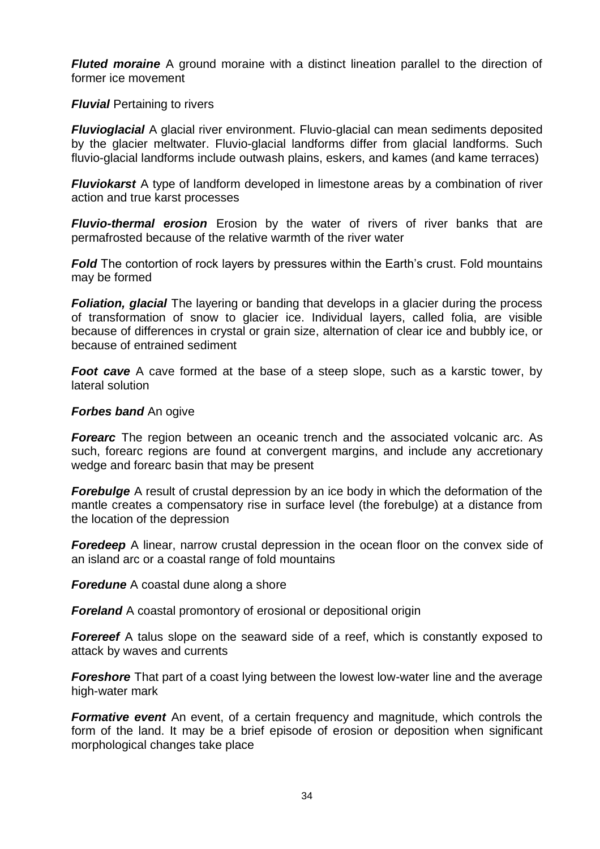*Fluted moraine* A ground moraine with a distinct lineation parallel to the direction of former ice movement

*Fluvial* Pertaining to rivers

*Fluvioglacial* A glacial river environment. Fluvio-glacial can mean [sediments](http://en.wikipedia.org/wiki/Sediment) [deposited](http://en.wikipedia.org/wiki/Deposition_(geology)) by the glacier [meltwater.](http://en.wikipedia.org/wiki/Meltwater) Fluvio-glacial landforms differ from glacial landforms. Such fluvio-glacial landforms include outwash plains, eskers, and kames (and kame terraces)

*Fluviokarst* A type of landform developed in limestone areas by a combination of river action and true karst processes

*Fluvio-thermal erosion* Erosion by the water of rivers of river banks that are permafrosted because of the relative warmth of the river water

*Fold* The contortion of rock layers by pressures within the Earth's crust. Fold mountains may be formed

**Foliation, glacial** The layering or banding that develops in a glacier during the process of transformation of snow to glacier ice. Individual layers, called folia, are visible because of differences in crystal or grain size, alternation of clear ice and bubbly ice, or because of entrained sediment

**Foot cave** A cave formed at the base of a steep slope, such as a karstic tower, by lateral solution

#### *Forbes band* An ogive

*Forearc* The region between an [oceanic trench](http://en.wikipedia.org/wiki/Oceanic_trench) and the associated [volcanic arc.](http://en.wikipedia.org/wiki/Volcanic_arc) As such, forearc regions are found at [convergent margins,](http://en.wikipedia.org/wiki/Convergent_boundary) and include any [accretionary](http://en.wikipedia.org/wiki/Accretionary_wedge)  [wedge](http://en.wikipedia.org/wiki/Accretionary_wedge) and forearc basin that may be present

*Forebulge* A result of crustal depression by an ice body in which the deformation of the mantle creates a compensatory rise in surface level (the forebulge) at a distance from the location of the depression

**Foredeep** A linear, narrow crustal depression in the ocean floor on the convex side of an island arc or a coastal range of fold mountains

*Foredune* A coastal dune along a shore

*Foreland* A coastal promontory of erosional or depositional origin

*Forereef* A talus slope on the seaward side of a reef, which is constantly exposed to attack by waves and currents

**Foreshore** That part of a coast lying between the lowest low-water line and the average high-water mark

**Formative event** An event, of a certain frequency and magnitude, which controls the form of the land. It may be a brief episode of erosion or deposition when significant morphological changes take place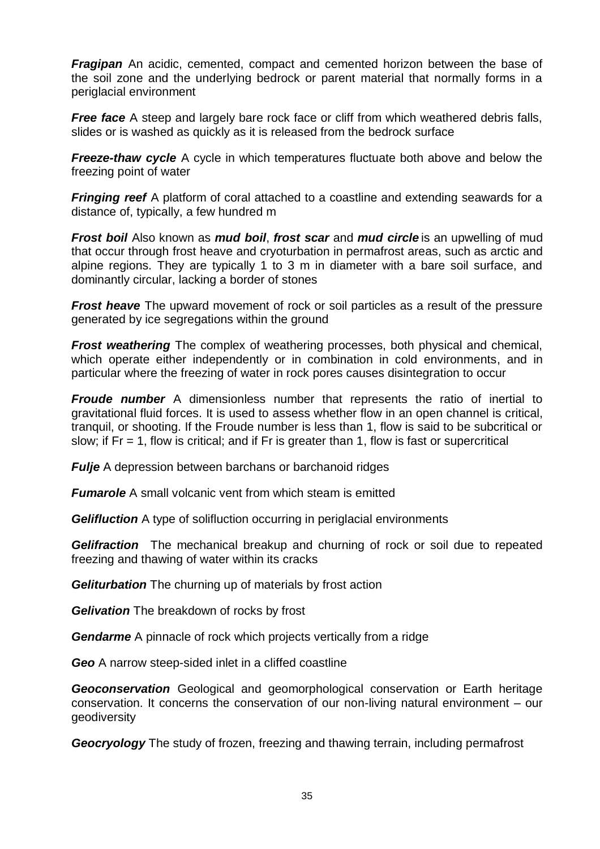*Fragipan* An acidic, cemented, compact and cemented horizon between the base of the soil zone and the underlying bedrock or parent material that normally forms in a periglacial environment

**Free face** A steep and largely bare rock face or cliff from which weathered debris falls, slides or is washed as quickly as it is released from the bedrock surface

*Freeze-thaw cycle* A cycle in which temperatures fluctuate both above and below the freezing point of water

*Fringing reef* A platform of coral attached to a coastline and extending seawards for a distance of, typically, a few hundred m

*Frost boil* Also known as *mud boil*, *frost scar* and *mud circle* is an upwelling of [mud](http://en.wikipedia.org/wiki/Mud) that occur through [frost heave](http://en.wikipedia.org/wiki/Frost_heave) and [cryoturbation](http://en.wikipedia.org/wiki/Cryoturbation) in [permafrost](http://en.wikipedia.org/wiki/Permafrost) areas, such as arctic and alpine regions. They are typically 1 to 3 m in diameter with a bare soil surface, and dominantly circular, lacking a border of stones

*Frost heave* The upward movement of rock or soil particles as a result of the pressure generated by ice segregations within the ground

*Frost weathering* The complex of weathering processes, both physical and chemical, which operate either independently or in combination in cold environments, and in particular where the freezing of water in rock pores causes disintegration to occur

*Froude number* A dimensionless number that represents the ratio of inertial to gravitational fluid forces. It is used to assess whether flow in an open channel is critical, tranquil, or shooting. If the Froude number is less than 1, flow is said to be subcritical or slow; if  $Fr = 1$ , flow is critical; and if  $Fr$  is greater than 1, flow is fast or supercritical

*Fulje* A depression between barchans or barchanoid ridges

*Fumarole* A small volcanic vent from which steam is emitted

**Gelifluction** A type of solifluction occurring in periglacial environments

**Gelifraction** The mechanical [breakup](http://en.wiktionary.org/wiki/breakup) and [churning](http://en.wiktionary.org/wiki/churning) of [rock](http://en.wiktionary.org/wiki/rock) or [soil](http://en.wiktionary.org/wiki/soil) due to repeated [freezing](http://en.wiktionary.org/wiki/freezing) and [thawing](http://en.wiktionary.org/wiki/thawing) of [water](http://en.wiktionary.org/wiki/water) within its cracks

*Geliturbation* The churning up of materials by frost action

*Gelivation* The breakdown of rocks by frost

*Gendarme* A pinnacle of rock which projects vertically from a ridge

*Geo* A narrow steep-sided inlet in a cliffed coastline

*Geoconservation* Geological and geomorphological conservation or Earth heritage conservation. It concerns the conservation of our non-living natural environment – our geodiversity

*Geocryology* The study of frozen, freezing and thawing terrain, including permafrost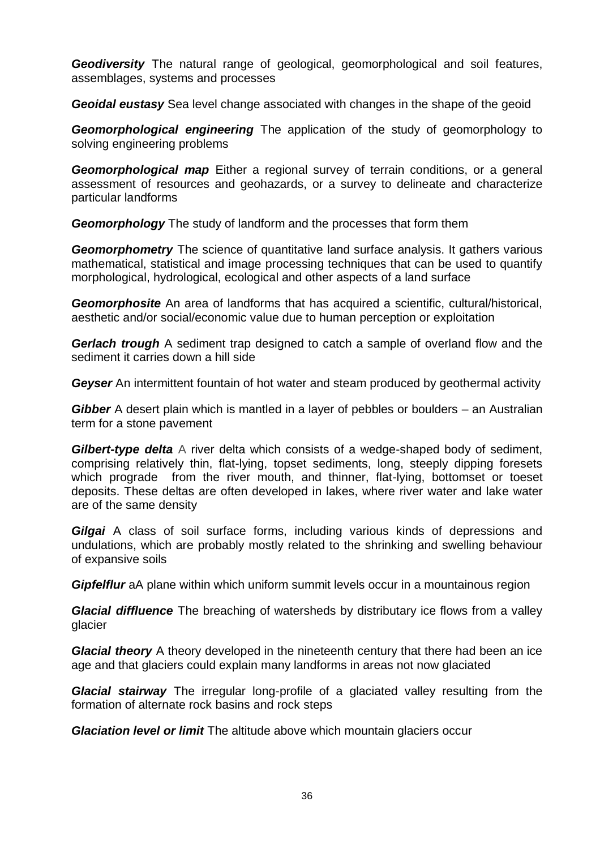*Geodiversity* The natural range of geological, geomorphological and soil features, assemblages, systems and processes

*Geoidal eustasy* Sea level change associated with changes in the shape of the geoid

*Geomorphological engineering* The application of the study of geomorphology to solving engineering problems

*Geomorphological map* Either a regional survey of terrain conditions, or a general assessment of resources and geohazards, or a survey to delineate and characterize particular landforms

*Geomorphology* The study of landform and the processes that form them

**Geomorphometry** The science of quantitative [land surface](http://en.wikipedia.org/wiki/Land_surface) analysis. It gathers various mathematical, statistical and image processing techniques that can be used to quantify morphological, hydrological, ecological and other aspects of a land surface

*Geomorphosite* An area of landforms that has acquired a scientific, cultural/historical, aesthetic and/or social/economic value due to human perception or exploitation

**Gerlach trough** A sediment trap designed to catch a sample of overland flow and the sediment it carries down a hill side

*Geyser* An intermittent fountain of hot water and steam produced by geothermal activity

*Gibber* A desert plain which is mantled in a layer of pebbles or boulders – an Australian term for a stone pavement

*Gilbert-type delta* A river delta which consists of a wedge-shaped body of sediment, comprising relatively thin, flat-lying, topset sediments, long, steeply dipping foresets which prograde from the river mouth, and thinner, flat-lying, bottomset or toeset deposits. These deltas are often developed in lakes, where river water and lake water are of the same density

**Gilgai** A class of soil surface forms, including various kinds of depressions and undulations, which are probably mostly related to the shrinking and swelling behaviour of expansive soils

*Gipfelflur* aA plane within which uniform summit levels occur in a mountainous region

*Glacial diffluence* The breaching of watersheds by distributary ice flows from a valley glacier

*Glacial theory* A theory developed in the nineteenth century that there had been an ice age and that glaciers could explain many landforms in areas not now glaciated

*Glacial stairway* The irregular long-profile of a glaciated valley resulting from the formation of alternate rock basins and rock steps

*Glaciation level or limit* The altitude above which mountain glaciers occur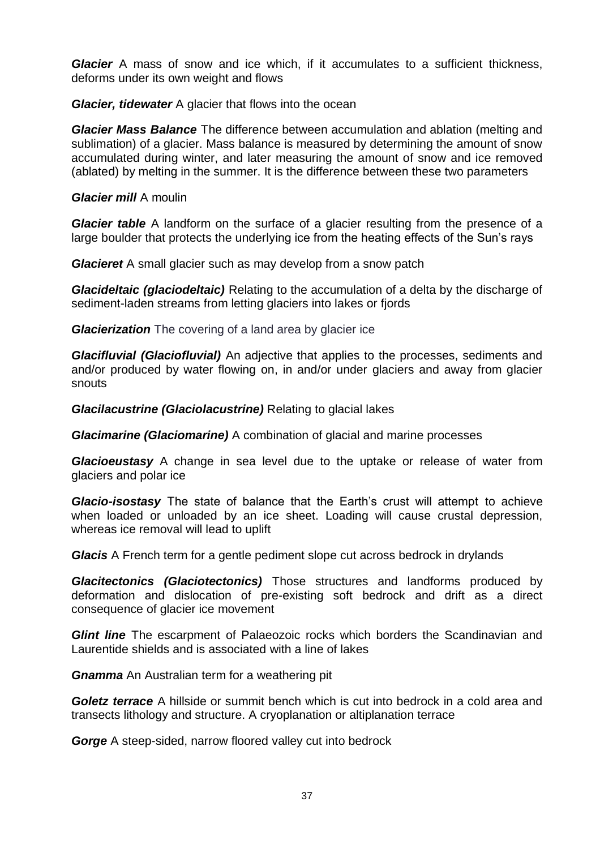*Glacier* A mass of snow and ice which, if it accumulates to a sufficient thickness, deforms under its own weight and flows

*Glacier, tidewater* A glacier that flows into the ocean

*Glacier Mass Balance* The difference between accumulation and ablation (melting and sublimation) of a glacier. Mass balance is measured by determining the amount of snow accumulated during winter, and later measuring the amount of snow and ice removed (ablated) by melting in the summer. It is the difference between these two parameters

## *Glacier mill* A moulin

*Glacier table* A landform on the surface of a glacier resulting from the presence of a large boulder that protects the underlying ice from the heating effects of the Sun's rays

*Glacieret* A small glacier such as may develop from a snow patch

*Glacideltaic (glaciodeltaic)* Relating to the accumulation of a delta by the discharge of sediment-laden streams from letting glaciers into lakes or fjords

*Glacierization* The covering of a land area by glacier ice

*Glacifluvial (Glaciofluvial)* An adjective that applies to the processes, sediments and and/or produced by water flowing on, in and/or under glaciers and away from glacier snouts

*Glacilacustrine (Glaciolacustrine)* Relating to glacial lakes

*Glacimarine (Glaciomarine)* A combination of glacial and marine processes

*Glacioeustasy* A change in [sea level](http://en.wiktionary.org/wiki/sea_level) due to the uptake or release of [water](http://en.wiktionary.org/wiki/water) from [glaciers](http://en.wiktionary.org/wiki/glacier) and polar ice

*Glacio-isostasy* The state of balance that the Earth's crust will attempt to achieve when loaded or unloaded by an ice sheet. Loading will cause crustal depression, whereas ice removal will lead to uplift

*Glacis* A French term for a gentle pediment slope cut across bedrock in drylands

*Glacitectonics (Glaciotectonics)* Those structures and landforms produced by deformation and dislocation of pre-existing soft bedrock and drift as a direct consequence of glacier ice movement

**Glint line** The escarpment of Palaeozoic rocks which borders the Scandinavian and Laurentide shields and is associated with a line of lakes

*Gnamma* An Australian term for a weathering pit

*Goletz terrace* A hillside or summit bench which is cut into bedrock in a cold area and transects lithology and structure. A cryoplanation or altiplanation terrace

*Gorge* A steep-sided, narrow floored valley cut into bedrock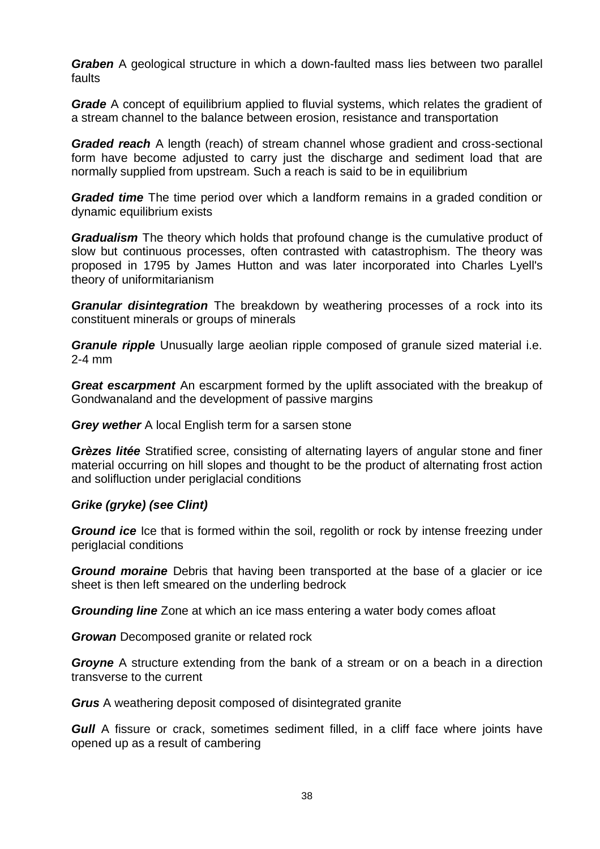*Graben* A geological structure in which a down-faulted mass lies between two parallel faults

*Grade* A concept of equilibrium applied to fluvial systems, which relates the gradient of a stream channel to the balance between erosion, resistance and transportation

*Graded reach* A length (reach) of stream channel whose gradient and cross-sectional form have become adjusted to carry just the discharge and sediment load that are normally supplied from upstream. Such a reach is said to be in equilibrium

*Graded time* The time period over which a landform remains in a graded condition or dynamic equilibrium exists

*Gradualism* The [theory](http://en.wikipedia.org/wiki/Theory) which holds that profound change is the cumulative product of slow but continuous processes, often contrasted with [catastrophism.](http://en.wikipedia.org/wiki/Catastrophism) The theory was proposed in 1795 by [James Hutton](http://en.wikipedia.org/wiki/James_Hutton) and was later incorporated into [Charles Lyell'](http://en.wikipedia.org/wiki/Charles_Lyell)s theory of [uniformitarianism](http://en.wikipedia.org/wiki/Uniformitarianism_(science))

*Granular disintegration* The breakdown by weathering processes of a rock into its constituent minerals or groups of minerals

*Granule ripple* Unusually large aeolian ripple composed of granule sized material i.e. 2-4 mm

*Great escarpment* An escarpment formed by the uplift associated with the breakup of Gondwanaland and the development of passive margins

*Grey wether* A local English term for a sarsen stone

*Grèzes litée* Stratified scree, consisting of alternating layers of angular stone and finer material occurring on hill slopes and thought to be the product of alternating frost action and solifluction under periglacial conditions

## *Grike (gryke) (see Clint)*

*Ground ice* Ice that is formed within the soil, regolith or rock by intense freezing under periglacial conditions

*Ground moraine* Debris that having been transported at the base of a glacier or ice sheet is then left smeared on the underling bedrock

*Grounding line* Zone at which an ice mass entering a water body comes afloat

*Growan* Decomposed granite or related rock

**Groyne** A structure extending from the bank of a stream or on a beach in a direction transverse to the current

*Grus* A weathering deposit composed of disintegrated granite

**Gull** A fissure or crack, sometimes sediment filled, in a cliff face where joints have opened up as a result of cambering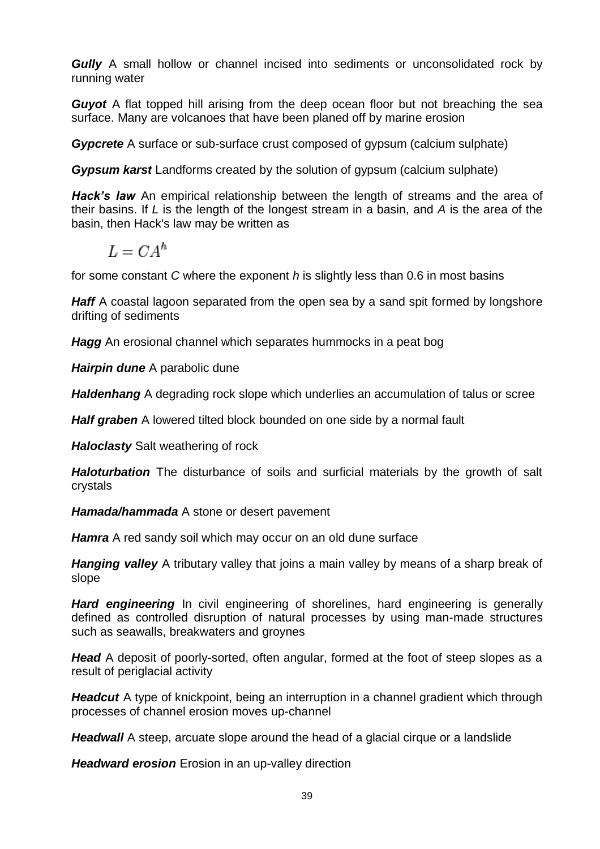*Gully* A small hollow or channel incised into sediments or unconsolidated rock by running water

*Guyot* A flat topped hill arising from the deep ocean floor but not breaching the sea surface. Many are volcanoes that have been planed off by marine erosion

*Gypcrete* A surface or sub-surface crust composed of gypsum (calcium sulphate)

*Gypsum karst* Landforms created by the solution of gypsum (calcium sulphate)

**Hack's law** An [empirical relationship](http://en.wikipedia.org/wiki/Empirical_relationship) between the length of [streams](http://en.wikipedia.org/wiki/Streams) and the area of their [basins.](http://en.wikipedia.org/wiki/Drainage_basin) If *L* is the length of the longest stream in a basin, and *A* is the area of the basin, then Hack's law may be written as

$$
L = C A^h
$$

for some constant *C* where the [exponent](http://en.wikipedia.org/wiki/Exponent) *h* is slightly less than 0.6 in most basins

**Haff** A coastal lagoon separated from the open sea by a sand spit formed by longshore drifting of sediments

*Hagg* An erosional channel which separates hummocks in a peat bog

*Hairpin dune* A parabolic dune

*Haldenhang* A degrading rock slope which underlies an accumulation of talus or scree

**Half graben** A lowered tilted block bounded on one side by a normal fault

*Haloclasty* Salt weathering of rock

*Haloturbation* The disturbance of soils and surficial materials by the growth of salt crystals

*Hamada/hammada* A stone or desert pavement

*Hamra* A red sandy soil which may occur on an old dune surface

*Hanging valley* A tributary valley that joins a main valley by means of a sharp break of slope

**Hard engineering** In [civil engineering](http://en.wikipedia.org/wiki/Civil_engineering) of shorelines, hard engineering is generally defined as controlled disruption of natural processes by using man-made structures such as seawalls, breakwaters and groynes

*Head* A deposit of poorly-sorted, often angular, formed at the foot of steep slopes as a result of periglacial activity

**Headcut** A type of knickpoint, being an interruption in a channel gradient which through processes of channel erosion moves up-channel

*Headwall* A steep, arcuate slope around the head of a glacial cirque or a landslide

*Headward erosion* Erosion in an up-valley direction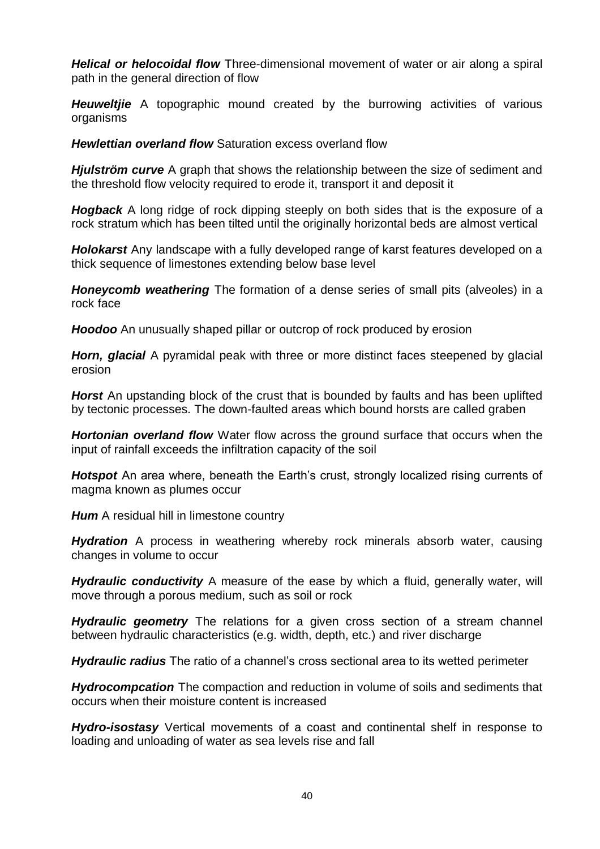*Helical or helocoidal flow* Three-dimensional movement of water or air along a spiral path in the general direction of flow

*Heuweltjie* A topographic mound created by the burrowing activities of various organisms

*Hewlettian overland flow* Saturation excess overland flow

*Hjulström curve* A graph that shows the relationship between the size of sediment and the threshold flow velocity required to erode it, transport it and deposit it

**Hogback** A long ridge of rock dipping steeply on both sides that is the exposure of a rock stratum which has been tilted until the originally horizontal beds are almost vertical

*Holokarst* Any landscape with a fully developed range of karst features developed on a thick sequence of limestones extending below base level

*Honeycomb weathering* The formation of a dense series of small pits (alveoles) in a rock face

**Hoodoo** An unusually shaped pillar or outcrop of rock produced by erosion

*Horn, glacial* A pyramidal peak with three or more distinct faces steepened by glacial erosion

**Horst** An upstanding block of the crust that is bounded by faults and has been uplifted by tectonic processes. The down-faulted areas which bound horsts are called graben

*Hortonian overland flow* Water flow across the ground surface that occurs when the input of rainfall exceeds the infiltration capacity of the soil

**Hotspot** An area where, beneath the Earth's crust, strongly localized rising currents of magma known as plumes occur

**Hum** A residual hill in limestone country

**Hydration** A process in weathering whereby rock minerals absorb water, causing changes in volume to occur

*Hydraulic conductivity* A measure of the ease by which a fluid, generally water, will move through a porous medium, such as soil or rock

*Hydraulic geometry* The relations for a given cross section of a stream channel between hydraulic characteristics (e.g. width, depth, etc.) and river discharge

*Hydraulic radius* The ratio of a channel's cross sectional area to its wetted perimeter

*Hydrocompcation* The compaction and reduction in volume of soils and sediments that occurs when their moisture content is increased

*Hydro-isostasy* Vertical movements of a coast and continental shelf in response to loading and unloading of water as sea levels rise and fall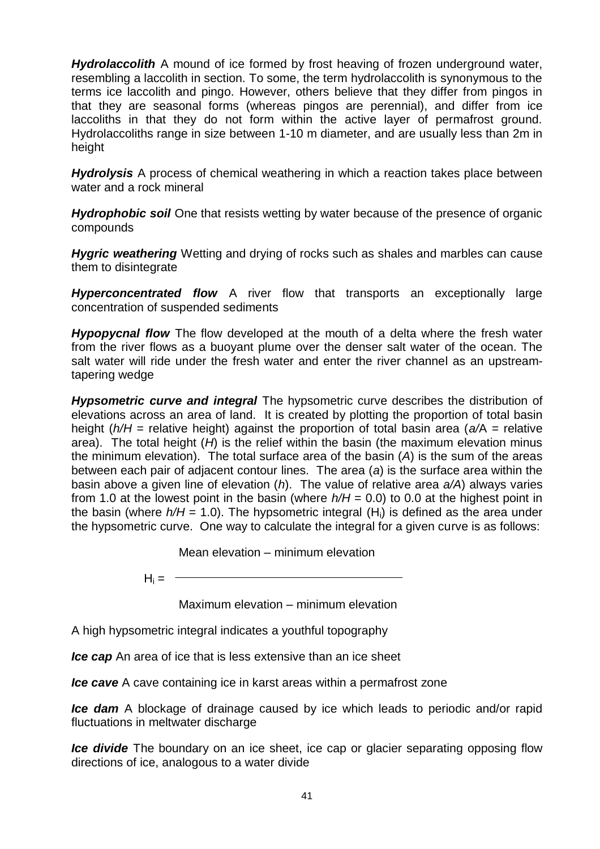*Hydrolaccolith* A mound of ice formed by frost heaving of frozen underground water, resembling a laccolith in section. To some, the term hydrolaccolith is synonymous to the terms ice laccolith and pingo. However, others believe that they differ from pingos in that they are seasonal forms (whereas pingos are perennial), and differ from ice laccoliths in that they do not form within the active layer of permafrost ground. Hydrolaccoliths range in size between 1-10 m diameter, and are usually less than 2m in height

*Hydrolysis* A process of chemical weathering in which a reaction takes place between water and a rock mineral

**Hydrophobic soil** One that resists wetting by water because of the presence of organic compounds

*Hygric weathering* Wetting and drying of rocks such as shales and marbles can cause them to disintegrate

*Hyperconcentrated flow* A river flow that transports an exceptionally large concentration of suspended sediments

*Hypopycnal flow* The flow developed at the mouth of a delta where the fresh water from the river flows as a buoyant plume over the denser salt water of the ocean. The salt water will ride under the fresh water and enter the river channel as an upstreamtapering wedge

*Hypsometric curve and integral* The hypsometric curve describes the distribution of elevations across an area of land. It is created by plotting the proportion of total basin height (*h/H* = relative height) against the proportion of total basin area (*a/*A = relative area). The total height (*H*) is the relief within the basin (the maximum elevation minus the minimum elevation). The total surface area of the basin (*A*) is the sum of the areas between each pair of adjacent contour lines. The area (*a*) is the surface area within the basin above a given line of elevation (*h*). The value of relative area *a/A*) always varies from 1.0 at the lowest point in the basin (where *h/H* = 0.0) to 0.0 at the highest point in the basin (where  $h/H = 1.0$ ). The hypsometric integral (H<sub>i</sub>) is defined as the area under the hypsometric curve. One way to calculate the integral for a given curve is as follows:

Mean elevation – minimum elevation

 $H_i = -$ 

Maximum elevation – minimum elevation

A high hypsometric integral indicates a youthful topography

*Ice cap* An area of ice that is less extensive than an ice sheet

*Ice cave* A cave containing ice in karst areas within a permafrost zone

*Ice dam* A blockage of drainage caused by ice which leads to periodic and/or rapid fluctuations in meltwater discharge

*Ice divide* The boundary on an [ice sheet,](http://en.wikipedia.org/wiki/Ice_sheet) [ice cap](http://en.wikipedia.org/wiki/Ice_cap) or [glacier](http://en.wikipedia.org/wiki/Glacier) separating opposing flow directions of [ice,](http://en.wikipedia.org/wiki/Ice) analogous to a [water divide](http://en.wikipedia.org/wiki/Drainage_divide)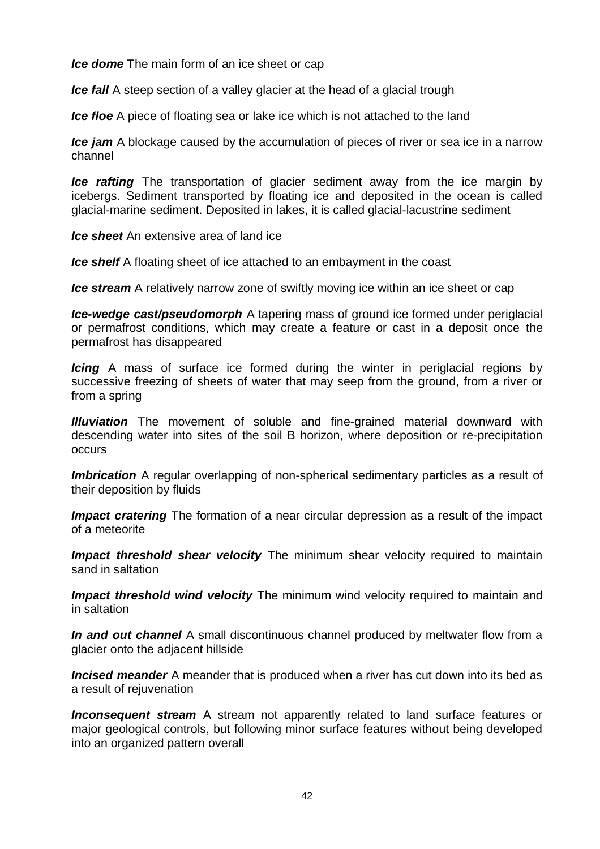*Ice dome* The main form of an ice sheet or cap

*Ice fall* A steep section of a valley glacier at the head of a glacial trough

*Ice floe* A piece of floating sea or lake ice which is not attached to the land

*Ice jam* A blockage caused by the accumulation of pieces of river or sea ice in a narrow channel

*Ice rafting* The transportation of glacier sediment away from the ice margin by icebergs. Sediment transported by floating ice and deposited in the ocean is called glacial-marine sediment. Deposited in lakes, it is called glacial-lacustrine sediment

*Ice sheet* An extensive area of land ice

*Ice shelf* A floating sheet of ice attached to an embayment in the coast

*Ice stream* A relatively narrow zone of swiftly moving ice within an ice sheet or cap

*Ice-wedge cast/pseudomorph* A tapering mass of ground ice formed under periglacial or permafrost conditions, which may create a feature or cast in a deposit once the permafrost has disappeared

*Icing* A mass of surface ice formed during the winter in periglacial regions by successive freezing of sheets of water that may seep from the ground, from a river or from a spring

*Illuviation* The movement of soluble and fine-grained material downward with descending water into sites of the soil B horizon, where deposition or re-precipitation occurs

*Imbrication* A regular overlapping of non-spherical sedimentary particles as a result of their deposition by fluids

*Impact cratering* The formation of a near circular depression as a result of the impact of a meteorite

**Impact threshold shear velocity** The minimum shear velocity required to maintain sand in saltation

**Impact threshold wind velocity** The minimum wind velocity required to maintain and in saltation

*In and out channel* A small discontinuous channel produced by meltwater flow from a glacier onto the adjacent hillside

*Incised meander* A meander that is produced when a river has cut down into its bed as a result of rejuvenation

*Inconsequent stream* A stream not apparently related to land surface features or major geological controls, but following minor surface features without being developed into an organized pattern overall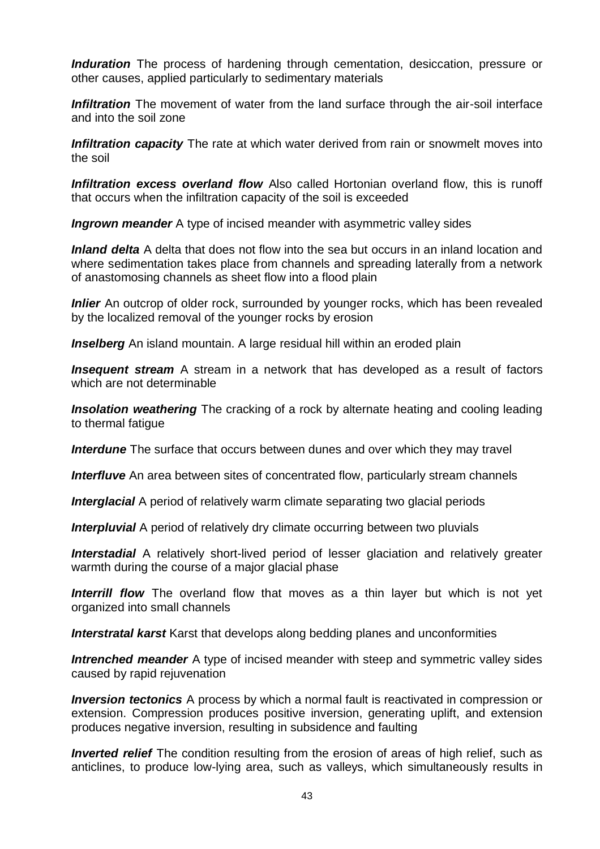*Induration* The process of hardening through cementation, desiccation, pressure or other causes, applied particularly to sedimentary materials

**Infiltration** The movement of water from the land surface through the air-soil interface and into the soil zone

*Infiltration capacity* The rate at which water derived from rain or snowmelt moves into the soil

*Infiltration excess overland flow* Also called Hortonian overland flow, this is runoff that occurs when the infiltration capacity of the soil is exceeded

*Ingrown meander* A type of incised meander with asymmetric valley sides

*Inland delta* A delta that does not flow into the sea but occurs in an inland location and where sedimentation takes place from channels and spreading laterally from a network of anastomosing channels as sheet flow into a flood plain

*Inlier* An outcrop of older rock, surrounded by younger rocks, which has been revealed by the localized removal of the younger rocks by erosion

**Inselberg** An island mountain. A large residual hill within an eroded plain

**Insequent stream** A stream in a network that has developed as a result of factors which are not determinable

**Insolation weathering** The cracking of a rock by alternate heating and cooling leading to thermal fatigue

**Interdune** The surface that occurs between dunes and over which they may travel

*Interfluve* An area between sites of concentrated flow, particularly stream channels

**Interglacial** A period of relatively warm climate separating two glacial periods

**Interpluvial** A period of relatively dry climate occurring between two pluvials

*Interstadial* A relatively short-lived period of lesser glaciation and relatively greater warmth during the course of a major glacial phase

*Interrill flow* The overland flow that moves as a thin layer but which is not yet organized into small channels

*Interstratal karst* Karst that develops along bedding planes and unconformities

*Intrenched meander* A type of incised meander with steep and symmetric valley sides caused by rapid rejuvenation

**Inversion tectonics** A process by which a normal fault is reactivated in compression or extension. Compression produces positive inversion, generating uplift, and extension produces negative inversion, resulting in subsidence and faulting

*Inverted relief* The condition resulting from the erosion of areas of high relief, such as anticlines, to produce low-lying area, such as valleys, which simultaneously results in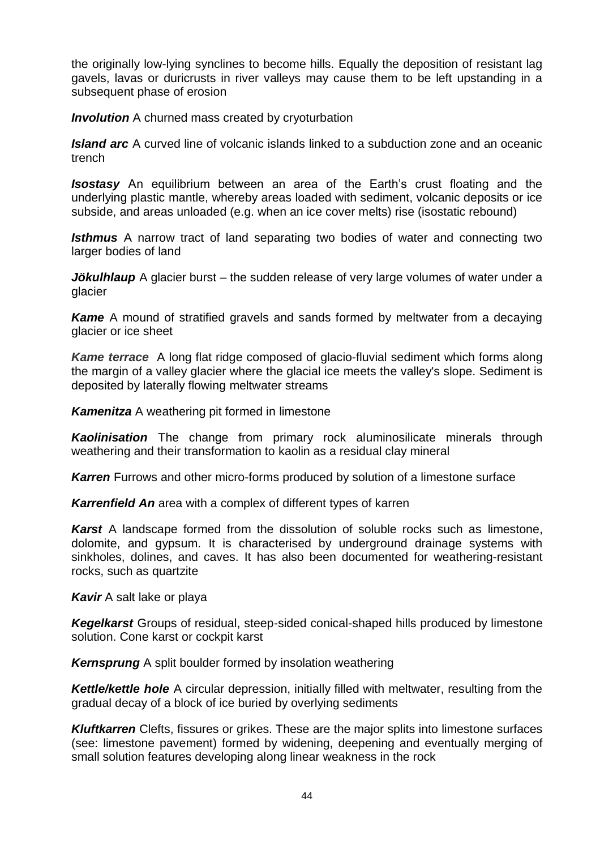the originally low-lying synclines to become hills. Equally the deposition of resistant lag gavels, lavas or duricrusts in river valleys may cause them to be left upstanding in a subsequent phase of erosion

*Involution* A churned mass created by cryoturbation

*Island arc* A curved line of volcanic islands linked to a subduction zone and an oceanic trench

*Isostasy* An equilibrium between an area of the Earth's crust floating and the underlying plastic mantle, whereby areas loaded with sediment, volcanic deposits or ice subside, and areas unloaded (e.g. when an ice cover melts) rise (isostatic rebound)

**Isthmus** A narrow tract of land separating two bodies of water and connecting two larger bodies of land

*Jökulhlaup* A glacier burst – the sudden release of very large volumes of water under a glacier

**Kame** A mound of stratified gravels and sands formed by meltwater from a decaying glacier or ice sheet

*Kame terrace* A long flat ridge composed of [glacio-fluvial](http://www.physicalgeography.net/physgeoglos/g.html#glaciofluvial) [sediment](http://www.physicalgeography.net/physgeoglos/s.html#sediment) which forms along the margin of a valley glacier where the glacial ice meets the valley's slope. Sediment is deposited by laterally flowing [meltwater](http://www.physicalgeography.net/physgeoglos/m.html#meltwater) streams

*Kamenitza* A weathering pit formed in limestone

*Kaolinisation* The change from primary rock aluminosilicate minerals through weathering and their transformation to kaolin as a residual clay mineral

*Karren* Furrows and other micro-forms produced by solution of a limestone surface

*Karrenfield An* area with a complex of different types of karren

*Karst* A landscape formed from the dissolution of soluble rocks such as [limestone,](http://en.wikipedia.org/wiki/Limestone) [dolomite,](http://en.wikipedia.org/wiki/Dolomite) and [gypsum.](http://en.wikipedia.org/wiki/Gypsum) It is characterised by underground drainage systems with [sinkholes,](http://en.wikipedia.org/wiki/Sinkhole) [dolines,](http://en.wikipedia.org/wiki/Doline) and [caves.](http://en.wikipedia.org/wiki/Cave) It has also been documented for [weathering-](http://en.wikipedia.org/wiki/Weathering)resistant rocks, such as [quartzite](http://en.wikipedia.org/wiki/Quartzite)

*Kavir* A salt lake or playa

*Kegelkarst* Groups of residual, steep-sided conical-shaped hills produced by limestone solution. Cone karst or cockpit karst

*Kernsprung* A split boulder formed by insolation weathering

*Kettle/kettle hole* A circular depression, initially filled with meltwater, resulting from the gradual decay of a block of ice buried by overlying sediments

*Kluftkarren* Clefts, fissures or grikes. These are the major splits into limestone surfaces (see: limestone pavement) formed by widening, deepening and eventually merging of small solution features developing along linear weakness in the rock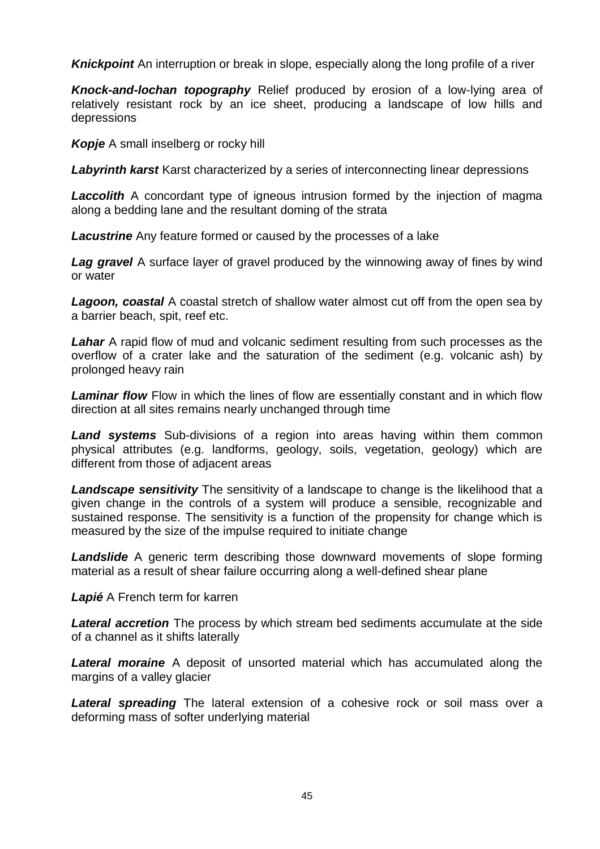**Knickpoint** An interruption or break in slope, especially along the long profile of a river

*Knock-and-lochan topography* Relief produced by erosion of a low-lying area of relatively resistant rock by an ice sheet, producing a landscape of low hills and depressions

*Kopje* A small inselberg or rocky hill

*Labyrinth karst* Karst characterized by a series of interconnecting linear depressions

**Laccolith** A concordant type of igneous intrusion formed by the injection of magma along a bedding lane and the resultant doming of the strata

*Lacustrine* Any feature formed or caused by the processes of a lake

**Lag gravel** A surface layer of gravel produced by the winnowing away of fines by wind or water

*Lagoon, coastal* A coastal stretch of shallow water almost cut off from the open sea by a barrier beach, spit, reef etc.

**Lahar** A rapid flow of mud and volcanic sediment resulting from such processes as the overflow of a crater lake and the saturation of the sediment (e.g. volcanic ash) by prolonged heavy rain

*Laminar flow* Flow in which the lines of flow are essentially constant and in which flow direction at all sites remains nearly unchanged through time

*Land systems* Sub-divisions of a region into areas having within them common physical attributes (e.g. landforms, geology, soils, vegetation, geology) which are different from those of adjacent areas

*Landscape sensitivity* The sensitivity of a landscape to change is the likelihood that a given change in the controls of a system will produce a sensible, recognizable and sustained response. The sensitivity is a function of the propensity for change which is measured by the size of the impulse required to initiate change

*Landslide* A generic term describing those downward movements of slope forming material as a result of shear failure occurring along a well-defined shear plane

*Lapié* A French term for karren

*Lateral accretion* The process by which stream bed sediments accumulate at the side of a channel as it shifts laterally

*Lateral moraine* A deposit of unsorted material which has accumulated along the margins of a valley glacier

**Lateral spreading** The lateral extension of a cohesive rock or soil mass over a deforming mass of softer underlying material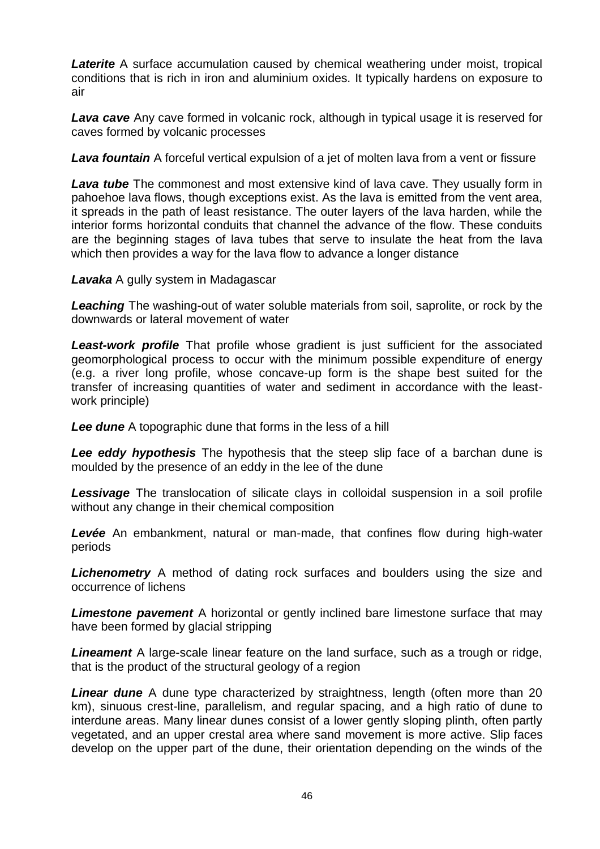*Laterite* A surface accumulation caused by chemical weathering under moist, tropical conditions that is rich in iron and aluminium oxides. It typically hardens on exposure to air

*Lava cave* Any [cave](http://en.wikipedia.org/wiki/Cave) formed in [volcanic rock,](http://en.wikipedia.org/wiki/Volcanic_rock) although in typical usage it is reserved for caves formed by volcanic processes

*Lava fountain* A forceful vertical expulsion of a jet of molten lava from a vent or fissure

*Lava tube* The commonest and most extensive kind of lava cave. They usually form in [pahoehoe](http://en.wikipedia.org/wiki/Pahoehoe) lava flows, though exceptions exist. As the lava is emitted from the vent area, it spreads in the path of least resistance. The outer layers of the lava harden, while the interior forms horizontal conduits that channel the advance of the flow. These conduits are the beginning stages of lava tubes that serve to insulate the heat from the lava which then provides a way for the lava flow to advance a longer distance

*Lavaka* A gully system in Madagascar

*Leaching* The washing-out of water soluble materials from soil, saprolite, or rock by the downwards or lateral movement of water

**Least-work profile** That profile whose gradient is just sufficient for the associated geomorphological process to occur with the minimum possible expenditure of energy (e.g. a river long profile, whose concave-up form is the shape best suited for the transfer of increasing quantities of water and sediment in accordance with the leastwork principle)

*Lee dune* A topographic dune that forms in the less of a hill

*Lee eddy hypothesis* The hypothesis that the steep slip face of a barchan dune is moulded by the presence of an eddy in the lee of the dune

**Lessivage** The translocation of silicate clays in colloidal suspension in a soil profile without any change in their chemical composition

*Levée* An embankment, natural or man-made, that confines flow during high-water periods

*Lichenometry* A method of dating rock surfaces and boulders using the size and occurrence of lichens

*Limestone pavement* A horizontal or gently inclined bare limestone surface that may have been formed by glacial stripping

*Lineament* A large-scale linear feature on the land surface, such as a trough or ridge, that is the product of the structural geology of a region

**Linear dune** A dune type characterized by straightness, length (often more than 20 km), sinuous crest-line, parallelism, and regular spacing, and a high ratio of dune to interdune areas. Many linear dunes consist of a lower gently sloping plinth, often partly vegetated, and an upper crestal area where sand movement is more active. Slip faces develop on the upper part of the dune, their orientation depending on the winds of the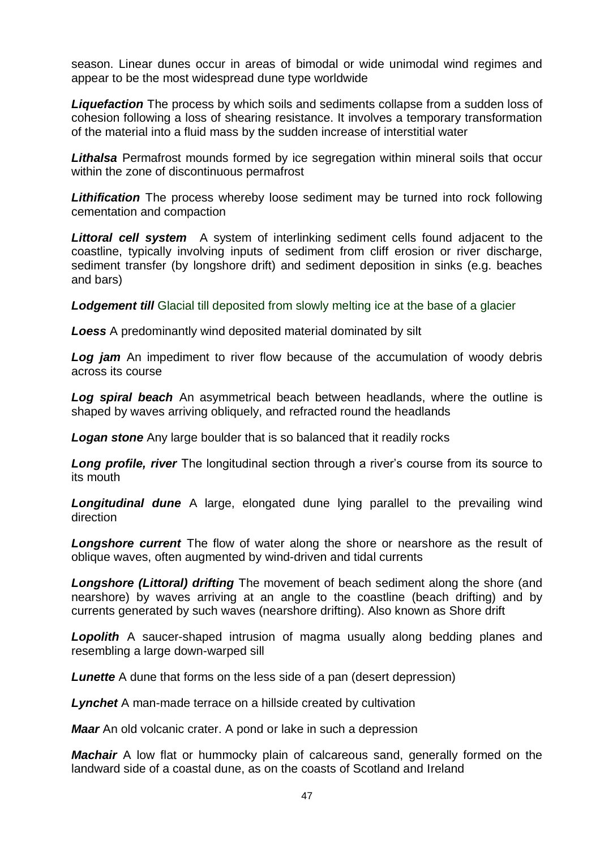season. Linear dunes occur in areas of bimodal or wide unimodal wind regimes and appear to be the most widespread dune type worldwide

*Liquefaction* The process by which soils and sediments collapse from a sudden loss of cohesion following a loss of shearing resistance. It involves a temporary transformation of the material into a fluid mass by the sudden increase of interstitial water

*Lithalsa* Permafrost mounds formed by ice segregation within mineral soils that occur within the zone of discontinuous permafrost

*Lithification* The process whereby loose sediment may be turned into rock following cementation and compaction

*Littoral cell system* A system of interlinking sediment cells found adjacent to the coastline, typically involving inputs of sediment from cliff erosion or river discharge, sediment transfer (by longshore drift) and sediment deposition in sinks (e.g. beaches and bars)

**Lodgement till** Glacial till deposited from slowly melting ice at the base of a glacier

*Loess* A predominantly wind deposited material dominated by silt

**Log jam** An impediment to river flow because of the accumulation of woody debris across its course

*Log spiral beach* An asymmetrical beach between headlands, where the outline is shaped by waves arriving obliquely, and refracted round the headlands

*Logan stone* Any large boulder that is so balanced that it readily rocks

**Long profile, river** The longitudinal section through a river's course from its source to its mouth

*Longitudinal dune* A large, elongated dune lying parallel to the prevailing wind direction

**Longshore current** The flow of water along the shore or nearshore as the result of oblique waves, often augmented by wind-driven and tidal currents

*Longshore (Littoral) drifting* The movement of beach sediment along the shore (and nearshore) by waves arriving at an angle to the coastline (beach drifting) and by currents generated by such waves (nearshore drifting). Also known as Shore drift

**Lopolith** A saucer-shaped intrusion of magma usually along bedding planes and resembling a large down-warped sill

*Lunette* A dune that forms on the less side of a pan (desert depression)

*Lynchet* A man-made terrace on a hillside created by cultivation

*Maar* An old volcanic crater. A pond or lake in such a depression

*Machair* A low flat or hummocky plain of calcareous sand, generally formed on the landward side of a coastal dune, as on the coasts of Scotland and Ireland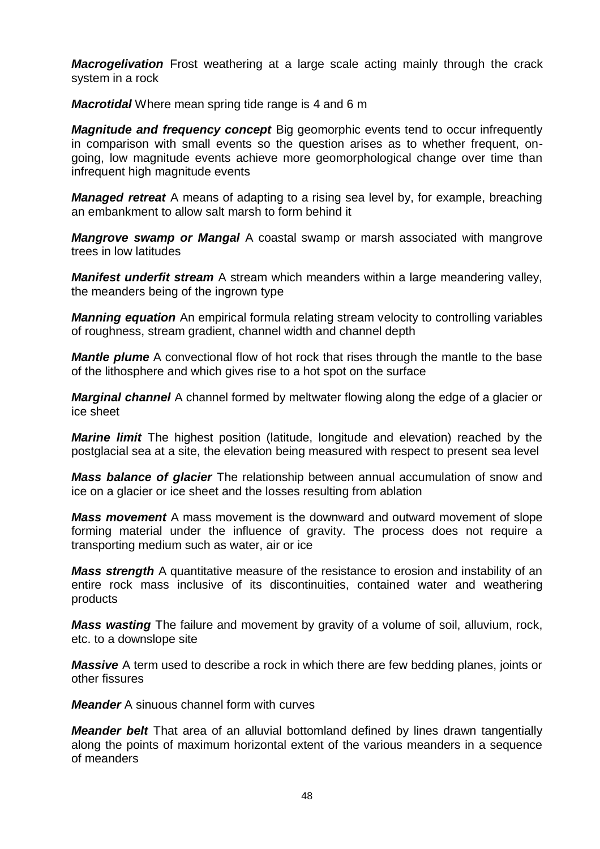*Macrogelivation* Frost weathering at a large scale acting mainly through the crack system in a rock

*Macrotidal* Where mean spring tide range is 4 and 6 m

*Magnitude and frequency concept* Big geomorphic events tend to occur infrequently in comparison with small events so the question arises as to whether frequent, ongoing, low magnitude events achieve more geomorphological change over time than infrequent high magnitude events

*Managed retreat* A means of adapting to a rising sea level by, for example, breaching an embankment to allow salt marsh to form behind it

*Mangrove swamp or Mangal* A coastal swamp or marsh associated with mangrove trees in low latitudes

*Manifest underfit stream* A stream which meanders within a large meandering valley, the meanders being of the ingrown type

*Manning equation* An empirical formula relating stream velocity to controlling variables of roughness, stream gradient, channel width and channel depth

**Mantle plume** A convectional flow of hot rock that rises through the mantle to the base of the lithosphere and which gives rise to a hot spot on the surface

*Marginal channel* A channel formed by meltwater flowing along the edge of a glacier or ice sheet

*Marine limit* The highest position (latitude, longitude and elevation) reached by the postglacial sea at a site, the elevation being measured with respect to present sea level

*Mass balance of glacier* The relationship between annual accumulation of snow and ice on a glacier or ice sheet and the losses resulting from ablation

*Mass movement* A mass movement is the downward and outward movement of slope forming material under the influence of gravity. The process does not require a transporting medium such as water, air or ice

*Mass strength* A quantitative measure of the resistance to erosion and instability of an entire rock mass inclusive of its discontinuities, contained water and weathering products

*Mass wasting* The failure and movement by gravity of a volume of soil, alluvium, rock, etc. to a downslope site

*Massive* A term used to describe a rock in which there are few bedding planes, joints or other fissures

*Meander* A sinuous channel form with curves

*Meander belt* That area of an alluvial bottomland defined by lines drawn tangentially along the points of maximum horizontal extent of the various meanders in a sequence of meanders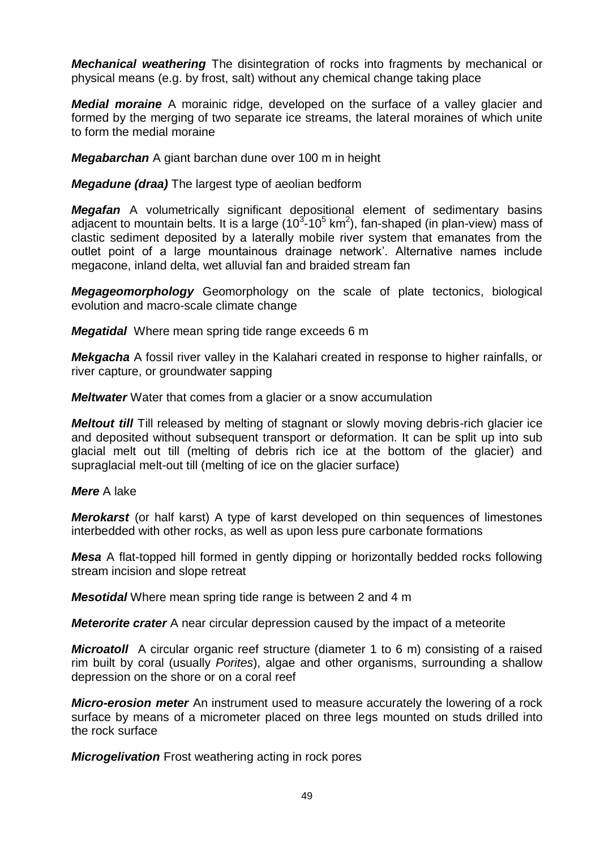*Mechanical weathering* The disintegration of rocks into fragments by mechanical or physical means (e.g. by frost, salt) without any chemical change taking place

*Medial moraine* A morainic ridge, developed on the surface of a valley glacier and formed by the merging of two separate ice streams, the lateral moraines of which unite to form the medial moraine

*Megabarchan* A giant barchan dune over 100 m in height

*Megadune (draa)* The largest type of aeolian bedform

*Megafan* A volumetrically significant depositional element of sedimentary basins adjacent to mountain belts. It is a large (10 $3$ -10 $5$  km<sup>2</sup>), fan-shaped (in plan-view) mass of clastic sediment deposited by a laterally mobile river system that emanates from the outlet point of a large mountainous drainage network'. Alternative names include megacone, inland delta, wet alluvial fan and braided stream fan

*Megageomorphology* Geomorphology on the scale of plate tectonics, biological evolution and macro-scale climate change

*Megatidal* Where mean spring tide range exceeds 6 m

*Mekgacha* A fossil river valley in the Kalahari created in response to higher rainfalls, or river capture, or groundwater sapping

*Meltwater* Water that comes from a glacier or a snow accumulation

*Meltout till* Till released by melting of stagnant or slowly moving debris-rich glacier ice and deposited without subsequent transport or deformation. It can be split up into sub glacial melt out till (melting of debris rich ice at the bottom of the glacier) and supraglacial melt-out till (melting of ice on the glacier surface)

*Mere* A lake

*Merokarst* (or half karst) A type of karst developed on thin sequences of limestones interbedded with other rocks, as well as upon less pure carbonate formations

*Mesa* A flat-topped hill formed in gently dipping or horizontally bedded rocks following stream incision and slope retreat

*Mesotidal* Where mean spring tide range is between 2 and 4 m

*Meterorite crater* A near circular depression caused by the impact of a meteorite

*Microatoll* A circular organic reef structure (diameter 1 to 6 m) consisting of a raised rim built by coral (usually *Porites*), algae and other organisms, surrounding a shallow depression on the shore or on a coral reef

*Micro-erosion meter* An instrument used to measure accurately the lowering of a rock surface by means of a micrometer placed on three legs mounted on studs drilled into the rock surface

*Microgelivation* Frost weathering acting in rock pores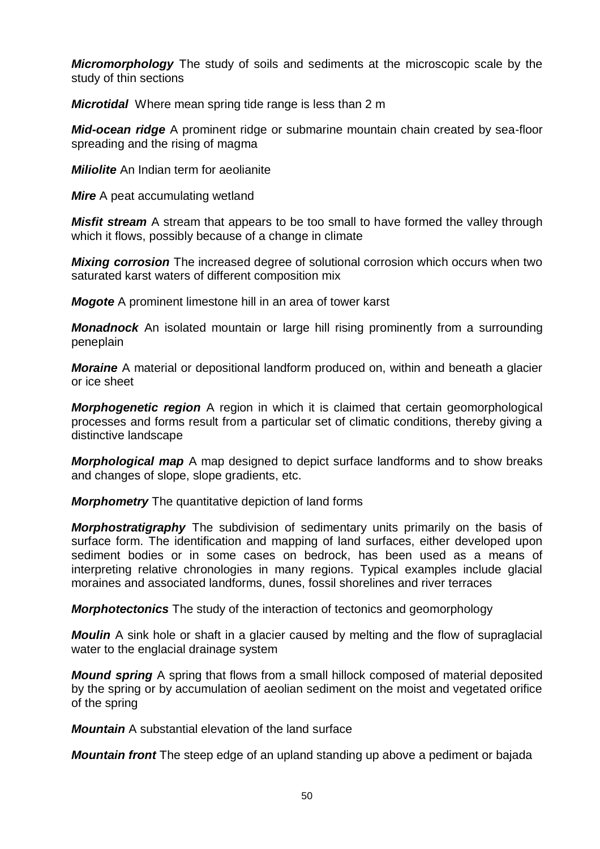*Micromorphology* The study of soils and sediments at the microscopic scale by the study of thin sections

*Microtidal* Where mean spring tide range is less than 2 m

*Mid-ocean ridge* A prominent ridge or submarine mountain chain created by sea-floor spreading and the rising of magma

*Miliolite* An Indian term for aeolianite

*Mire* A peat accumulating wetland

*Misfit stream* A stream that appears to be too small to have formed the valley through which it flows, possibly because of a change in climate

*Mixing corrosion* The increased degree of solutional corrosion which occurs when two saturated karst waters of different composition mix

*Mogote* A prominent limestone hill in an area of tower karst

*Monadnock* An isolated mountain or large hill rising prominently from a surrounding peneplain

*Moraine* A material or depositional landform produced on, within and beneath a glacier or ice sheet

*Morphogenetic region* A region in which it is claimed that certain geomorphological processes and forms result from a particular set of climatic conditions, thereby giving a distinctive landscape

*Morphological map* A map designed to depict surface landforms and to show breaks and changes of slope, slope gradients, etc.

*Morphometry* The quantitative depiction of land forms

*Morphostratigraphy* The subdivision of sedimentary units primarily on the basis of surface form. The identification and mapping of land surfaces, either developed upon sediment bodies or in some cases on bedrock, has been used as a means of interpreting relative chronologies in many regions. Typical examples include glacial moraines and associated landforms, dunes, fossil shorelines and river terraces

*Morphotectonics* The study of the interaction of tectonics and geomorphology

*Moulin* A sink hole or shaft in a glacier caused by melting and the flow of supraglacial water to the englacial drainage system

*Mound spring* A spring that flows from a small hillock composed of material deposited by the spring or by accumulation of aeolian sediment on the moist and vegetated orifice of the spring

*Mountain* A substantial elevation of the land surface

*Mountain front* The steep edge of an upland standing up above a pediment or bajada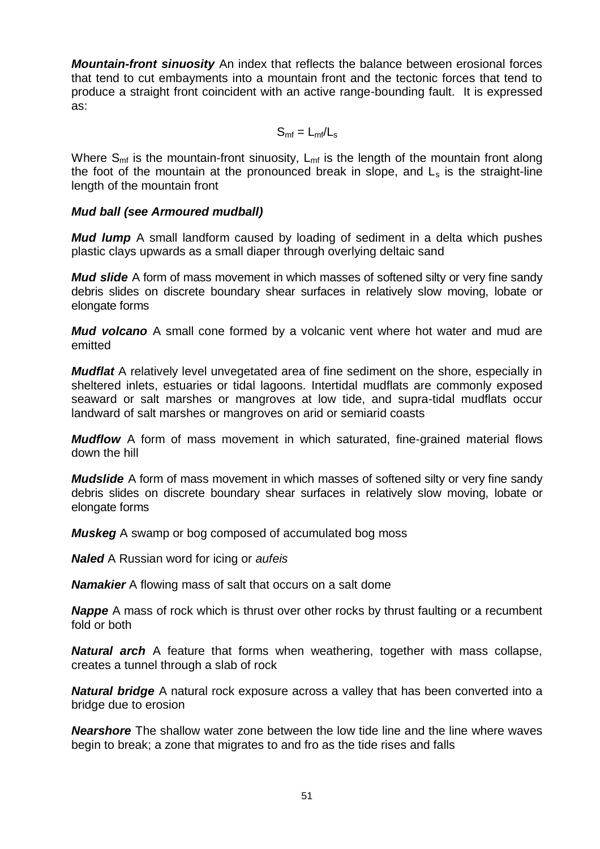*Mountain-front sinuosity* An index that reflects the balance between erosional forces that tend to cut embayments into a mountain front and the tectonic forces that tend to produce a straight front coincident with an active range-bounding fault. It is expressed as:

 $S_{\rm mf} = L_{\rm mf}/L_{\rm s}$ 

Where  $S_{\rm mf}$  is the mountain-front sinuosity,  $L_{\rm mf}$  is the length of the mountain front along the foot of the mountain at the pronounced break in slope, and  $L<sub>s</sub>$  is the straight-line length of the mountain front

## *Mud ball (see Armoured mudball)*

*Mud lump* A small landform caused by loading of sediment in a delta which pushes plastic clays upwards as a small diaper through overlying deltaic sand

*Mud slide* A form of mass movement in which masses of softened silty or very fine sandy debris slides on discrete boundary shear surfaces in relatively slow moving, lobate or elongate forms

*Mud volcano* A small cone formed by a volcanic vent where hot water and mud are emitted

*Mudflat* A relatively level unvegetated area of fine sediment on the shore, especially in sheltered inlets, estuaries or tidal lagoons. Intertidal mudflats are commonly exposed seaward or salt marshes or mangroves at low tide, and supra-tidal mudflats occur landward of salt marshes or mangroves on arid or semiarid coasts

*Mudflow* A form of mass movement in which saturated, fine-grained material flows down the hill

*Mudslide* A form of mass movement in which masses of softened silty or very fine sandy debris slides on discrete boundary shear surfaces in relatively slow moving, lobate or elongate forms

*Muskeg* A swamp or bog composed of accumulated bog moss

*Naled* A Russian word for icing or *aufeis*

*Namakier* A flowing mass of salt that occurs on a salt dome

*Nappe* A mass of rock which is thrust over other rocks by thrust faulting or a recumbent fold or both

*Natural arch* A feature that forms when weathering, together with mass collapse, creates a tunnel through a slab of rock

*Natural bridge* A natural rock exposure across a valley that has been converted into a bridge due to erosion

*Nearshore* The shallow water zone between the low tide line and the line where waves begin to break; a zone that migrates to and fro as the tide rises and falls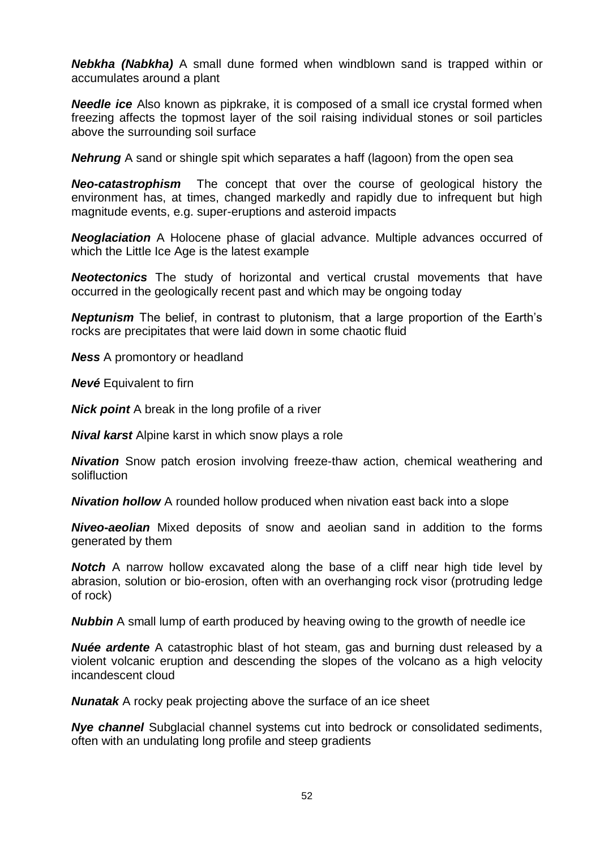*Nebkha (Nabkha)* A small dune formed when windblown sand is trapped within or accumulates around a plant

*Needle ice* Also known as pipkrake, it is composed of a small ice crystal formed when freezing affects the topmost layer of the soil raising individual stones or soil particles above the surrounding soil surface

*Nehrung* A sand or shingle spit which separates a haff (lagoon) from the open sea

*Neo-catastrophism* The concept that over the course of geological history the environment has, at times, changed markedly and rapidly due to infrequent but high magnitude events, e.g. super-eruptions and asteroid impacts

*Neoglaciation* A Holocene phase of glacial advance. Multiple advances occurred of which the Little Ice Age is the latest example

*Neotectonics* The study of horizontal and vertical crustal movements that have occurred in the geologically recent past and which may be ongoing today

*Neptunism* The belief, in contrast to plutonism, that a large proportion of the Earth's rocks are precipitates that were laid down in some chaotic fluid

*Ness* A promontory or headland

*Nevé* Equivalent to firn

*Nick point* A break in the long profile of a river

*Nival karst* Alpine karst in which snow plays a role

*Nivation* Snow patch erosion involving freeze-thaw action, chemical weathering and solifluction

*Nivation hollow* A rounded hollow produced when nivation east back into a slope

*Niveo-aeolian* Mixed deposits of snow and aeolian sand in addition to the forms generated by them

**Notch** A narrow hollow excavated along the base of a cliff near high tide level by abrasion, solution or bio-erosion, often with an overhanging rock visor (protruding ledge of rock)

*Nubbin* A small lump of earth produced by heaving owing to the growth of needle ice

*Nuée ardente* A catastrophic blast of hot steam, gas and burning dust released by a violent volcanic eruption and descending the slopes of the volcano as a high velocity incandescent cloud

*Nunatak* A rocky peak projecting above the surface of an ice sheet

*Nye channel* Subglacial channel systems cut into bedrock or consolidated sediments, often with an undulating long profile and steep gradients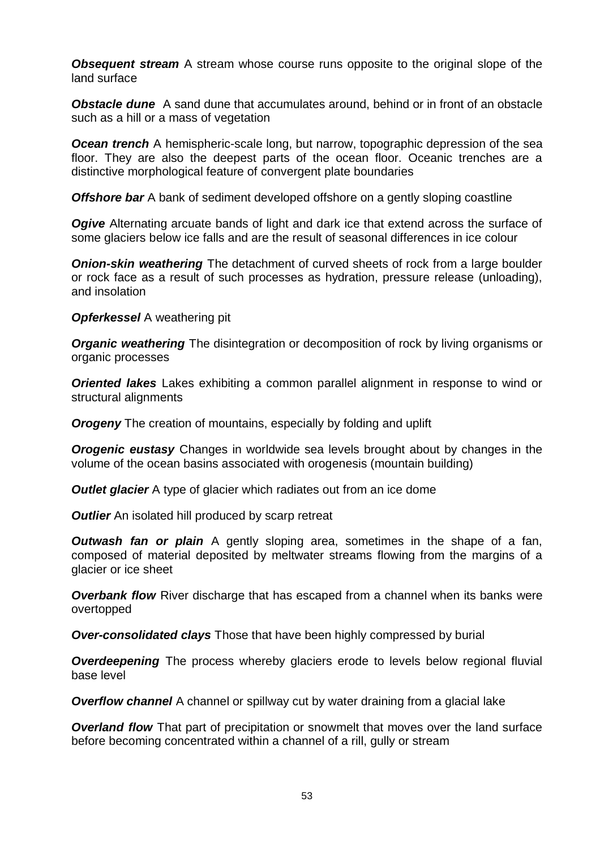**Obsequent stream** A stream whose course runs opposite to the original slope of the land surface

**Obstacle dune** A sand dune that accumulates around, behind or in front of an obstacle such as a hill or a mass of vegetation

**Ocean trench** A hemispheric-scale long, but narrow, topographic depression of the sea floor. They are also the deepest parts of the ocean floor. Oceanic trenches are a distinctive morphological feature of [convergent](http://en.wikipedia.org/wiki/Convergent_boundary) plate boundaries

*Offshore bar* A bank of sediment developed offshore on a gently sloping coastline

**Ogive** Alternating arcuate bands of light and dark ice that extend across the surface of some glaciers below ice falls and are the result of seasonal differences in ice colour

*Onion-skin weathering* The detachment of curved sheets of rock from a large boulder or rock face as a result of such processes as hydration, pressure release (unloading), and insolation

**Opferkessel** A weathering pit

*Organic weathering* The disintegration or decomposition of rock by living organisms or organic processes

*Oriented lakes* Lakes exhibiting a common parallel alignment in response to wind or structural alignments

**Orogeny** The creation of mountains, especially by folding and uplift

*Orogenic eustasy* Changes in worldwide sea levels brought about by changes in the volume of the ocean basins associated with orogenesis (mountain building)

**Outlet glacier** A type of glacier which radiates out from an ice dome

*Outlier* An isolated hill produced by scarp retreat

*Outwash fan or plain* A gently sloping area, sometimes in the shape of a fan, composed of material deposited by meltwater streams flowing from the margins of a glacier or ice sheet

**Overbank flow** River discharge that has escaped from a channel when its banks were overtopped

*Over-consolidated clays* Those that have been highly compressed by burial

**Overdeepening** The process whereby glaciers erode to levels below regional fluvial base level

**Overflow channel** A channel or spillway cut by water draining from a glacial lake

**Overland flow** That part of precipitation or snowmelt that moves over the land surface before becoming concentrated within a channel of a rill, gully or stream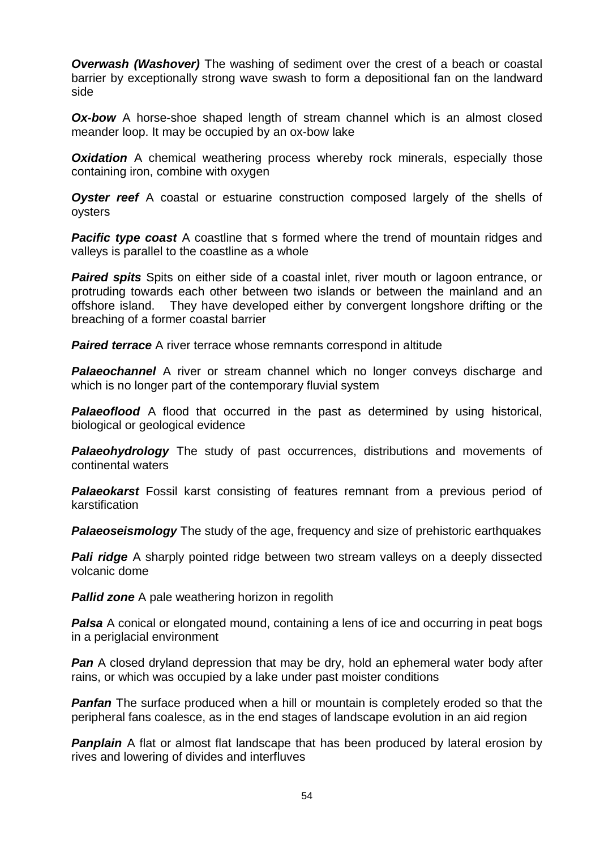**Overwash (Washover)** The washing of sediment over the crest of a beach or coastal barrier by exceptionally strong wave swash to form a depositional fan on the landward side

**Ox-bow** A horse-shoe shaped length of stream channel which is an almost closed meander loop. It may be occupied by an ox-bow lake

**Oxidation** A chemical weathering process whereby rock minerals, especially those containing iron, combine with oxygen

**Oyster reef** A coastal or estuarine construction composed largely of the shells of oysters

**Pacific type coast** A coastline that s formed where the trend of mountain ridges and valleys is parallel to the coastline as a whole

*Paired spits* Spits on either side of a coastal inlet, river mouth or lagoon entrance, or protruding towards each other between two islands or between the mainland and an offshore island. They have developed either by convergent longshore drifting or the breaching of a former coastal barrier

**Paired terrace** A river terrace whose remnants correspond in altitude

**Palaeochannel** A river or stream channel which no longer conveys discharge and which is no longer part of the contemporary fluvial system

**Palaeoflood** A flood that occurred in the past as determined by using historical, biological or geological evidence

**Palaeohydrology** The study of past occurrences, distributions and movements of continental waters

*Palaeokarst* Fossil karst consisting of features remnant from a previous period of karstification

**Palaeoseismology** The study of the age, frequency and size of prehistoric earthquakes

**Pali ridge** A sharply pointed ridge between two stream valleys on a deeply dissected volcanic dome

*Pallid zone* A pale weathering horizon in regolith

**Palsa** A conical or elongated mound, containing a lens of ice and occurring in peat bogs in a periglacial environment

**Pan** A closed dryland depression that may be dry, hold an ephemeral water body after rains, or which was occupied by a lake under past moister conditions

**Panfan** The surface produced when a hill or mountain is completely eroded so that the peripheral fans coalesce, as in the end stages of landscape evolution in an aid region

**Panplain** A flat or almost flat landscape that has been produced by lateral erosion by rives and lowering of divides and interfluves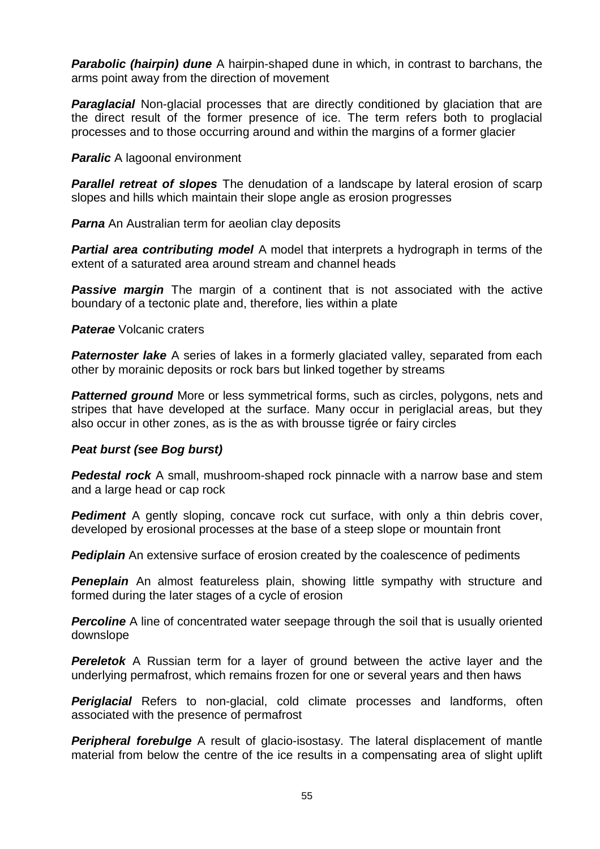*Parabolic (hairpin) dune* A hairpin-shaped dune in which, in contrast to barchans, the arms point away from the direction of movement

**Paraglacial** Non-glacial processes that are directly conditioned by glaciation that are the direct result of the former presence of ice. The term refers both to proglacial processes and to those occurring around and within the margins of a former glacier

*Paralic* A lagoonal environment

**Parallel retreat of slopes** The denudation of a landscape by lateral erosion of scarp slopes and hills which maintain their slope angle as erosion progresses

*Parna* An Australian term for aeolian clay deposits

**Partial area contributing model** A model that interprets a hydrograph in terms of the extent of a saturated area around stream and channel heads

**Passive margin** The margin of a continent that is not associated with the active boundary of a tectonic plate and, therefore, lies within a plate

*Paterae* Volcanic craters

**Paternoster lake** A series of lakes in a formerly glaciated valley, separated from each other by morainic deposits or rock bars but linked together by streams

**Patterned ground** More or less symmetrical forms, such as circles, polygons, nets and stripes that have developed at the surface. Many occur in periglacial areas, but they also occur in other zones, as is the as with brousse tigrée or fairy circles

## *Peat burst (see Bog burst)*

*Pedestal rock* A small, mushroom-shaped rock pinnacle with a narrow base and stem and a large head or cap rock

**Pediment** A gently sloping, concave rock cut surface, with only a thin debris cover, developed by erosional processes at the base of a steep slope or mountain front

**Pediplain** An extensive surface of erosion created by the coalescence of pediments

**Peneplain** An almost featureless plain, showing little sympathy with structure and formed during the later stages of a cycle of erosion

**Percoline** A line of concentrated water seepage through the soil that is usually oriented downslope

**Pereletok** A Russian term for a layer of ground between the active layer and the underlying permafrost, which remains frozen for one or several years and then haws

**Periglacial** Refers to non-glacial, cold climate processes and landforms, often associated with the presence of permafrost

**Peripheral forebulge** A result of glacio-isostasy. The lateral displacement of mantle material from below the centre of the ice results in a compensating area of slight uplift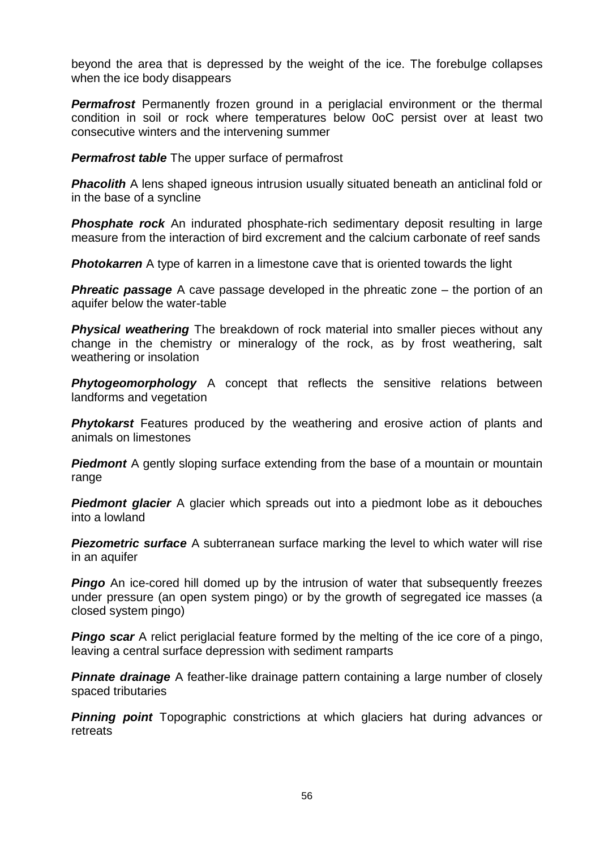beyond the area that is depressed by the weight of the ice. The forebulge collapses when the ice body disappears

**Permafrost** Permanently frozen ground in a periglacial environment or the thermal condition in soil or rock where temperatures below 0oC persist over at least two consecutive winters and the intervening summer

**Permafrost table** The upper surface of permafrost

**Phacolith** A lens shaped igneous intrusion usually situated beneath an anticlinal fold or in the base of a syncline

**Phosphate rock** An indurated phosphate-rich sedimentary deposit resulting in large measure from the interaction of bird excrement and the calcium carbonate of reef sands

**Photokarren** A type of karren in a limestone cave that is oriented towards the light

**Phreatic passage** A cave passage developed in the phreatic zone – the portion of an aquifer below the water-table

*Physical weathering* The breakdown of rock material into smaller pieces without any change in the chemistry or mineralogy of the rock, as by frost weathering, salt weathering or insolation

**Phytogeomorphology** A concept that reflects the sensitive relations between landforms and vegetation

**Phytokarst** Features produced by the weathering and erosive action of plants and animals on limestones

**Piedmont** A gently sloping surface extending from the base of a mountain or mountain range

**Piedmont glacier** A glacier which spreads out into a piedmont lobe as it debouches into a lowland

**Piezometric surface** A subterranean surface marking the level to which water will rise in an aquifer

**Pingo** An ice-cored hill domed up by the intrusion of water that subsequently freezes under pressure (an open system pingo) or by the growth of segregated ice masses (a closed system pingo)

**Pingo scar** A relict periglacial feature formed by the melting of the ice core of a pingo, leaving a central surface depression with sediment ramparts

**Pinnate drainage** A feather-like drainage pattern containing a large number of closely spaced tributaries

**Pinning point** Topographic constrictions at which glaciers hat during advances or retreats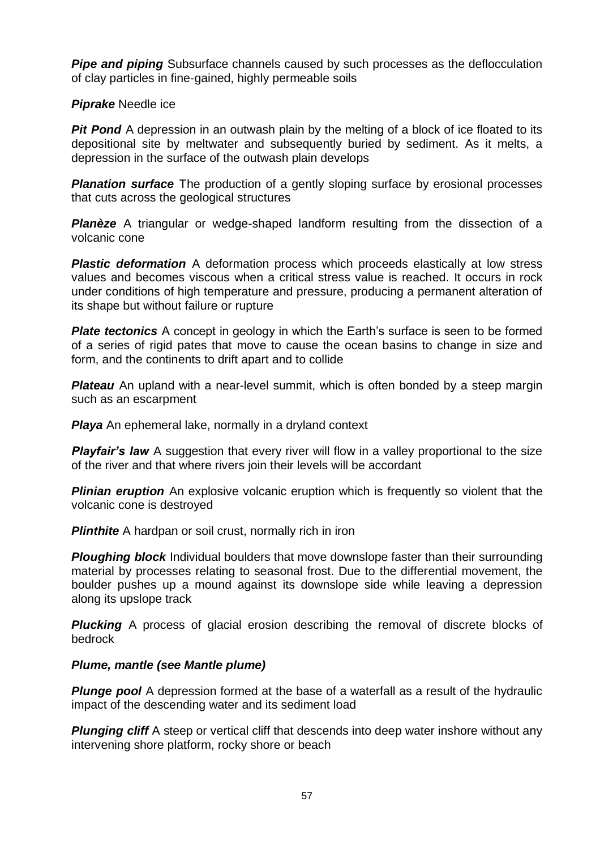**Pipe and piping** Subsurface channels caused by such processes as the deflocculation of clay particles in fine-gained, highly permeable soils

*Piprake* Needle ice

*Pit Pond* A depression in an outwash plain by the melting of a block of ice floated to its depositional site by meltwater and subsequently buried by sediment. As it melts, a depression in the surface of the outwash plain develops

**Planation surface** The production of a gently sloping surface by erosional processes that cuts across the geological structures

**Planèze** A triangular or wedge-shaped landform resulting from the dissection of a volcanic cone

**Plastic deformation** A deformation process which proceeds elastically at low stress values and becomes viscous when a critical stress value is reached. It occurs in rock under conditions of high temperature and pressure, producing a permanent alteration of its shape but without failure or rupture

**Plate tectonics** A concept in geology in which the Earth's surface is seen to be formed of a series of rigid pates that move to cause the ocean basins to change in size and form, and the continents to drift apart and to collide

**Plateau** An upland with a near-level summit, which is often bonded by a steep margin such as an escarpment

**Playa** An ephemeral lake, normally in a dryland context

**Playfair's law** A suggestion that every river will flow in a valley proportional to the size of the river and that where rivers join their levels will be accordant

**Plinian eruption** An explosive volcanic eruption which is frequently so violent that the volcanic cone is destroyed

**Plinthite** A hardpan or soil crust, normally rich in iron

**Ploughing block** Individual boulders that move downslope faster than their surrounding material by processes relating to seasonal frost. Due to the differential movement, the boulder pushes up a mound against its downslope side while leaving a depression along its upslope track

**Plucking** A process of glacial erosion describing the removal of discrete blocks of bedrock

# *Plume, mantle (see Mantle plume)*

**Plunge pool** A depression formed at the base of a waterfall as a result of the hydraulic impact of the descending water and its sediment load

**Plunging cliff** A steep or vertical cliff that descends into deep water inshore without any intervening shore platform, rocky shore or beach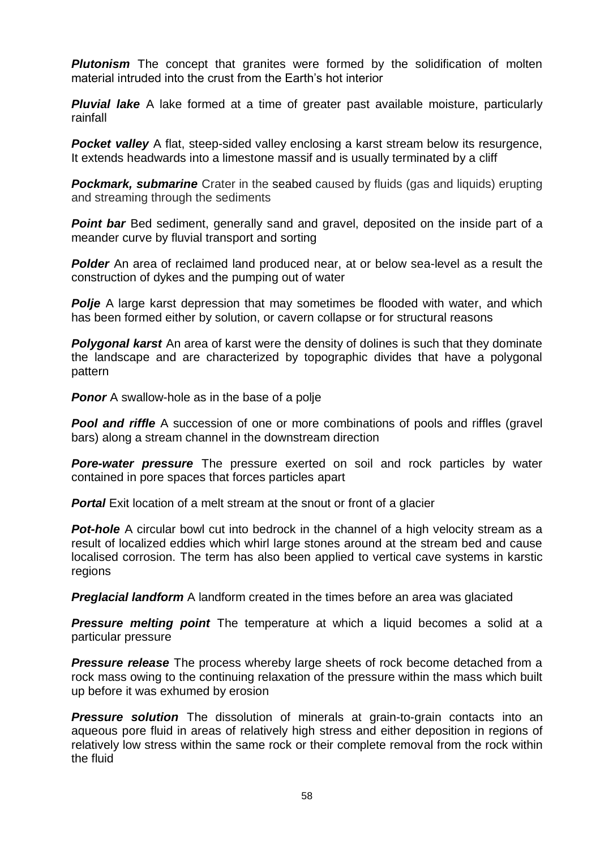**Plutonism** The concept that granites were formed by the solidification of molten material intruded into the crust from the Earth's hot interior

**Pluvial lake** A lake formed at a time of greater past available moisture, particularly rainfall

**Pocket valley** A flat, steep-sided valley enclosing a karst stream below its resurgence, It extends headwards into a limestone massif and is usually terminated by a cliff

**Pockmark, submarine** Crater in the [seabed](http://en.wikipedia.org/wiki/Seabed) caused by fluids (gas and liquids) erupting and streaming through the sediments

**Point bar** Bed sediment, generally sand and gravel, deposited on the inside part of a meander curve by fluvial transport and sorting

**Polder** An area of reclaimed land produced near, at or below sea-level as a result the construction of dykes and the pumping out of water

**Polje** A large karst depression that may sometimes be flooded with water, and which has been formed either by solution, or cavern collapse or for structural reasons

**Polygonal karst** An area of karst were the density of dolines is such that they dominate the landscape and are characterized by topographic divides that have a polygonal pattern

**Ponor** A swallow-hole as in the base of a polje

**Pool and riffle** A succession of one or more combinations of pools and riffles (gravel bars) along a stream channel in the downstream direction

*Pore-water pressure* The pressure exerted on soil and rock particles by water contained in pore spaces that forces particles apart

**Portal** Exit location of a melt stream at the snout or front of a glacier

**Pot-hole** A circular bowl cut into bedrock in the channel of a high velocity stream as a result of localized eddies which whirl large stones around at the stream bed and cause localised corrosion. The term has also been applied to vertical cave systems in karstic regions

*Preglacial landform* A landform created in the times before an area was glaciated

**Pressure melting point** The temperature at which a liquid becomes a solid at a particular pressure

**Pressure release** The process whereby large sheets of rock become detached from a rock mass owing to the continuing relaxation of the pressure within the mass which built up before it was exhumed by erosion

**Pressure solution** The [dissolution](http://en.wikipedia.org/wiki/Solvation) of minerals at grain-to-grain contacts into an [aqueous](http://en.wikipedia.org/wiki/Aqueous_solution) [pore](http://en.wikipedia.org/wiki/Porosity) fluid in areas of relatively high [stress](http://en.wikipedia.org/wiki/Stress_(physics)) and either deposition in regions of relatively low stress within the same rock or their complete removal from the rock within the fluid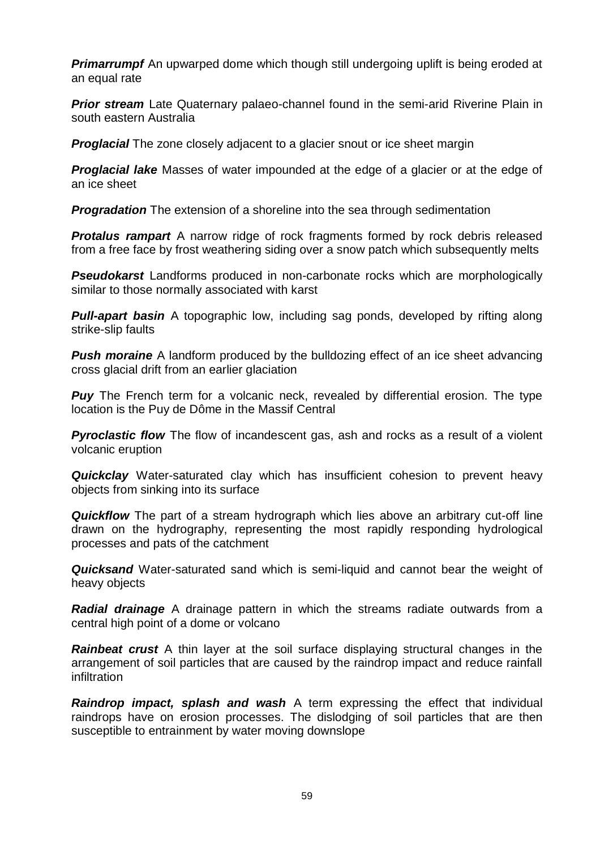**Primarrumpf** An upwarped dome which though still undergoing uplift is being eroded at an equal rate

**Prior stream** Late Quaternary palaeo-channel found in the semi-arid Riverine Plain in south eastern Australia

**Proglacial** The zone closely adjacent to a glacier snout or ice sheet margin

*Proglacial lake* Masses of water impounded at the edge of a glacier or at the edge of an ice sheet

*Progradation* The extension of a shoreline into the sea through sedimentation

**Protalus rampart** A narrow ridge of rock fragments formed by rock debris released from a free face by frost weathering siding over a snow patch which subsequently melts

**Pseudokarst** Landforms produced in non-carbonate rocks which are morphologically similar to those normally associated with karst

**Pull-apart basin** A topographic low, including sag ponds, developed by rifting along strike-slip faults

**Push moraine** A landform produced by the bulldozing effect of an ice sheet advancing cross glacial drift from an earlier glaciation

**Puy** The French term for a volcanic neck, revealed by differential erosion. The type location is the Puy de Dôme in the Massif Central

**Pyroclastic flow** The flow of incandescent gas, ash and rocks as a result of a violent volcanic eruption

**Quickclay** Water-saturated clay which has insufficient cohesion to prevent heavy objects from sinking into its surface

*Quickflow* The part of a stream hydrograph which lies above an arbitrary cut-off line drawn on the hydrography, representing the most rapidly responding hydrological processes and pats of the catchment

*Quicksand* Water-saturated sand which is semi-liquid and cannot bear the weight of heavy objects

*Radial drainage* A drainage pattern in which the streams radiate outwards from a central high point of a dome or volcano

*Rainbeat crust* A thin layer at the soil surface displaying structural changes in the arrangement of soil particles that are caused by the raindrop impact and reduce rainfall infiltration

*Raindrop impact, splash and wash* A term expressing the effect that individual raindrops have on erosion processes. The dislodging of soil particles that are then susceptible to entrainment by water moving downslope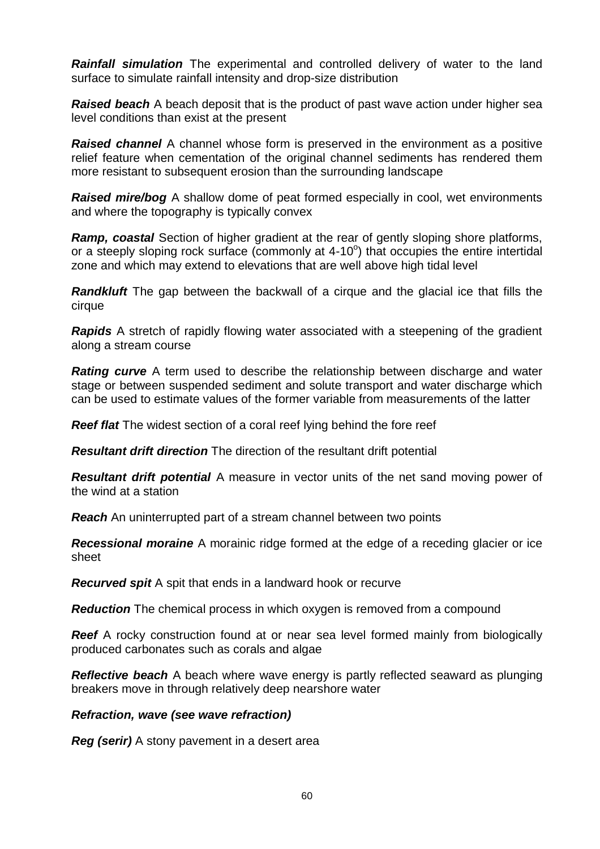*Rainfall simulation* The experimental and controlled delivery of water to the land surface to simulate rainfall intensity and drop-size distribution

*Raised beach* A beach deposit that is the product of past wave action under higher sea level conditions than exist at the present

*Raised channel* A channel whose form is preserved in the environment as a positive relief feature when cementation of the original channel sediments has rendered them more resistant to subsequent erosion than the surrounding landscape

*Raised mire/bog* A shallow dome of peat formed especially in cool, wet environments and where the topography is typically convex

*Ramp, coastal* Section of higher gradient at the rear of gently sloping shore platforms, or a steeply sloping rock surface (commonly at  $4-10^{\circ}$ ) that occupies the entire intertidal zone and which may extend to elevations that are well above high tidal level

**Randkluft** The gap between the backwall of a cirque and the glacial ice that fills the cirque

*Rapids* A stretch of rapidly flowing water associated with a steepening of the gradient along a stream course

*Rating curve* A term used to describe the relationship between discharge and water stage or between suspended sediment and solute transport and water discharge which can be used to estimate values of the former variable from measurements of the latter

**Reef flat** The widest section of a coral reef lying behind the fore reef

*Resultant drift direction* The direction of the resultant drift potential

*Resultant drift potential* A measure in vector units of the net sand moving power of the wind at a station

*Reach* An uninterrupted part of a stream channel between two points

*Recessional moraine* A morainic ridge formed at the edge of a receding glacier or ice sheet

*Recurved spit* A spit that ends in a landward hook or recurve

**Reduction** The chemical process in which oxygen is removed from a compound

**Reef** A rocky construction found at or near sea level formed mainly from biologically produced carbonates such as corals and algae

*Reflective beach* A beach where wave energy is partly reflected seaward as plunging breakers move in through relatively deep nearshore water

#### *Refraction, wave (see wave refraction)*

*Reg (serir)* A stony pavement in a desert area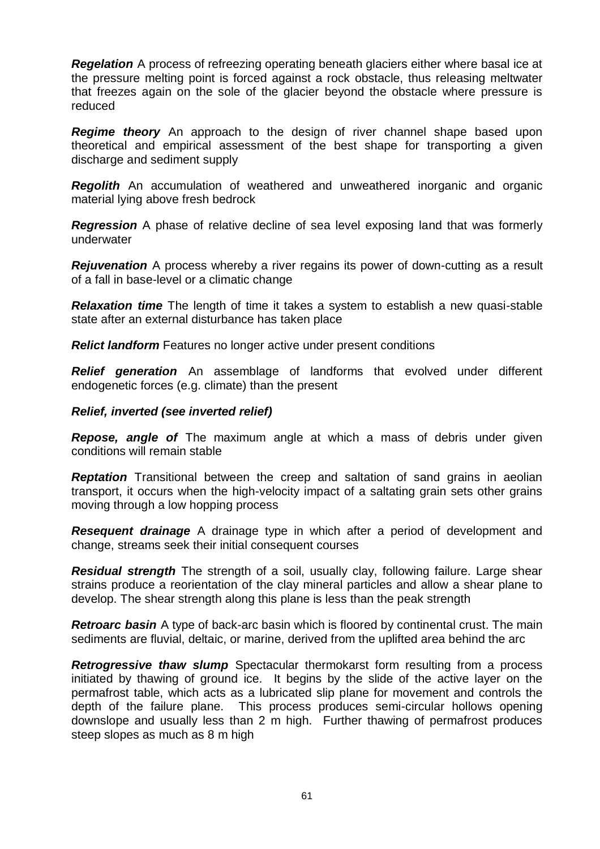*Regelation* A process of refreezing operating beneath glaciers either where basal ice at the pressure melting point is forced against a rock obstacle, thus releasing meltwater that freezes again on the sole of the glacier beyond the obstacle where pressure is reduced

**Regime theory** An approach to the design of river channel shape based upon theoretical and empirical assessment of the best shape for transporting a given discharge and sediment supply

**Regolith** An accumulation of weathered and unweathered inorganic and organic material lying above fresh bedrock

*Regression* A phase of relative decline of sea level exposing land that was formerly underwater

*Rejuvenation* A process whereby a river regains its power of down-cutting as a result of a fall in base-level or a climatic change

*Relaxation time* The length of time it takes a system to establish a new quasi-stable state after an external disturbance has taken place

*Relict landform* Features no longer active under present conditions

*Relief generation* An assemblage of landforms that evolved under different endogenetic forces (e.g. climate) than the present

#### *Relief, inverted (see inverted relief)*

*Repose, angle of* The maximum angle at which a mass of debris under given conditions will remain stable

*Reptation* Transitional between the creep and saltation of sand grains in aeolian transport, it occurs when the high-velocity impact of a saltating grain sets other grains moving through a low hopping process

*Resequent drainage* A drainage type in which after a period of development and change, streams seek their initial consequent courses

*Residual strength* The strength of a soil, usually clay, following failure. Large shear strains produce a reorientation of the clay mineral particles and allow a shear plane to develop. The shear strength along this plane is less than the peak strength

*Retroarc basin* A type of [back-arc basin](http://www.encyclopedia.com/doc/1O13-backarcbasin.html) which is floored by [continental crust.](http://www.encyclopedia.com/doc/1O13-continentalcrust.html) The main [sediments](http://www.encyclopedia.com/doc/1O13-sediment.html) are fluvial, deltaic, or marine, derived from the uplifted area behind the arc

*Retrogressive thaw slump* Spectacular thermokarst form resulting from a process initiated by thawing of ground ice. It begins by the slide of the active layer on the permafrost table, which acts as a lubricated slip plane for movement and controls the depth of the failure plane. This process produces semi-circular hollows opening downslope and usually less than 2 m high. Further thawing of permafrost produces steep slopes as much as 8 m high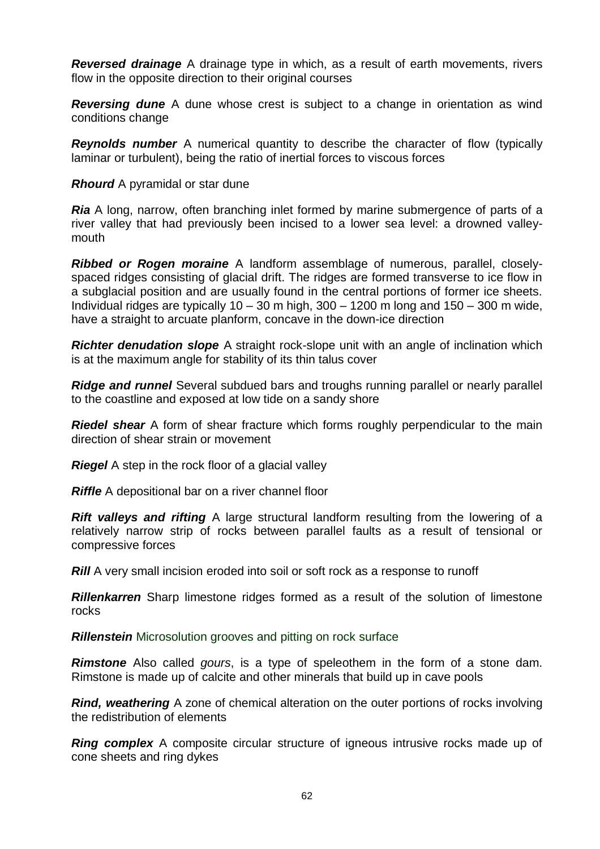*Reversed drainage* A drainage type in which, as a result of earth movements, rivers flow in the opposite direction to their original courses

*Reversing dune* A dune whose crest is subject to a change in orientation as wind conditions change

*Reynolds number* A numerical quantity to describe the character of flow (typically laminar or turbulent), being the ratio of inertial forces to viscous forces

*Rhourd* A pyramidal or star dune

*Ria* A long, narrow, often branching inlet formed by marine submergence of parts of a river valley that had previously been incised to a lower sea level: a drowned valleymouth

*Ribbed or Rogen moraine* A landform assemblage of numerous, parallel, closelyspaced ridges consisting of glacial drift. The ridges are formed transverse to ice flow in a subglacial position and are usually found in the central portions of former ice sheets. Individual ridges are typically  $10 - 30$  m high,  $300 - 1200$  m long and  $150 - 300$  m wide, have a straight to arcuate planform, concave in the down-ice direction

*Richter denudation slope* A straight rock-slope unit with an angle of inclination which is at the maximum angle for stability of its thin talus cover

*Ridge and runnel* Several subdued bars and troughs running parallel or nearly parallel to the coastline and exposed at low tide on a sandy shore

*Riedel shear* A form of shear fracture which forms roughly perpendicular to the main direction of shear strain or movement

*Riegel* A step in the rock floor of a glacial valley

*Riffle* A depositional bar on a river channel floor

*Rift valleys and rifting* A large structural landform resulting from the lowering of a relatively narrow strip of rocks between parallel faults as a result of tensional or compressive forces

*Rill* A very small incision eroded into soil or soft rock as a response to runoff

*Rillenkarren* Sharp limestone ridges formed as a result of the solution of limestone rocks

*Rillenstein* Microsolution grooves and pitting on rock surface

*Rimstone* Also called *gours*, is a type of [speleothem](http://en.wikipedia.org/wiki/Speleothem) in the form of a stone dam. Rimstone is made up of [calcite](http://en.wikipedia.org/wiki/Calcite) and other minerals that build up in cave pools

*Rind, weathering* A zone of chemical alteration on the outer portions of rocks involving the redistribution of elements

**Ring complex** A composite circular structure of igneous intrusive rocks made up of cone sheets and ring dykes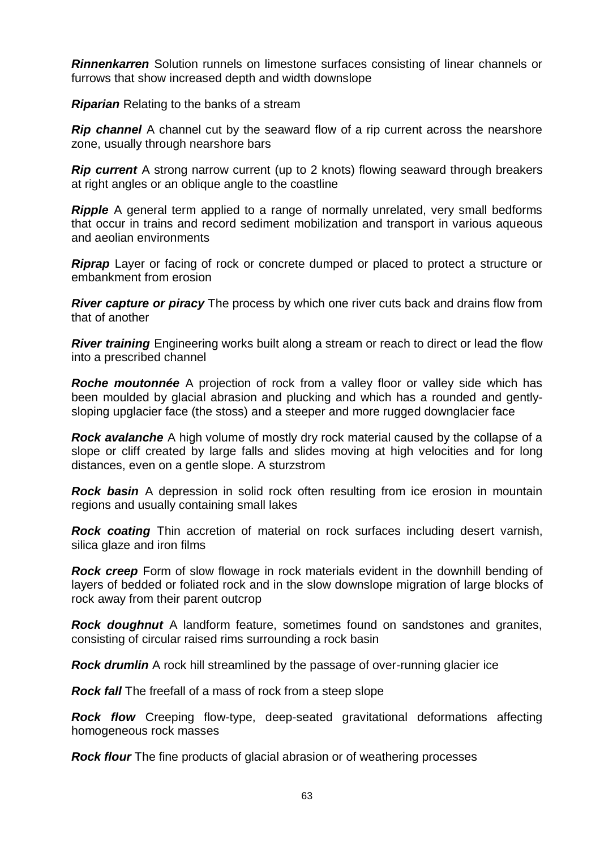*Rinnenkarren* Solution runnels on limestone surfaces consisting of linear channels or furrows that show increased depth and width downslope

*Riparian* Relating to the banks of a stream

**Rip channel** A channel cut by the seaward flow of a rip current across the nearshore zone, usually through nearshore bars

**Rip current** A strong narrow current (up to 2 knots) flowing seaward through breakers at right angles or an oblique angle to the coastline

**Ripple** A general term applied to a range of normally unrelated, very small bedforms that occur in trains and record sediment mobilization and transport in various aqueous and aeolian environments

*Riprap* Layer or facing of rock or concrete dumped or placed to protect a structure or embankment from erosion

*River capture or piracy* The process by which one river cuts back and drains flow from that of another

*River training* Engineering works built along a stream or reach to direct or lead the flow into a prescribed channel

*Roche moutonnée* A projection of rock from a valley floor or valley side which has been moulded by glacial abrasion and plucking and which has a rounded and gentlysloping upglacier face (the stoss) and a steeper and more rugged downglacier face

*Rock avalanche* A high volume of mostly dry rock material caused by the collapse of a slope or cliff created by large falls and slides moving at high velocities and for long distances, even on a gentle slope. A sturzstrom

**Rock basin** A depression in solid rock often resulting from ice erosion in mountain regions and usually containing small lakes

*Rock coating* Thin accretion of material on rock surfaces including desert varnish, silica glaze and iron films

**Rock creep** Form of slow flowage in rock materials evident in the downhill bending of layers of bedded or foliated rock and in the slow downslope migration of large blocks of rock away from their parent outcrop

*Rock doughnut* A landform feature, sometimes found on sandstones and granites, consisting of circular raised rims surrounding a rock basin

*Rock drumlin* A rock hill streamlined by the passage of over-running glacier ice

*Rock fall* The freefall of a mass of rock from a steep slope

*Rock flow* Creeping flow-type, deep-seated gravitational deformations affecting homogeneous rock masses

*Rock flour* The fine products of glacial abrasion or of weathering processes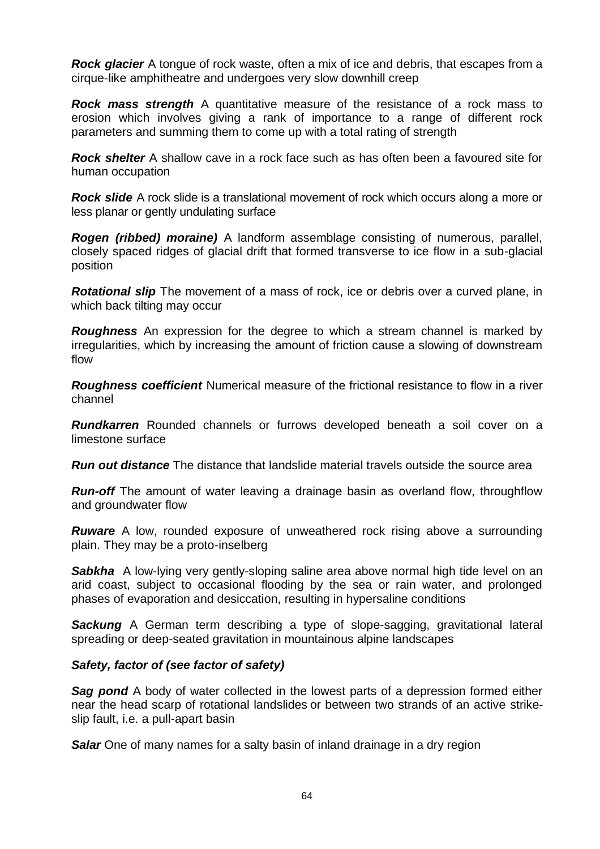*Rock glacier* A tongue of rock waste, often a mix of ice and debris, that escapes from a cirque-like amphitheatre and undergoes very slow downhill creep

*Rock mass strength* A quantitative measure of the resistance of a rock mass to erosion which involves giving a rank of importance to a range of different rock parameters and summing them to come up with a total rating of strength

*Rock shelter* A shallow cave in a rock face such as has often been a favoured site for human occupation

*Rock slide* A rock slide is a translational movement of rock which occurs along a more or less planar or gently undulating surface

*Rogen (ribbed) moraine)* A landform assemblage consisting of numerous, parallel, closely spaced ridges of glacial drift that formed transverse to ice flow in a sub-glacial position

*Rotational slip* The movement of a mass of rock, ice or debris over a curved plane, in which back tilting may occur

*Roughness* An expression for the degree to which a stream channel is marked by irregularities, which by increasing the amount of friction cause a slowing of downstream flow

*Roughness coefficient* Numerical measure of the frictional resistance to flow in a river channel

*Rundkarren* Rounded channels or furrows developed beneath a soil cover on a limestone surface

*Run out distance* The distance that landslide material travels outside the source area

*Run-off* The amount of water leaving a drainage basin as overland flow, throughflow and groundwater flow

**Ruware** A low, rounded exposure of unweathered rock rising above a surrounding plain. They may be a proto-inselberg

**Sabkha** A low-lying very gently-sloping saline area above normal high tide level on an arid coast, subject to occasional flooding by the sea or rain water, and prolonged phases of evaporation and desiccation, resulting in hypersaline conditions

**Sackung** A German term describing a type of slope-sagging, gravitational lateral spreading or deep-seated gravitation in mountainous alpine landscapes

## *Safety, factor of (see factor of safety)*

**Sag pond** A body of [water](http://en.wikipedia.org/wiki/Water) collected in the lowest parts of a depression formed either near the head scarp of rotational landslides or between two strands of an active [strike](http://en.wikipedia.org/wiki/Geologic_fault)[slip fault,](http://en.wikipedia.org/wiki/Geologic_fault) i.e. a pull-apart basin

**Salar** One of many names for a salty basin of inland drainage in a dry region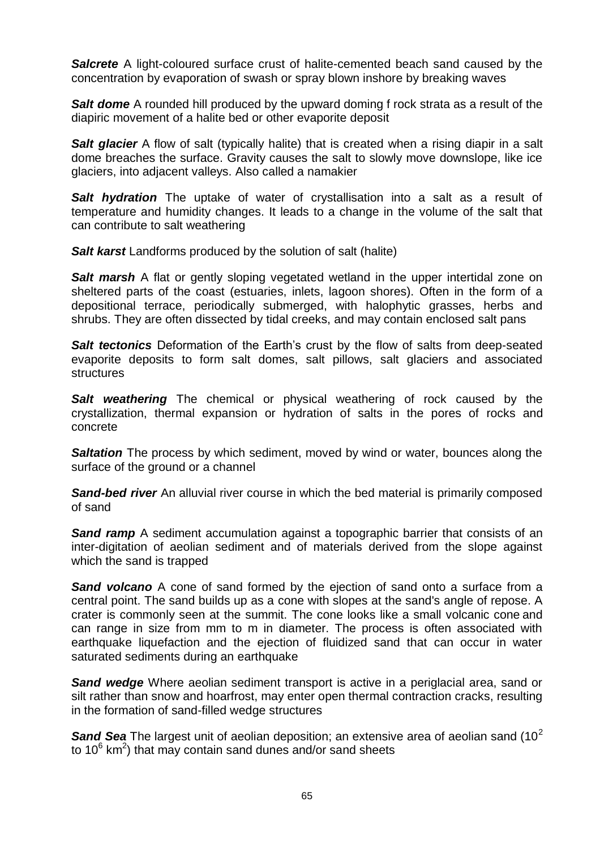*Salcrete* A light-coloured surface crust of halite-cemented beach sand caused by the concentration by evaporation of swash or spray blown inshore by breaking waves

**Salt dome** A rounded hill produced by the upward doming f rock strata as a result of the diapiric movement of a halite bed or other evaporite deposit

**Salt glacier** A flow of [salt](http://en.wikipedia.org/wiki/Salt) (typically [halite\)](http://en.wikipedia.org/wiki/Halite) that is created when a rising [diapir](http://en.wikipedia.org/wiki/Diapir) in a salt [dome](http://en.wikipedia.org/wiki/Salt_dome) breaches the surface. Gravity causes the salt to slowly move downslope, like ice glaciers, into adjacent valleys. Also called a namakier

*Salt hydration* The uptake of water of crystallisation into a salt as a result of temperature and humidity changes. It leads to a change in the volume of the salt that can contribute to salt weathering

**Salt karst** Landforms produced by the solution of salt (halite)

**Salt marsh** A flat or gently sloping vegetated wetland in the upper intertidal zone on sheltered parts of the coast (estuaries, inlets, lagoon shores). Often in the form of a depositional terrace, periodically submerged, with halophytic grasses, herbs and shrubs. They are often dissected by tidal creeks, and may contain enclosed salt pans

**Salt tectonics** Deformation of the Earth's crust by the flow of salts from deep-seated evaporite deposits to form salt domes, salt pillows, salt glaciers and associated **structures** 

**Salt weathering** The chemical or physical weathering of rock caused by the crystallization, thermal expansion or hydration of salts in the pores of rocks and concrete

**Saltation** The process by which sediment, moved by wind or water, bounces along the surface of the ground or a channel

**Sand-bed river** An alluvial river course in which the bed material is primarily composed of sand

**Sand ramp** A sediment accumulation against a topographic barrier that consists of an inter-digitation of aeolian sediment and of materials derived from the slope against which the sand is trapped

Sand volcano A cone of [sand](http://en.wikipedia.org/wiki/Sand) formed by the ejection of sand onto a surface from a central point. The sand builds up as a [cone](http://en.wikipedia.org/wiki/Cone_(geometry)) with slopes at the sand's [angle of repose.](http://en.wikipedia.org/wiki/Angle_of_repose) A [crater](http://en.wikipedia.org/wiki/Volcanic_crater) is commonly seen at the [summit.](http://en.wikipedia.org/wiki/Summit_(topography)) The cone looks like a small [volcanic cone](http://en.wikipedia.org/wiki/Volcanic_cone) and can range in size from mm to m in diameter. The process is often associated with [earthquake liquefaction](http://en.wikipedia.org/wiki/Earthquake_liquefaction) and the ejection of fluidized sand that can occur in water saturated sediments during an [earthquake](http://en.wikipedia.org/wiki/Earthquake)

**Sand wedge** Where aeolian sediment transport is active in a periglacial area, sand or silt rather than snow and hoarfrost, may enter open thermal contraction cracks, resulting in the formation of sand-filled wedge structures

**Sand Sea** The largest unit of aeolian deposition; an extensive area of aeolian sand (10<sup>2</sup>) to 10 $6 \text{ km}^2$ ) that may contain sand dunes and/or sand sheets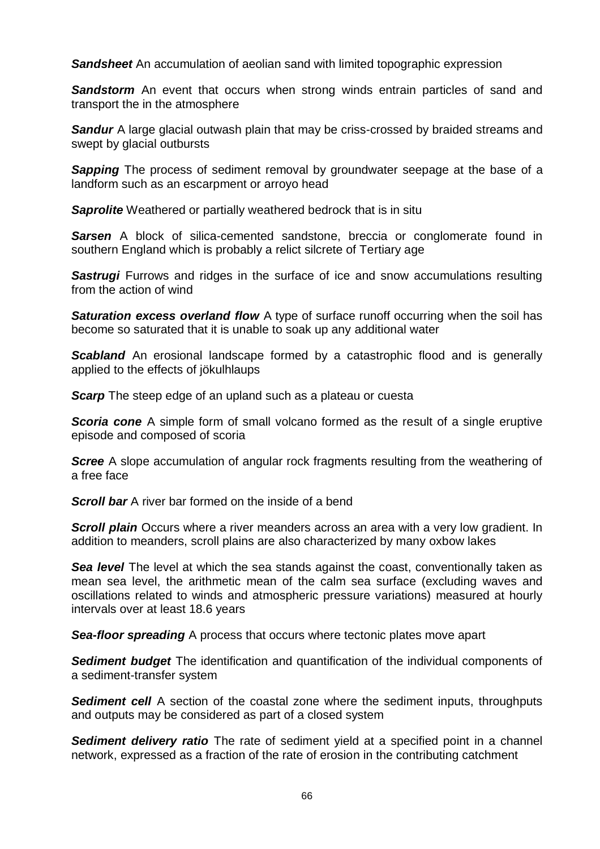**Sandsheet** An accumulation of aeolian sand with limited topographic expression

**Sandstorm** An event that occurs when strong winds entrain particles of sand and transport the in the atmosphere

**Sandur** A large glacial outwash plain that may be criss-crossed by braided streams and swept by glacial outbursts

**Sapping** The process of sediment removal by groundwater seepage at the base of a landform such as an escarpment or arroyo head

*Saprolite* Weathered or partially weathered bedrock that is in situ

**Sarsen** A block of silica-cemented sandstone, breccia or conglomerate found in southern England which is probably a relict silcrete of Tertiary age

**Sastrugi** Furrows and ridges in the surface of ice and snow accumulations resulting from the action of wind

**Saturation excess overland flow** A type of surface runoff occurring when the soil has become so saturated that it is unable to soak up any additional water

**Scabland** An erosional landscape formed by a catastrophic flood and is generally applied to the effects of jökulhlaups

*Scarp* The steep edge of an upland such as a plateau or cuesta

**Scoria cone** A simple form of small volcano formed as the result of a single eruptive episode and composed of scoria

*Scree* A slope accumulation of angular rock fragments resulting from the weathering of a free face

**Scroll bar** A river bar formed on the inside of a bend

**Scroll plain** Occurs where a river [meanders](http://en.wikipedia.org/wiki/Meander) across an area with a very low gradient. In addition to meanders, scroll plains are also characterized by many [oxbow lakes](http://en.wikipedia.org/wiki/Oxbow_lake)

**Sea level** The level at which the sea stands against the coast, conventionally taken as mean sea level, the arithmetic mean of the calm sea surface (excluding waves and oscillations related to winds and atmospheric pressure variations) measured at hourly intervals over at least 18.6 years

**Sea-floor spreading** A process that occurs where tectonic plates move apart

*Sediment budget* The identification and quantification of the individual components of a sediment-transfer system

**Sediment cell** A section of the coastal zone where the sediment inputs, throughputs and outputs may be considered as part of a closed system

*Sediment delivery ratio* The rate of sediment yield at a specified point in a channel network, expressed as a fraction of the rate of erosion in the contributing catchment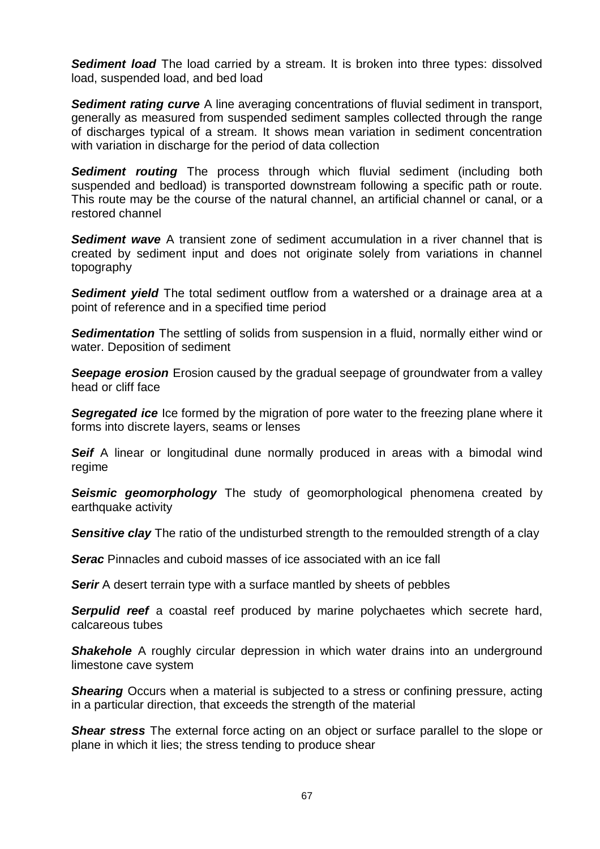**Sediment load** The load carried by a stream. It is broken into three types: dissolved load, suspended load, and bed load

**Sediment rating curve** A line averaging concentrations of fluvial sediment in transport, generally as measured from suspended sediment samples collected through the range of discharges typical of a stream. It shows mean variation in sediment concentration with variation in discharge for the period of data collection

*Sediment routing* The process through which fluvial sediment (including both suspended and bedload) is transported downstream following a specific path or route. This route may be the course of the natural channel, an artificial channel or canal, or a restored channel

*Sediment wave* A transient zone of sediment accumulation in a river channel that is created by sediment input and does not originate solely from variations in channel topography

*Sediment yield* The total sediment outflow from a watershed or a drainage area at a point of reference and in a specified time period

**Sedimentation** The settling of solids from suspension in a fluid, normally either wind or water. Deposition of sediment

*Seepage erosion* Erosion caused by the gradual seepage of groundwater from a valley head or cliff face

**Segregated ice** Ice formed by the migration of pore water to the freezing plane where it forms into discrete layers, seams or lenses

**Seif** A linear or longitudinal dune normally produced in areas with a bimodal wind regime

**Seismic geomorphology** The study of geomorphological phenomena created by earthquake activity

**Sensitive clay** The ratio of the undisturbed strength to the remoulded strength of a clay

**Serac** Pinnacles and cuboid masses of ice associated with an ice fall

**Serir** A desert terrain type with a surface mantled by sheets of pebbles

**Serpulid reef** a coastal reef produced by marine polychaetes which secrete hard, calcareous tubes

**Shakehole** A roughly circular depression in which water drains into an underground limestone cave system

**Shearing** Occurs when a material is subjected to a stress or confining pressure, acting in a particular direction, that exceeds the strength of the material

**Shear stress** The external [force](http://dictionary.reference.com/browse/force) acting on an [object](http://dictionary.reference.com/browse/object) or surface parallel to the slope or plane in [which](http://dictionary.reference.com/browse/which) it lies; the [stress](http://dictionary.reference.com/browse/stress) tending to produce shear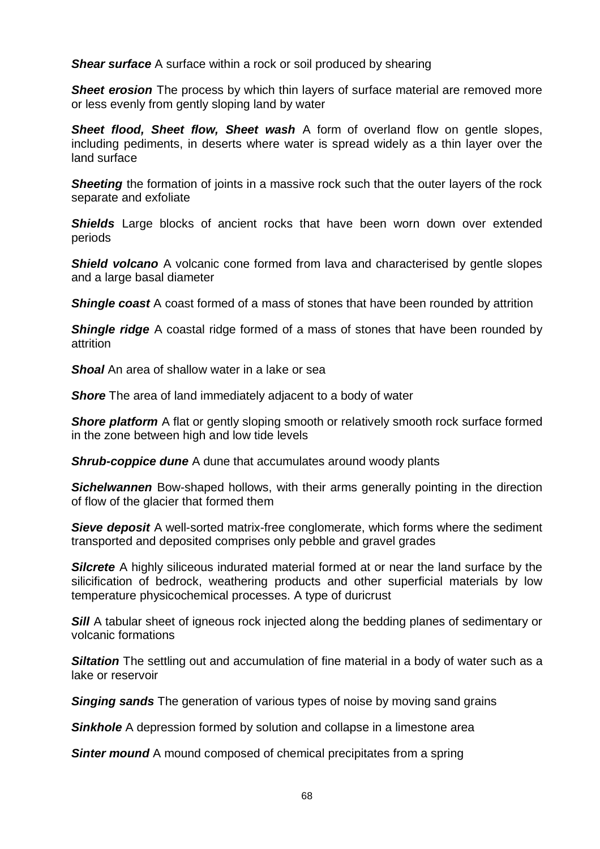*Shear surface* A surface within a rock or soil produced by shearing

**Sheet erosion** The process by which thin layers of surface material are removed more or less evenly from gently sloping land by water

**Sheet flood, Sheet flow, Sheet wash** A form of overland flow on gentle slopes, including pediments, in deserts where water is spread widely as a thin layer over the land surface

**Sheeting** the formation of joints in a massive rock such that the outer layers of the rock separate and exfoliate

**Shields** Large blocks of ancient rocks that have been worn down over extended periods

**Shield volcano** A volcanic cone formed from lava and characterised by gentle slopes and a large basal diameter

**Shingle coast** A coast formed of a mass of stones that have been rounded by attrition

*Shingle ridge* A coastal ridge formed of a mass of stones that have been rounded by attrition

*Shoal* An area of shallow water in a lake or sea

*Shore* The area of land immediately adjacent to a body of water

**Shore platform** A flat or gently sloping smooth or relatively smooth rock surface formed in the zone between high and low tide levels

*Shrub-coppice dune* A dune that accumulates around woody plants

**Sichelwannen** Bow-shaped hollows, with their arms generally pointing in the direction of flow of the glacier that formed them

**Sieve deposit** A well-sorted matrix-free conglomerate, which forms where the sediment transported and deposited comprises only pebble and gravel grades

**Silcrete** A highly siliceous indurated material formed at or near the land surface by the silicification of bedrock, weathering products and other superficial materials by low temperature physicochemical processes. A type of duricrust

**Sill** A tabular sheet of igneous rock injected along the bedding planes of sedimentary or volcanic formations

**Siltation** The settling out and accumulation of fine material in a body of water such as a lake or reservoir

*Singing sands* The generation of various types of noise by moving sand grains

*Sinkhole* A depression formed by solution and collapse in a limestone area

**Sinter mound** A mound composed of chemical precipitates from a spring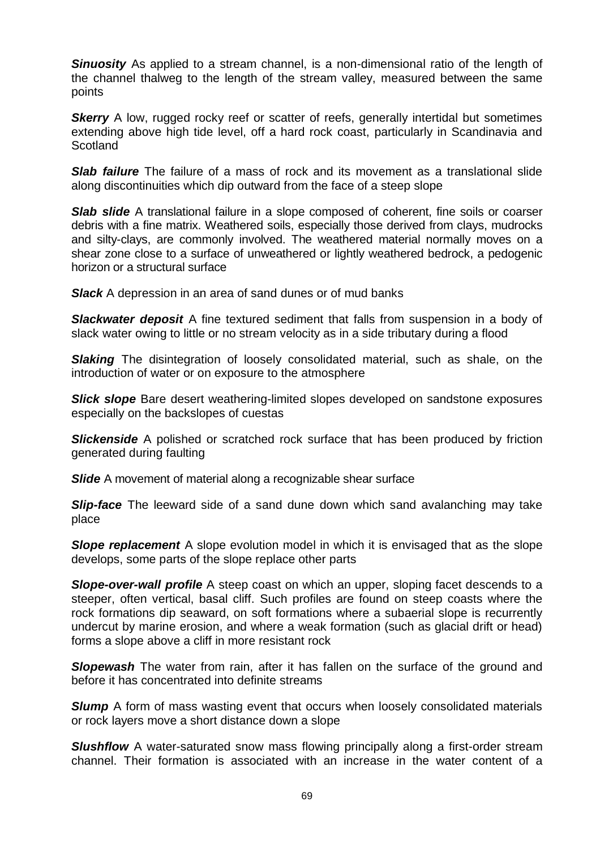**Sinuosity** As applied to a stream channel, is a non-dimensional ratio of the length of the channel thalweg to the length of the stream valley, measured between the same points

**Skerry** A low, rugged rocky reef or scatter of reefs, generally intertidal but sometimes extending above high tide level, off a hard rock coast, particularly in Scandinavia and **Scotland** 

**Slab failure** The failure of a mass of rock and its movement as a translational slide along discontinuities which dip outward from the face of a steep slope

**Slab slide** A translational failure in a slope composed of coherent, fine soils or coarser debris with a fine matrix. Weathered soils, especially those derived from clays, mudrocks and silty-clays, are commonly involved. The weathered material normally moves on a shear zone close to a surface of unweathered or lightly weathered bedrock, a pedogenic horizon or a structural surface

*Slack* A depression in an area of sand dunes or of mud banks

*Slackwater deposit* A fine textured sediment that falls from suspension in a body of slack water owing to little or no stream velocity as in a side tributary during a flood

**Slaking** The disintegration of loosely consolidated material, such as shale, on the introduction of water or on exposure to the atmosphere

**Slick slope** Bare desert weathering-limited slopes developed on sandstone exposures especially on the backslopes of cuestas

*Slickenside* A polished or scratched rock surface that has been produced by friction generated during faulting

*Slide* A movement of material along a recognizable shear surface

**Slip-face** The leeward side of a sand dune down which sand avalanching may take place

**Slope replacement** A slope evolution model in which it is envisaged that as the slope develops, some parts of the slope replace other parts

**Slope-over-wall profile** A steep coast on which an upper, sloping facet descends to a steeper, often vertical, basal cliff. Such profiles are found on steep coasts where the rock formations dip seaward, on soft formations where a subaerial slope is recurrently undercut by marine erosion, and where a weak formation (such as glacial drift or head) forms a slope above a cliff in more resistant rock

**Slopewash** The water from rain, after it has fallen on the surface of the ground and before it has concentrated into definite streams

**Slump** A form of mass wasting event that occurs when loosely consolidated materials or rock layers move a short distance down a slope

*Slushflow* A water-saturated snow mass flowing principally along a first-order stream channel. Their formation is associated with an increase in the water content of a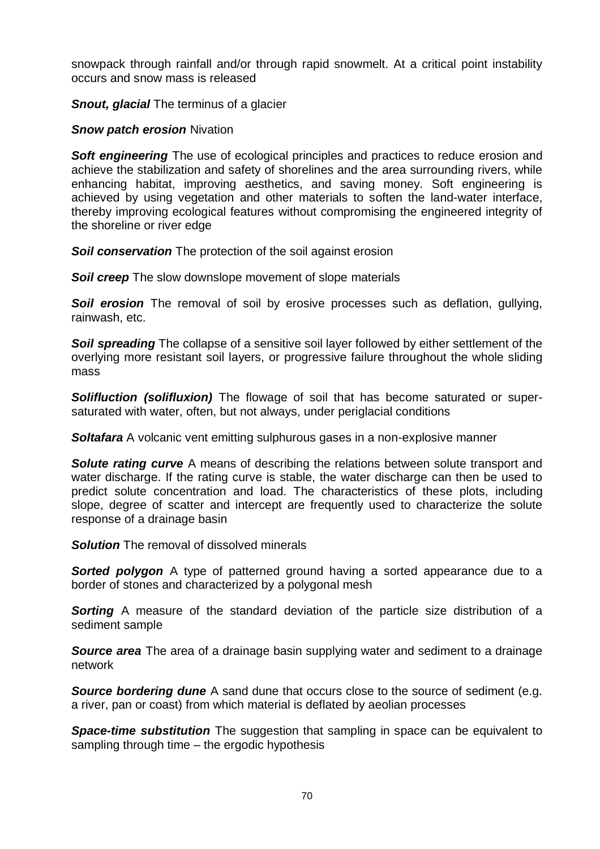snowpack through rainfall and/or through rapid snowmelt. At a critical point instability occurs and snow mass is released

**Snout, glacial** The terminus of a glacier

*Snow patch erosion Nivation* 

**Soft engineering** The use of [ecological](http://en.wikipedia.org/wiki/Ecological) principles and practices to reduce [erosion](http://en.wikipedia.org/wiki/Erosion) and achieve the stabilization and safety of shorelines and the area surrounding rivers, while enhancing habitat, improving aesthetics, and saving money. Soft engineering is achieved by using vegetation and other materials to soften the land-water interface, thereby improving ecological features without compromising the engineered integrity of the shoreline or river edge

**Soil conservation** The protection of the soil against erosion

**Soil creep** The slow downslope movement of slope materials

**Soil erosion** The removal of soil by erosive processes such as deflation, gullying, rainwash, etc.

**Soil spreading** The collapse of a sensitive soil layer followed by either settlement of the overlying more resistant soil layers, or progressive failure throughout the whole sliding mass

*Solifluction (solifluxion)* The flowage of soil that has become saturated or supersaturated with water, often, but not always, under periglacial conditions

**Soltafara** A volcanic vent emitting sulphurous gases in a non-explosive manner

**Solute rating curve** A means of describing the relations between solute transport and water discharge. If the rating curve is stable, the water discharge can then be used to predict solute concentration and load. The characteristics of these plots, including slope, degree of scatter and intercept are frequently used to characterize the solute response of a drainage basin

**Solution** The removal of dissolved minerals

**Sorted polygon** A type of patterned ground having a sorted appearance due to a border of stones and characterized by a polygonal mesh

**Sorting** A measure of the standard deviation of the particle size distribution of a sediment sample

**Source area** The area of a drainage basin supplying water and sediment to a drainage network

**Source bordering dune** A sand dune that occurs close to the source of sediment (e.g. a river, pan or coast) from which material is deflated by aeolian processes

**Space-time substitution** The suggestion that sampling in space can be equivalent to sampling through time – the ergodic hypothesis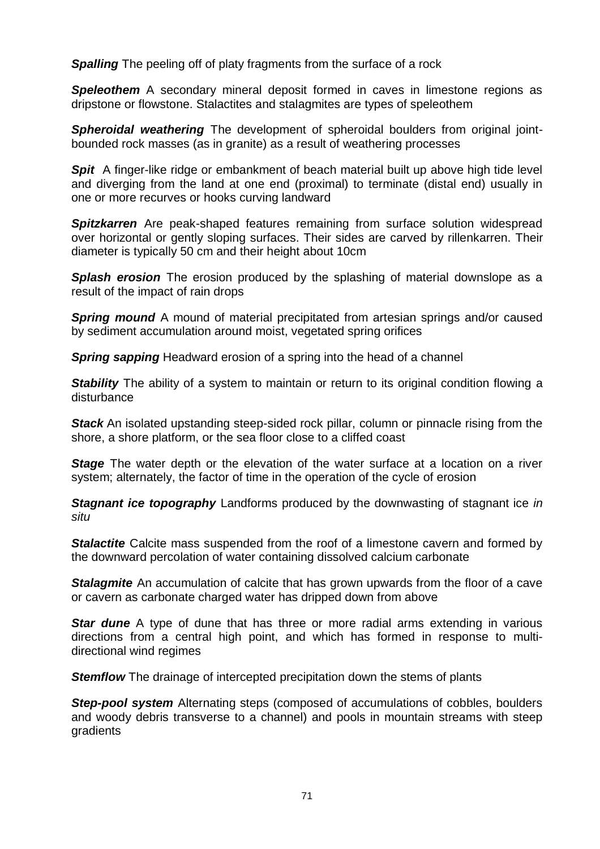**Spalling** The peeling off of platy fragments from the surface of a rock

*Speleothem* A secondary mineral deposit formed in caves in limestone regions as dripstone or flowstone. Stalactites and stalagmites are types of speleothem

**Spheroidal weathering** The development of spheroidal boulders from original jointbounded rock masses (as in granite) as a result of weathering processes

**Spit** A finger-like ridge or embankment of beach material built up above high tide level and diverging from the land at one end (proximal) to terminate (distal end) usually in one or more recurves or hooks curving landward

**Spitzkarren** Are peak-shaped features remaining from surface solution widespread over horizontal or gently sloping surfaces. Their sides are carved by rillenkarren. Their diameter is typically 50 cm and their height about 10cm

**Splash erosion** The erosion produced by the splashing of material downslope as a result of the impact of rain drops

**Spring mound** A mound of material precipitated from artesian springs and/or caused by sediment accumulation around moist, vegetated spring orifices

*Spring sapping* Headward erosion of a spring into the head of a channel

**Stability** The ability of a system to maintain or return to its original condition flowing a disturbance

*Stack* An isolated upstanding steep-sided rock pillar, column or pinnacle rising from the shore, a shore platform, or the sea floor close to a cliffed coast

**Stage** The water depth or the elevation of the water surface at a location on a river system; alternately, the factor of time in the operation of the cycle of erosion

*Stagnant ice topography* Landforms produced by the downwasting of stagnant ice *in situ*

**Stalactite** Calcite mass suspended from the roof of a limestone cavern and formed by the downward percolation of water containing dissolved calcium carbonate

**Stalagmite** An accumulation of calcite that has grown upwards from the floor of a cave or cavern as carbonate charged water has dripped down from above

**Star dune** A type of dune that has three or more radial arms extending in various directions from a central high point, and which has formed in response to multidirectional wind regimes

**Stemflow** The drainage of intercepted precipitation down the stems of plants

**Step-pool system** Alternating steps (composed of accumulations of cobbles, boulders and woody debris transverse to a channel) and pools in mountain streams with steep gradients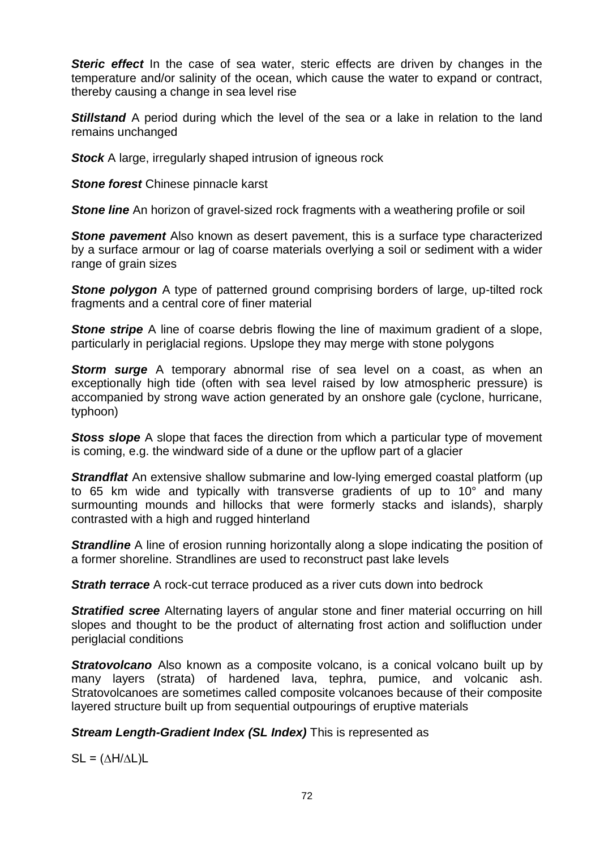**Steric effect** In the case of sea water, steric effects are driven by changes in the temperature and/or salinity of the ocean, which cause the water to expand or contract, thereby causing a change in sea level rise

**Stillstand** A period during which the level of the sea or a lake in relation to the land remains unchanged

**Stock** A large, irregularly shaped intrusion of igneous rock

**Stone forest Chinese pinnacle karst** 

**Stone line** An horizon of gravel-sized rock fragments with a weathering profile or soil

**Stone pavement** Also known as desert pavement, this is a surface type characterized by a surface armour or lag of coarse materials overlying a soil or sediment with a wider range of grain sizes

**Stone polygon** A type of patterned ground comprising borders of large, up-tilted rock fragments and a central core of finer material

**Stone stripe** A line of coarse debris flowing the line of maximum gradient of a slope, particularly in periglacial regions. Upslope they may merge with stone polygons

**Storm surge** A temporary abnormal rise of sea level on a coast, as when an exceptionally high tide (often with sea level raised by low atmospheric pressure) is accompanied by strong wave action generated by an onshore gale (cyclone, hurricane, typhoon)

**Stoss slope** A slope that faces the direction from which a particular type of movement is coming, e.g. the windward side of a dune or the upflow part of a glacier

*Strandflat* An extensive shallow submarine and low-lying emerged coastal platform (up to 65 km wide and typically with transverse gradients of up to 10° and many surmounting mounds and hillocks that were formerly stacks and islands), sharply contrasted with a high and rugged hinterland

**Strandline** A line of erosion running horizontally along a slope indicating the position of a former shoreline. Strandlines are used to reconstruct past lake levels

**Strath terrace** A rock-cut terrace produced as a river cuts down into bedrock

*Stratified scree* Alternating layers of angular stone and finer material occurring on hill slopes and thought to be the product of alternating frost action and solifluction under periglacial conditions

**Strato[volcano](http://en.wikipedia.org/wiki/Volcano)** Also known as a composite volcano, is a [conical](http://en.wikipedia.org/wiki/Volcanic_cone) volcano built up by many layers (strata) of hardened [lava,](http://en.wikipedia.org/wiki/Lava) [tephra,](http://en.wikipedia.org/wiki/Tephra) [pumice,](http://en.wikipedia.org/wiki/Pumice) and [volcanic ash.](http://en.wikipedia.org/wiki/Volcanic_ash) Stratovolcanoes are sometimes called composite volcanoes because of their composite layered structure built up from sequential outpourings of eruptive materials

# *Stream Length-Gradient Index (SL Index)* This is represented as

 $SL = (\Delta H / \Delta L) L$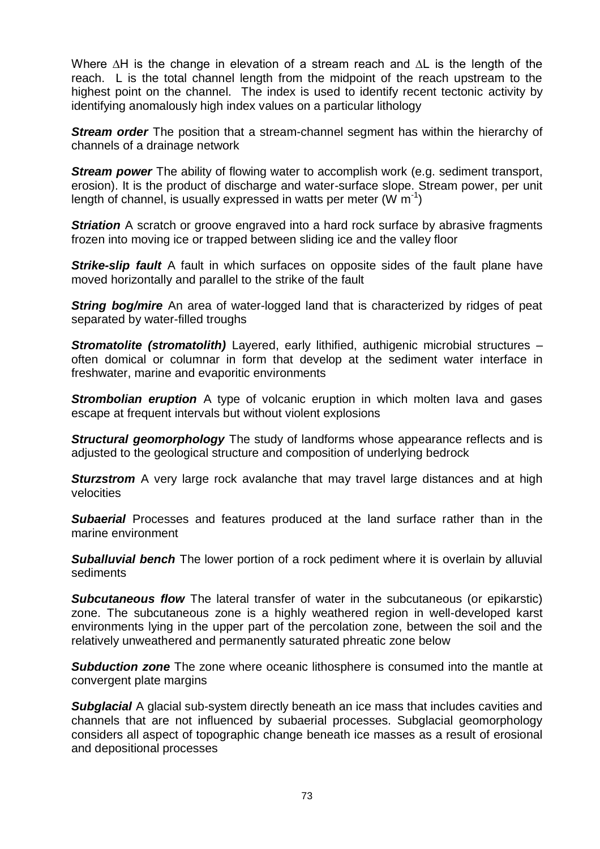Where ∆H is the change in elevation of a stream reach and ∆L is the length of the reach. L is the total channel length from the midpoint of the reach upstream to the highest point on the channel. The index is used to identify recent tectonic activity by identifying anomalously high index values on a particular lithology

*Stream order* The position that a stream-channel segment has within the hierarchy of channels of a drainage network

**Stream power** The ability of flowing water to accomplish work (e.g. sediment transport, erosion). It is the product of discharge and water-surface slope. Stream power, per unit length of channel, is usually expressed in watts per meter (W  $m^{-1}$ )

**Striation** A scratch or groove engraved into a hard rock surface by abrasive fragments frozen into moving ice or trapped between sliding ice and the valley floor

*Strike-slip fault* A fault in which surfaces on opposite sides of the fault plane have moved horizontally and parallel to the strike of the fault

**String bog/mire** An area of water-logged land that is characterized by ridges of peat separated by water-filled troughs

*Stromatolite (stromatolith)* Layered, early lithified, authigenic microbial structures – often domical or columnar in form that develop at the sediment water interface in freshwater, marine and evaporitic environments

**Strombolian eruption** A type of volcanic eruption in which molten lava and gases escape at frequent intervals but without violent explosions

*Structural geomorphology* The study of landforms whose appearance reflects and is adjusted to the geological structure and composition of underlying bedrock

**Sturzstrom** A very large rock avalanche that may travel large distances and at high velocities

**Subaerial** Processes and features produced at the land surface rather than in the marine environment

**Suballuvial bench** The lower portion of a rock pediment where it is overlain by alluvial sediments

*Subcutaneous flow* The lateral transfer of water in the subcutaneous (or epikarstic) zone. The subcutaneous zone is a highly weathered region in well-developed karst environments lying in the upper part of the percolation zone, between the soil and the relatively unweathered and permanently saturated phreatic zone below

**Subduction zone** The zone where oceanic lithosphere is consumed into the mantle at convergent plate margins

*Subglacial* A glacial sub-system directly beneath an ice mass that includes cavities and channels that are not influenced by subaerial processes. Subglacial geomorphology considers all aspect of topographic change beneath ice masses as a result of erosional and depositional processes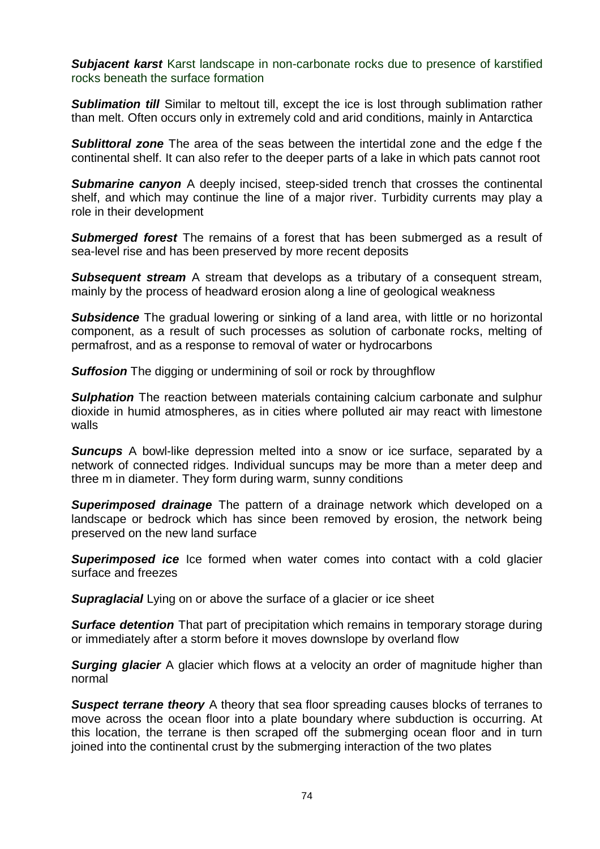**Subjacent karst** Karst landscape in non-carbonate rocks due to presence of karstified rocks beneath the surface formation

**Sublimation till** Similar to meltout till, except the ice is lost through sublimation rather than melt. Often occurs only in extremely cold and arid conditions, mainly in Antarctica

*Sublittoral zone* The area of the seas between the intertidal zone and the edge f the continental shelf. It can also refer to the deeper parts of a lake in which pats cannot root

**Submarine canyon** A deeply incised, steep-sided trench that crosses the continental shelf, and which may continue the line of a major river. Turbidity currents may play a role in their development

*Submerged forest* The remains of a forest that has been submerged as a result of sea-level rise and has been preserved by more recent deposits

*Subsequent stream* A stream that develops as a tributary of a consequent stream, mainly by the process of headward erosion along a line of geological weakness

**Subsidence** The gradual lowering or sinking of a land area, with little or no horizontal component, as a result of such processes as solution of carbonate rocks, melting of permafrost, and as a response to removal of water or hydrocarbons

**Suffosion** The digging or undermining of soil or rock by throughflow

**Sulphation** The reaction between materials containing calcium carbonate and sulphur dioxide in humid atmospheres, as in cities where polluted air may react with limestone walls

**Suncups** A bowl-like depression melted into a snow or ice surface, separated by a network of connected ridges. Individual suncups may be more than a meter deep and three m in diameter. They form during warm, sunny conditions

*Superimposed drainage* The pattern of a drainage network which developed on a landscape or bedrock which has since been removed by erosion, the network being preserved on the new land surface

**Superimposed ice** Ice formed when water comes into contact with a cold glacier surface and freezes

**Supraglacial** Lying on or above the surface of a glacier or ice sheet

*Surface detention* That part of precipitation which remains in temporary storage during or immediately after a storm before it moves downslope by overland flow

**Surging glacier** A glacier which flows at a velocity an order of magnitude higher than normal

**Suspect terrane theory** A theory that sea floor spreading causes blocks of terranes to move across the ocean floor into a plate boundary where subduction is occurring. At this location, the terrane is then scraped off the submerging ocean floor and in turn joined into the continental crust by the submerging interaction of the two plates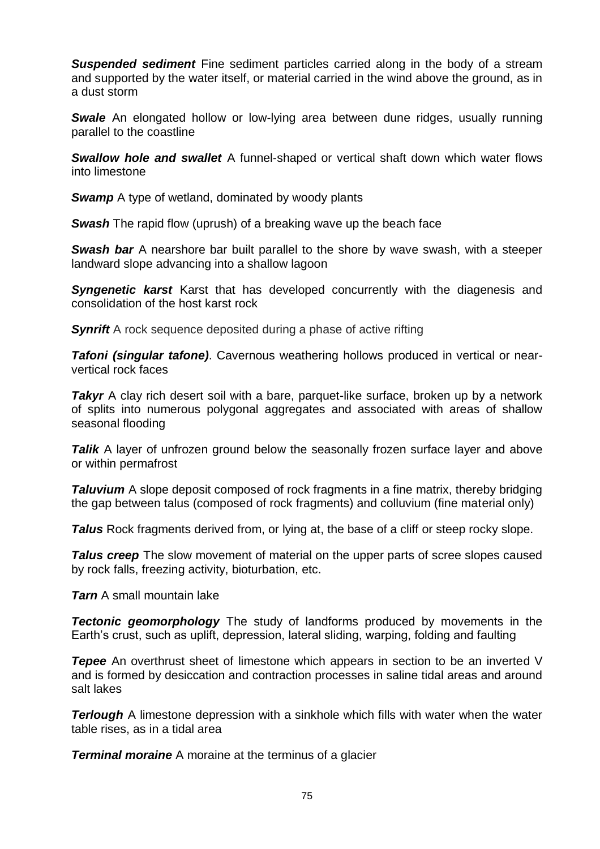**Suspended sediment** Fine sediment particles carried along in the body of a stream and supported by the water itself, or material carried in the wind above the ground, as in a dust storm

**Swale** An elongated hollow or low-lying area between dune ridges, usually running parallel to the coastline

*Swallow hole and swallet* A funnel-shaped or vertical shaft down which water flows into limestone

*Swamp* A type of wetland, dominated by woody plants

*Swash* The rapid flow (uprush) of a breaking wave up the beach face

**Swash bar** A nearshore bar built parallel to the shore by wave swash, with a steeper landward slope advancing into a shallow lagoon

**Syngenetic karst** Karst that has developed concurrently with the diagenesis and consolidation of the host karst rock

**Synrift** A rock sequence deposited during a phase of active rifting

*Tafoni (singular tafone)*. Cavernous weathering hollows produced in vertical or nearvertical rock faces

*Takyr* A clay rich desert soil with a bare, parquet-like surface, broken up by a network of splits into numerous polygonal aggregates and associated with areas of shallow seasonal flooding

**Talik** A layer of unfrozen ground below the seasonally frozen surface layer and above or within permafrost

*Taluvium* A slope deposit composed of rock fragments in a fine matrix, thereby bridging the gap between talus (composed of rock fragments) and colluvium (fine material only)

**Talus** Rock fragments derived from, or lying at, the base of a cliff or steep rocky slope.

**Talus creep** The slow movement of material on the upper parts of scree slopes caused by rock falls, freezing activity, bioturbation, etc.

*Tarn* A small mountain lake

*Tectonic geomorphology* The study of landforms produced by movements in the Earth's crust, such as uplift, depression, lateral sliding, warping, folding and faulting

**Tepee** An overthrust sheet of limestone which appears in section to be an inverted V and is formed by desiccation and contraction processes in saline tidal areas and around salt lakes

*Terlough* A limestone depression with a sinkhole which fills with water when the water table rises, as in a tidal area

*Terminal moraine* A moraine at the terminus of a glacier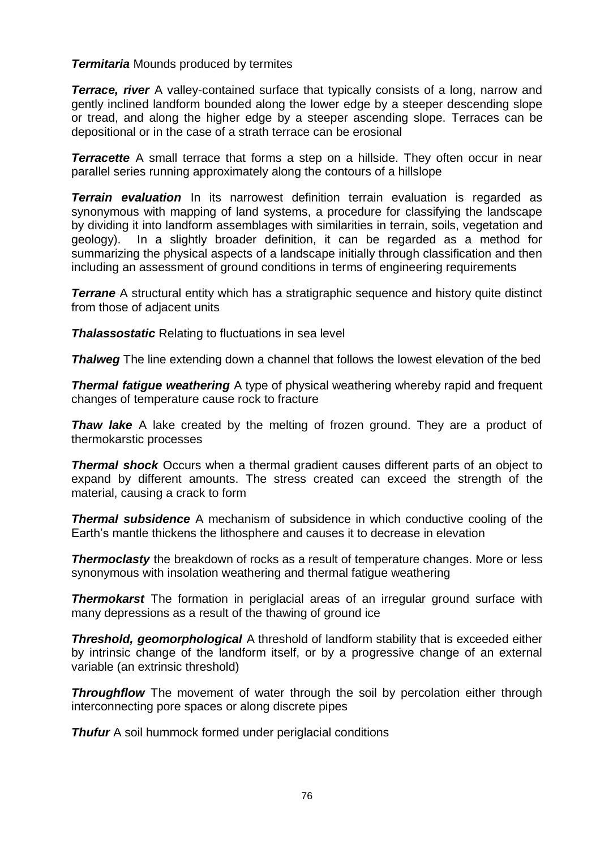# *Termitaria* Mounds produced by termites

*Terrace, river* A valley-contained surface that typically consists of a long, narrow and gently inclined landform bounded along the lower edge by a steeper descending slope or tread, and along the higher edge by a steeper ascending slope. Terraces can be depositional or in the case of a strath terrace can be erosional

**Terracette** A small terrace that forms a step on a hillside. They often occur in near parallel series running approximately along the contours of a hillslope

*Terrain evaluation* In its narrowest definition terrain evaluation is regarded as synonymous with mapping of land systems, a procedure for classifying the landscape by dividing it into landform assemblages with similarities in terrain, soils, vegetation and geology). In a slightly broader definition, it can be regarded as a method for summarizing the physical aspects of a landscape initially through classification and then including an assessment of ground conditions in terms of engineering requirements

**Terrane** A structural entity which has a stratigraphic sequence and history quite distinct from those of adjacent units

*Thalassostatic* Relating to fluctuations in sea level

**Thalweg** The line extending down a channel that follows the lowest elevation of the bed

**Thermal fatigue weathering** A type of physical weathering whereby rapid and frequent changes of temperature cause rock to fracture

*Thaw lake* A lake created by the melting of frozen ground. They are a product of thermokarstic processes

**Thermal shock** Occurs when a thermal [gradient](http://en.wikipedia.org/wiki/Gradient) causes different parts of an object to [expand](http://en.wikipedia.org/wiki/Coefficient_of_thermal_expansion) by different amounts. The stress created can exceed the [strength](http://en.wikipedia.org/wiki/Tensile_strength) of the material, causing a crack to form

*Thermal subsidence* A mechanism of [subsidence](http://en.wikipedia.org/wiki/Subsidence) in which [conductive](http://en.wikipedia.org/wiki/Conduction_(heat)) cooling of the Earth's [mantle](http://en.wikipedia.org/wiki/Mantle_(geology)) thickens the [lithosphere](http://en.wikipedia.org/wiki/Lithosphere) and causes it to decrease in elevation

**Thermoclasty** the breakdown of rocks as a result of temperature changes. More or less synonymous with insolation weathering and thermal fatigue weathering

*Thermokarst* The formation in periglacial areas of an irregular ground surface with many depressions as a result of the thawing of ground ice

*Threshold, geomorphological* A threshold of landform stability that is exceeded either by intrinsic change of the landform itself, or by a progressive change of an external variable (an extrinsic threshold)

**Throughflow** The movement of water through the soil by percolation either through interconnecting pore spaces or along discrete pipes

*Thufur* A soil hummock formed under periglacial conditions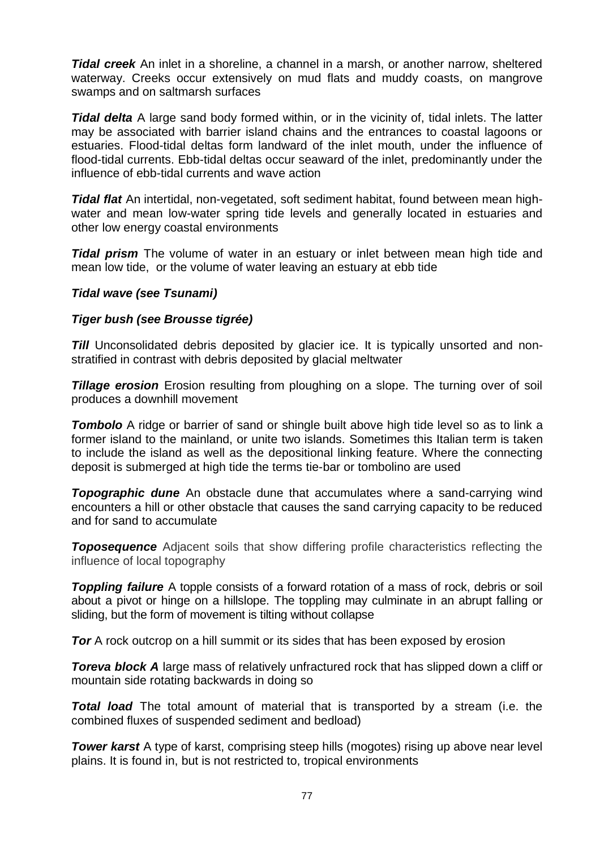*Tidal creek* An inlet in a shoreline, a channel in a marsh, or another narrow, sheltered waterway. Creeks occur extensively on mud flats and muddy coasts, on mangrove swamps and on saltmarsh surfaces

*Tidal delta* A large sand body formed within, or in the vicinity of, tidal inlets. The latter may be associated with barrier island chains and the entrances to coastal lagoons or estuaries. Flood-tidal deltas form landward of the inlet mouth, under the influence of flood-tidal currents. Ebb-tidal deltas occur seaward of the inlet, predominantly under the influence of ebb-tidal currents and wave action

*Tidal flat* An intertidal, non-vegetated, soft sediment habitat, found between mean highwater and mean low-water spring tide levels and generally located in estuaries and other low energy coastal environments

**Tidal prism** The volume of water in an [estuary](http://en.wikipedia.org/wiki/Estuary) or [inlet](http://en.wikipedia.org/wiki/Inlet) between mean [high tide](http://en.wikipedia.org/wiki/High_tide) and mean [low tide,](http://en.wikipedia.org/wiki/Low_tide) or the volume of water leaving an estuary at [ebb tide](http://en.wiktionary.org/wiki/Ebb_tide)

### *Tidal wave (see Tsunami)*

### *Tiger bush (see Brousse tigrée)*

**Till** Unconsolidated debris deposited by glacier ice. It is typically unsorted and nonstratified in contrast with debris deposited by glacial meltwater

*Tillage erosion* Erosion resulting from ploughing on a slope. The turning over of soil produces a downhill movement

**Tombolo** A ridge or barrier of sand or shingle built above high tide level so as to link a former island to the mainland, or unite two islands. Sometimes this Italian term is taken to include the island as well as the depositional linking feature. Where the connecting deposit is submerged at high tide the terms tie-bar or tombolino are used

**Topographic dune** An obstacle dune that accumulates where a sand-carrying wind encounters a hill or other obstacle that causes the sand carrying capacity to be reduced and for sand to accumulate

**Toposequence** Adjacent soils that show differing profile characteristics reflecting the influence of local topography

**Toppling failure** A topple consists of a forward rotation of a mass of rock, debris or soil about a pivot or hinge on a hillslope. The toppling may culminate in an abrupt falling or sliding, but the form of movement is tilting without collapse

**Tor** A rock outcrop on a hill summit or its sides that has been exposed by erosion

**Toreva block A** large mass of relatively unfractured rock that has slipped down a cliff or mountain side rotating backwards in doing so

*Total load* The total amount of material that is transported by a stream (i.e. the combined fluxes of suspended sediment and bedload)

**Tower karst** A type of karst, comprising steep hills (mogotes) rising up above near level plains. It is found in, but is not restricted to, tropical environments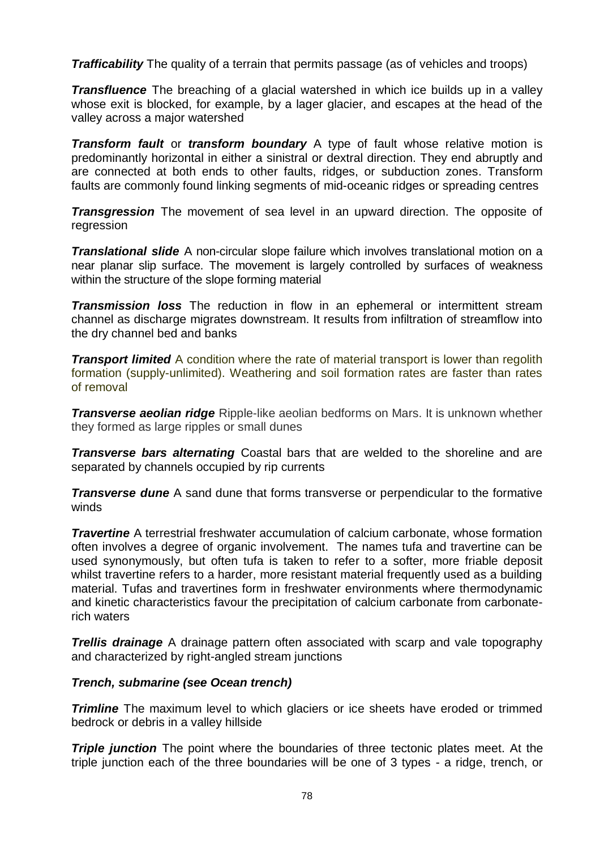**Trafficability** The quality of a terrain that permits passage (as of vehicles and troops)

*Transfluence* The breaching of a glacial watershed in which ice builds up in a valley whose exit is blocked, for example, by a lager glacier, and escapes at the head of the valley across a major watershed

*Transform [fault](http://en.wikipedia.org/wiki/Fault_(geology)) or transform boundary* A type of fault whose relative [motion](http://en.wikipedia.org/wiki/Motion_(physics)) is predominantly [horizontal](http://en.wikipedia.org/wiki/Horizontal_plane) in either a [sinistral](http://en.wikipedia.org/wiki/Fault_(geology)) or [dextral](http://en.wikipedia.org/wiki/Fault_(geology)) direction. They end abruptly and are connected at both ends to other faults, ridges, or [subduction zones.](http://en.wikipedia.org/wiki/Subduction_zones) Transform faults are commonly found linking segments of [mid-oceanic ridges](http://en.wikipedia.org/wiki/Mid-oceanic_ridge) or spreading centres

*Transgression* The movement of sea level in an upward direction. The opposite of regression

*Translational slide* A non-circular slope failure which involves translational motion on a near planar slip surface. The movement is largely controlled by surfaces of weakness within the structure of the slope forming material

*Transmission loss* The reduction in flow in an ephemeral or intermittent stream channel as discharge migrates downstream. It results from infiltration of streamflow into the dry channel bed and banks

*Transport limited* A condition where the rate of material transport is lower than regolith formation (supply-unlimited). Weathering and soil formation rates are faster than rates of removal

*Transverse aeolian ridge* Ripple-like aeolian bedforms on Mars. It is unknown whether they formed as large ripples or small dunes

*Transverse bars alternating* Coastal bars that are welded to the shoreline and are separated by channels occupied by rip currents

*Transverse dune* A sand dune that forms transverse or perpendicular to the formative winds

*Travertine* A terrestrial freshwater accumulation of calcium carbonate, whose formation often involves a degree of organic involvement. The names tufa and travertine can be used synonymously, but often tufa is taken to refer to a softer, more friable deposit whilst travertine refers to a harder, more resistant material frequently used as a building material. Tufas and travertines form in freshwater environments where thermodynamic and kinetic characteristics favour the precipitation of calcium carbonate from carbonaterich waters

*Trellis drainage* A drainage pattern often associated with scarp and vale topography and characterized by right-angled stream junctions

# *Trench, submarine (see Ocean trench)*

*Trimline* The maximum level to which glaciers or ice sheets have eroded or trimmed bedrock or debris in a valley hillside

**Triple junction** The point where the boundaries of three [tectonic plates](http://en.wikipedia.org/wiki/Tectonic_plate) meet. At the triple junction each of the three boundaries will be one of 3 types - a [ridge,](http://en.wikipedia.org/wiki/Mid-ocean_ridge) [trench,](http://en.wikipedia.org/wiki/Oceanic_trench) or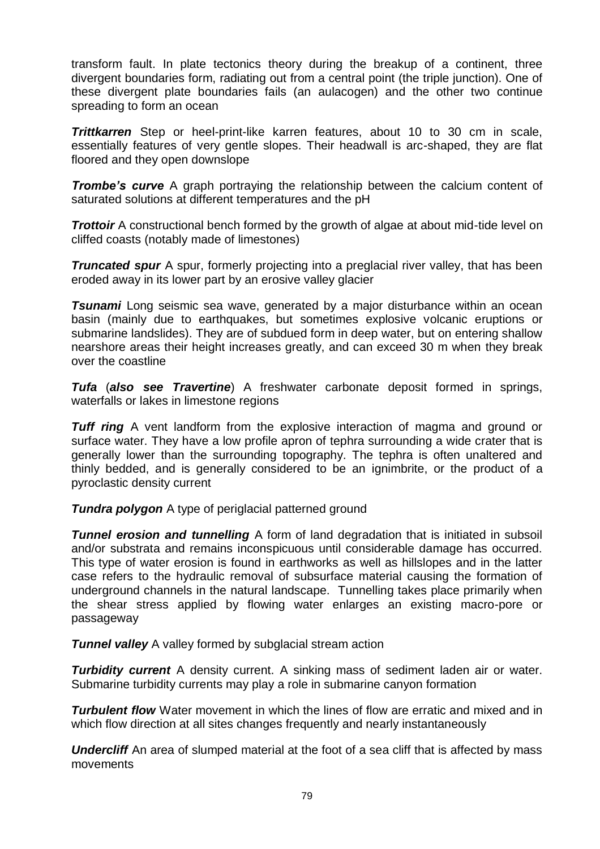[transform fault.](http://en.wikipedia.org/wiki/Transform_fault) In [plate tectonics](http://en.wikipedia.org/wiki/Plate_tectonics) theory during the breakup of a continent, three divergent boundaries form, radiating out from a central point (the triple junction). One of these divergent plate boundaries fails (an [aulacogen\)](http://en.wikipedia.org/wiki/Aulacogen) and the other two continue spreading to form an ocean

*Trittkarren* Step or heel-print-like karren features, about 10 to 30 cm in scale, essentially features of very gentle slopes. Their headwall is arc-shaped, they are flat floored and they open downslope

*Trombe's curve* A graph portraying the relationship between the calcium content of saturated solutions at different temperatures and the pH

**Trottoir** A constructional bench formed by the growth of algae at about mid-tide level on cliffed coasts (notably made of limestones)

*Truncated spur* A spur, formerly projecting into a preglacial river valley, that has been eroded away in its lower part by an erosive valley glacier

**Tsunami** Long seismic sea wave, generated by a major disturbance within an ocean basin (mainly due to earthquakes, but sometimes explosive volcanic eruptions or submarine landslides). They are of subdued form in deep water, but on entering shallow nearshore areas their height increases greatly, and can exceed 30 m when they break over the coastline

*Tufa* (*also see Travertine*) A freshwater carbonate deposit formed in springs, waterfalls or lakes in limestone regions

*Tuff ring* A vent landform from the explosive interaction of magma and ground or surface water. They have a low profile apron of tephra surrounding a wide crater that is generally lower than the surrounding topography. The tephra is often unaltered and thinly bedded, and is generally considered to be an ignimbrite, or the product of a pyroclastic density current

**Tundra polygon** A type of periglacial patterned ground

**Tunnel erosion and tunnelling** A form of land degradation that is initiated in subsoil and/or substrata and remains inconspicuous until considerable damage has occurred. This type of water erosion is found in earthworks as well as hillslopes and in the latter case refers to the hydraulic removal of subsurface material causing the formation of underground channels in the natural landscape. Tunnelling takes place primarily when the shear stress applied by flowing water enlarges an existing macro-pore or passageway

**Tunnel valley** A valley formed by subglacial stream action

*Turbidity current* A density current. A sinking mass of sediment laden air or water. Submarine turbidity currents may play a role in submarine canyon formation

*Turbulent flow* Water movement in which the lines of flow are erratic and mixed and in which flow direction at all sites changes frequently and nearly instantaneously

**Undercliff** An area of slumped material at the foot of a sea cliff that is affected by mass movements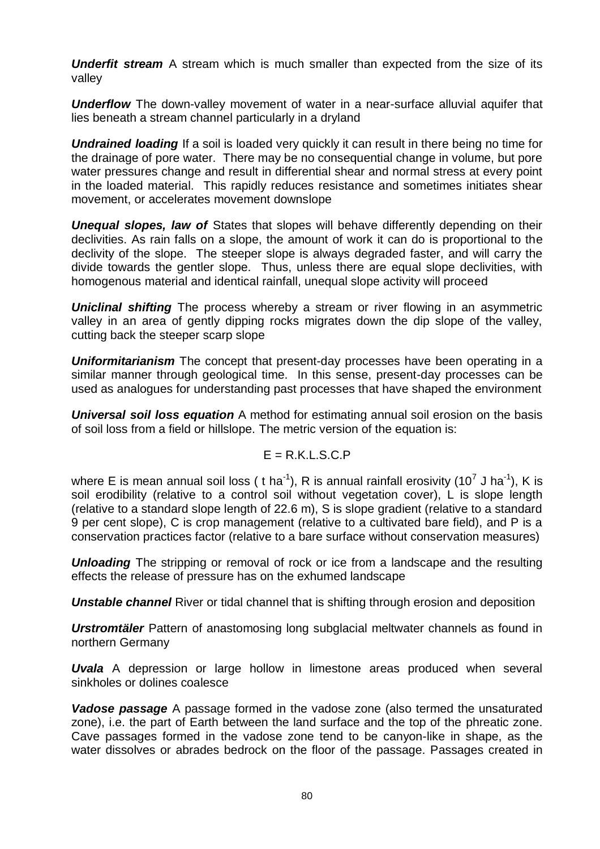**Underfit stream** A stream which is much smaller than expected from the size of its valley

*Underflow* The down-valley movement of water in a near-surface alluvial aquifer that lies beneath a stream channel particularly in a dryland

**Undrained loading** If a soil is loaded very quickly it can result in there being no time for the drainage of pore water. There may be no consequential change in volume, but pore water pressures change and result in differential shear and normal stress at every point in the loaded material. This rapidly reduces resistance and sometimes initiates shear movement, or accelerates movement downslope

**Unequal slopes, law of** States that slopes will behave differently depending on their declivities. As rain falls on a slope, the amount of work it can do is proportional to the declivity of the slope. The steeper slope is always degraded faster, and will carry the divide towards the gentler slope. Thus, unless there are equal slope declivities, with homogenous material and identical rainfall, unequal slope activity will proceed

*Uniclinal shifting* The process whereby a stream or river flowing in an asymmetric valley in an area of gently dipping rocks migrates down the dip slope of the valley, cutting back the steeper scarp slope

*Uniformitarianism* The concept that present-day processes have been operating in a similar manner through geological time. In this sense, present-day processes can be used as analogues for understanding past processes that have shaped the environment

*Universal soil loss equation* A method for estimating annual soil erosion on the basis of soil loss from a field or hillslope. The metric version of the equation is:

$$
E = R.K.L.S.C.P
$$

where E is mean annual soil loss ( t ha<sup>-1</sup>), R is annual rainfall erosivity (10<sup>7</sup> J ha<sup>-1</sup>), K is soil erodibility (relative to a control soil without vegetation cover), L is slope length (relative to a standard slope length of 22.6 m), S is slope gradient (relative to a standard 9 per cent slope), C is crop management (relative to a cultivated bare field), and P is a conservation practices factor (relative to a bare surface without conservation measures)

**Unloading** The stripping or removal of rock or ice from a landscape and the resulting effects the release of pressure has on the exhumed landscape

**Unstable channel** River or tidal channel that is shifting through erosion and deposition

*Urstromtäler* Pattern of anastomosing long subglacial meltwater channels as found in northern Germany

*Uvala* A depression or large hollow in limestone areas produced when several sinkholes or dolines coalesce

*Vadose passage* A passage formed in the vadose zone (also termed the unsaturated zone), i.e. the part of Earth between the land surface and the top of the [phreatic zone.](http://en.wikipedia.org/wiki/Phreatic) [Cave](http://en.wikipedia.org/wiki/Cave) passages formed in the vadose zone tend to be canyon-like in shape, as the water dissolves or abrades [bedrock](http://en.wikipedia.org/wiki/Bedrock) on the floor of the passage. Passages created in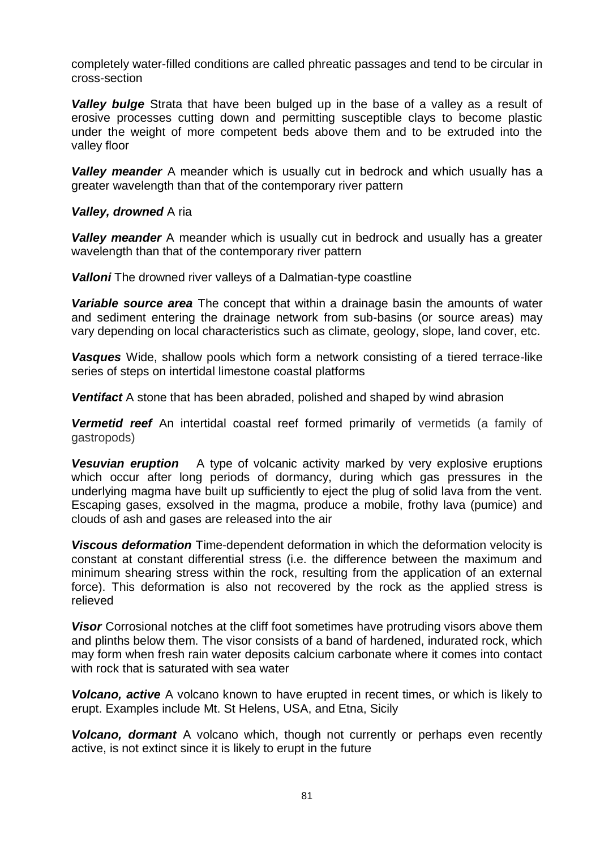completely water-filled conditions are called [phreatic](http://en.wikipedia.org/wiki/Phreatic) passages and tend to be circular in cross-section

*Valley bulge* Strata that have been bulged up in the base of a valley as a result of erosive processes cutting down and permitting susceptible clays to become plastic under the weight of more competent beds above them and to be extruded into the valley floor

*Valley meander* A meander which is usually cut in bedrock and which usually has a greater wavelength than that of the contemporary river pattern

### *Valley, drowned* A ria

*Valley meander* A meander which is usually cut in bedrock and usually has a greater wavelength than that of the contemporary river pattern

*Valloni* The drowned river valleys of a Dalmatian-type coastline

*Variable source area* The concept that within a drainage basin the amounts of water and sediment entering the drainage network from sub-basins (or source areas) may vary depending on local characteristics such as climate, geology, slope, land cover, etc.

*Vasques* Wide, shallow pools which form a network consisting of a tiered terrace-like series of steps on intertidal limestone coastal platforms

*Ventifact* A stone that has been abraded, polished and shaped by wind abrasion

*Vermetid reef* An intertidal coastal reef formed primarily of vermetids (a family of gastropods)

*Vesuvian eruption* A type of volcanic activity marked by very explosive eruptions which occur after long periods of dormancy, during which gas pressures in the underlying magma have built up sufficiently to eject the plug of solid lava from the vent. Escaping gases, exsolved in the magma, produce a mobile, frothy lava (pumice) and clouds of ash and gases are released into the air

*Viscous deformation* Time-dependent deformation in which the deformation velocity is constant at constant differential stress (i.e. the difference between the maximum and minimum shearing stress within the rock, resulting from the application of an external force). This deformation is also not recovered by the rock as the applied stress is relieved

**Visor** Corrosional notches at the cliff foot sometimes have protruding visors above them and plinths below them. The visor consists of a band of hardened, indurated rock, which may form when fresh rain water deposits calcium carbonate where it comes into contact with rock that is saturated with sea water

*Volcano, active* A volcano known to have erupted in recent times, or which is likely to erupt. Examples include Mt. St Helens, USA, and Etna, Sicily

*Volcano, dormant* A volcano which, though not currently or perhaps even recently active, is not extinct since it is likely to erupt in the future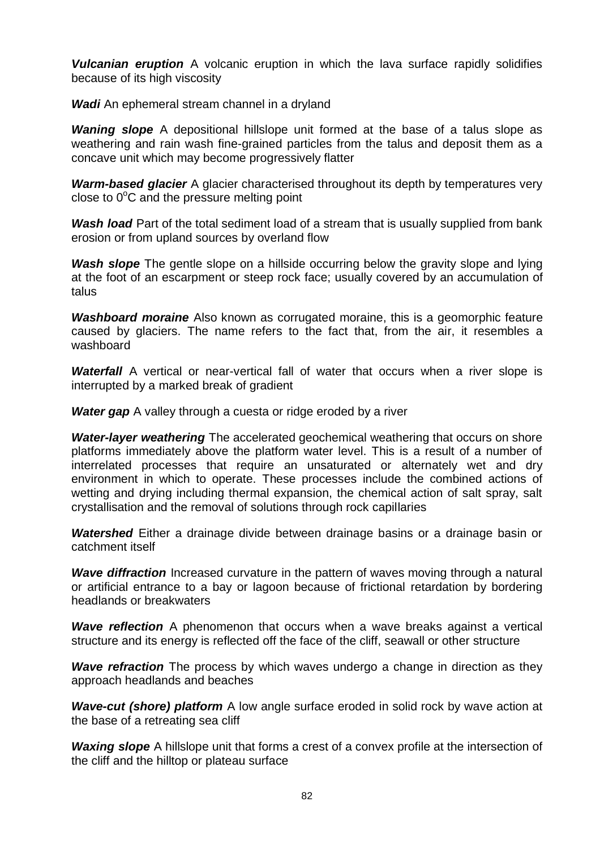*Vulcanian eruption* A volcanic eruption in which the lava surface rapidly solidifies because of its high viscosity

*Wadi* An ephemeral stream channel in a dryland

*Waning slope* A depositional hillslope unit formed at the base of a talus slope as weathering and rain wash fine-grained particles from the talus and deposit them as a concave unit which may become progressively flatter

*Warm-based glacier* A glacier characterised throughout its depth by temperatures very close to  $0^{\circ}$ C and the pressure melting point

*Wash load* Part of the total sediment load of a stream that is usually supplied from bank erosion or from upland sources by overland flow

**Wash slope** The gentle slope on a hillside occurring below the gravity slope and lying at the foot of an escarpment or steep rock face; usually covered by an accumulation of talus

*Washboard moraine* Also known as corrugated moraine, this is a [geomorphic](http://en.wikipedia.org/wiki/Geomorphic) feature caused by [glaciers.](http://en.wikipedia.org/wiki/Glacier) The name refers to the fact that, from the air, it resembles a [washboard](http://en.wikipedia.org/wiki/Washboard)

**Waterfall** A vertical or near-vertical fall of water that occurs when a river slope is interrupted by a marked break of gradient

**Water gap** A valley through a cuesta or ridge eroded by a river

*Water-layer weathering* The accelerated geochemical weathering that occurs on shore platforms immediately above the platform water level. This is a result of a number of interrelated processes that require an unsaturated or alternately wet and dry environment in which to operate. These processes include the combined actions of wetting and drying including thermal expansion, the chemical action of salt spray, salt crystallisation and the removal of solutions through rock capillaries

*Watershed* Either a drainage divide between drainage basins or a drainage basin or catchment itself

**Wave diffraction** Increased curvature in the pattern of waves moving through a natural or artificial entrance to a bay or lagoon because of frictional retardation by bordering headlands or breakwaters

**Wave reflection** A phenomenon that occurs when a wave breaks against a vertical structure and its energy is reflected off the face of the cliff, seawall or other structure

**Wave refraction** The process by which waves undergo a change in direction as they approach headlands and beaches

*Wave-cut (shore) platform* A low angle surface eroded in solid rock by wave action at the base of a retreating sea cliff

*Waxing slope* A hillslope unit that forms a crest of a convex profile at the intersection of the cliff and the hilltop or plateau surface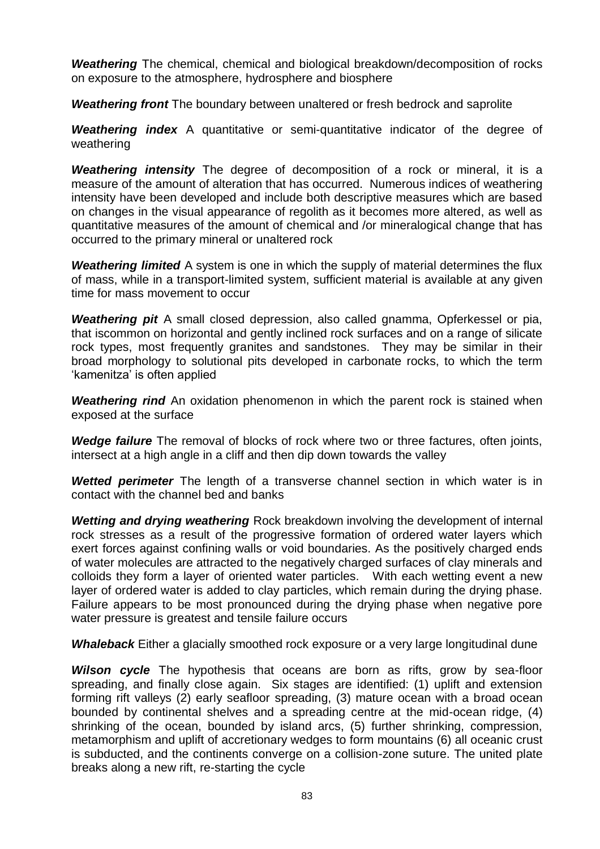*Weathering* The chemical, chemical and biological breakdown/decomposition of rocks on exposure to the atmosphere, hydrosphere and biosphere

*Weathering front* The boundary between unaltered or fresh bedrock and saprolite

*Weathering index* A quantitative or semi-quantitative indicator of the degree of weathering

*Weathering intensity* The degree of decomposition of a rock or mineral, it is a measure of the amount of alteration that has occurred. Numerous indices of weathering intensity have been developed and include both descriptive measures which are based on changes in the visual appearance of regolith as it becomes more altered, as well as quantitative measures of the amount of chemical and /or mineralogical change that has occurred to the primary mineral or unaltered rock

*Weathering limited* A system is one in which the supply of material determines the flux of mass, while in a transport-limited system, sufficient material is available at any given time for mass movement to occur

*Weathering pit* A small closed depression, also called gnamma, Opferkessel or pia, that iscommon on horizontal and gently inclined rock surfaces and on a range of silicate rock types, most frequently granites and sandstones. They may be similar in their broad morphology to solutional pits developed in carbonate rocks, to which the term 'kamenitza' is often applied

**Weathering rind** An oxidation phenomenon in which the parent rock is stained when exposed at the surface

*Wedge failure* The removal of blocks of rock where two or three factures, often joints, intersect at a high angle in a cliff and then dip down towards the valley

**Wetted perimeter** The length of a transverse channel section in which water is in contact with the channel bed and banks

*Wetting and drying weathering* Rock breakdown involving the development of internal rock stresses as a result of the progressive formation of ordered water layers which exert forces against confining walls or void boundaries. As the positively charged ends of water molecules are attracted to the negatively charged surfaces of clay minerals and colloids they form a layer of oriented water particles. With each wetting event a new layer of ordered water is added to clay particles, which remain during the drying phase. Failure appears to be most pronounced during the drying phase when negative pore water pressure is greatest and tensile failure occurs

*Whaleback* Either a glacially smoothed rock exposure or a very large longitudinal dune

*Wilson cycle* The hypothesis that oceans are born as rifts, grow by sea-floor spreading, and finally close again. Six stages are identified: (1) uplift and extension forming rift valleys (2) early seafloor spreading, (3) mature ocean with a broad ocean bounded by continental shelves and a spreading centre at the mid-ocean ridge, (4) shrinking of the ocean, bounded by island arcs, (5) further shrinking, compression, metamorphism and uplift of accretionary wedges to form mountains (6) all oceanic crust is subducted, and the continents converge on a collision-zone suture. The united plate breaks along a new rift, re-starting the cycle